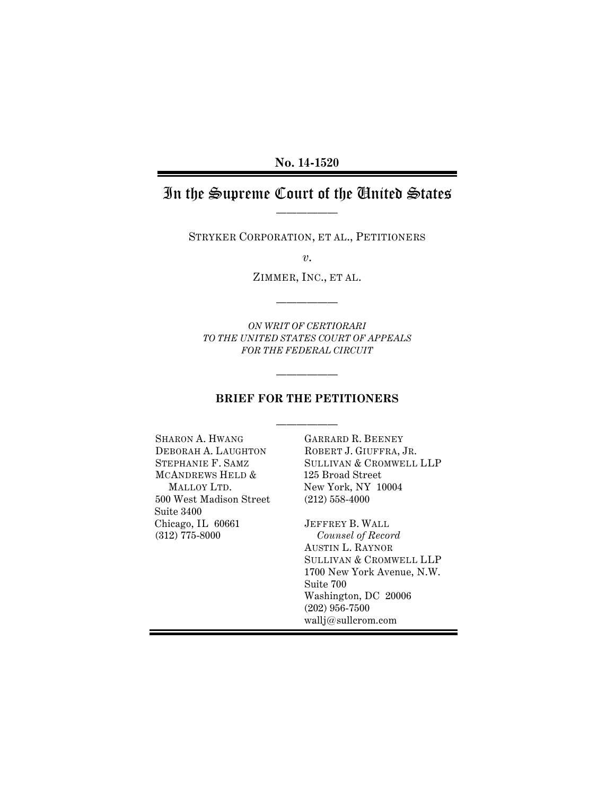**No. 14-1520**

# In the Supreme Court of the United States ——————

STRYKER CORPORATION, ET AL., PETITIONERS

*v*.

ZIMMER, INC., ET AL.

——————

*ON WRIT OF CERTIORARI TO THE UNITED STATES COURT OF APPEALS FOR THE FEDERAL CIRCUIT*

### **BRIEF FOR THE PETITIONERS**

——————

——————

SHARON A. HWANG DEBORAH A. LAUGHTON STEPHANIE F. SAMZ MCANDREWS HELD & MALLOY LTD. 500 West Madison Street Suite 3400 Chicago, IL 60661 (312) 775-8000

GARRARD R. BEENEY ROBERT J. GIUFFRA, JR. SULLIVAN & CROMWELL LLP 125 Broad Street New York, NY 10004 (212) 558-4000

JEFFREY B. WALL *Counsel of Record* AUSTIN L. RAYNOR SULLIVAN & CROMWELL LLP 1700 New York Avenue, N.W. Suite 700 Washington, DC 20006 (202) 956-7500 wallj@sullcrom.com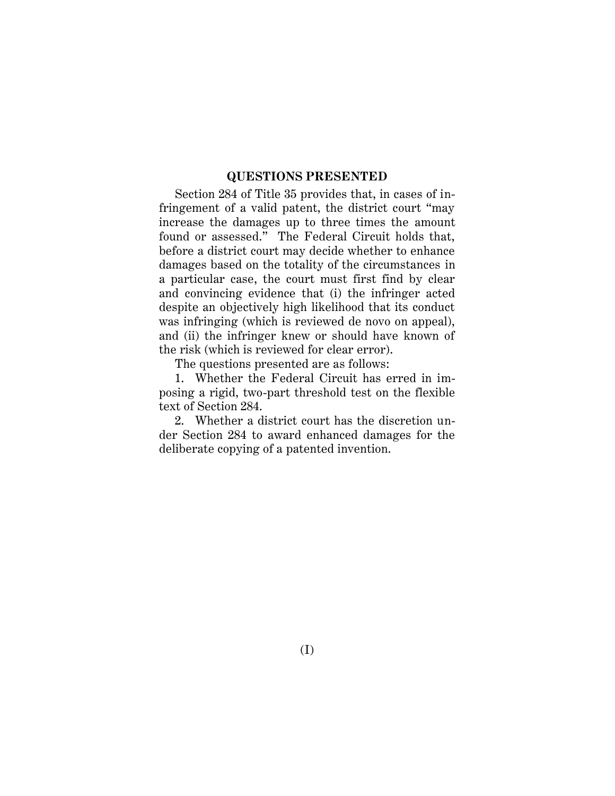### **QUESTIONS PRESENTED**

Section 284 of Title 35 provides that, in cases of infringement of a valid patent, the district court "may increase the damages up to three times the amount found or assessed." The Federal Circuit holds that, before a district court may decide whether to enhance damages based on the totality of the circumstances in a particular case, the court must first find by clear and convincing evidence that (i) the infringer acted despite an objectively high likelihood that its conduct was infringing (which is reviewed de novo on appeal), and (ii) the infringer knew or should have known of the risk (which is reviewed for clear error).

The questions presented are as follows:

1. Whether the Federal Circuit has erred in imposing a rigid, two-part threshold test on the flexible text of Section 284.

2. Whether a district court has the discretion under Section 284 to award enhanced damages for the deliberate copying of a patented invention.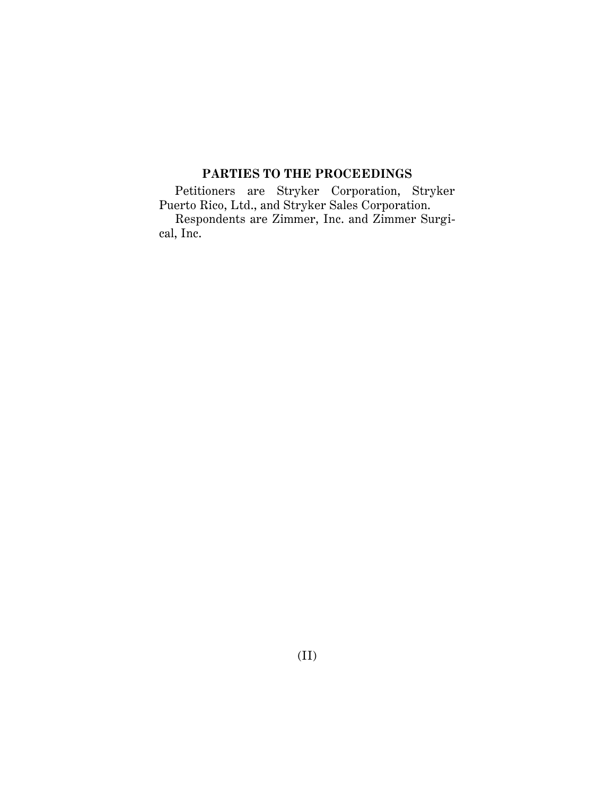# **PARTIES TO THE PROCEEDINGS**

Petitioners are Stryker Corporation, Stryker Puerto Rico, Ltd., and Stryker Sales Corporation. Respondents are Zimmer, Inc. and Zimmer Surgical, Inc.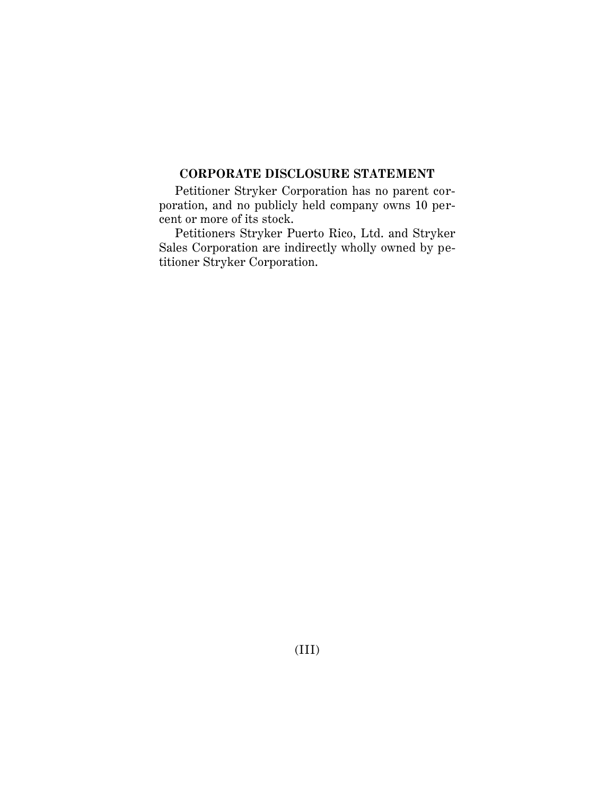## **CORPORATE DISCLOSURE STATEMENT**

Petitioner Stryker Corporation has no parent corporation, and no publicly held company owns 10 percent or more of its stock.

Petitioners Stryker Puerto Rico, Ltd. and Stryker Sales Corporation are indirectly wholly owned by petitioner Stryker Corporation.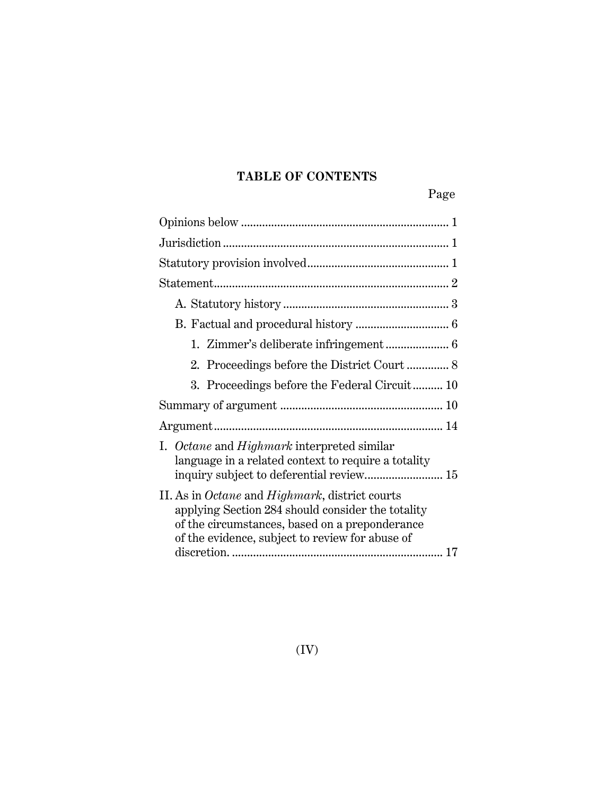# **TABLE OF CONTENTS**

Page

| 2. Proceedings before the District Court  8                                                                                                                                                                             |
|-------------------------------------------------------------------------------------------------------------------------------------------------------------------------------------------------------------------------|
| 3. Proceedings before the Federal Circuit 10                                                                                                                                                                            |
|                                                                                                                                                                                                                         |
|                                                                                                                                                                                                                         |
| I. Octane and Highmark interpreted similar<br>language in a related context to require a totality<br>inquiry subject to deferential review 15                                                                           |
| II. As in <i>Octane</i> and <i>Highmark</i> , district courts<br>applying Section 284 should consider the totality<br>of the circumstances, based on a preponderance<br>of the evidence, subject to review for abuse of |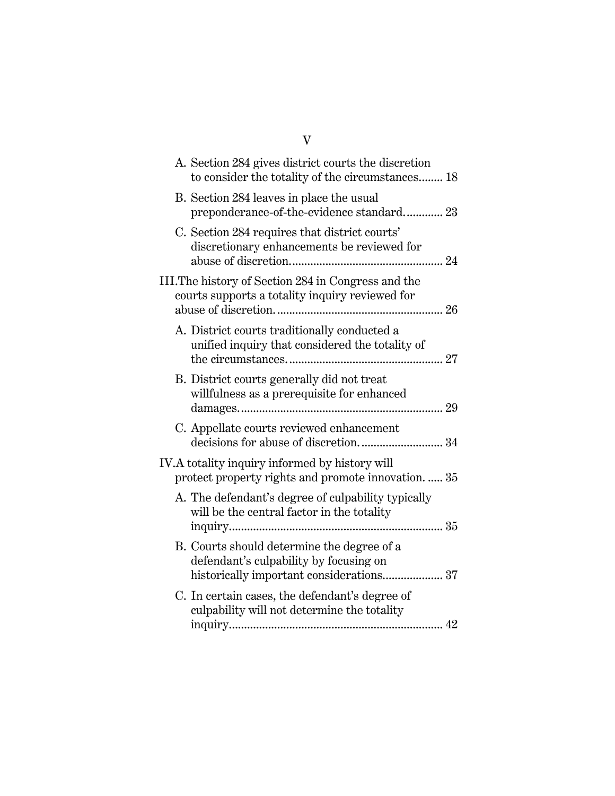| A. Section 284 gives district courts the discretion<br>to consider the totality of the circumstances 18                          |  |
|----------------------------------------------------------------------------------------------------------------------------------|--|
| B. Section 284 leaves in place the usual<br>preponderance-of-the-evidence standard 23                                            |  |
| C. Section 284 requires that district courts'<br>discretionary enhancements be reviewed for                                      |  |
| III. The history of Section 284 in Congress and the<br>courts supports a totality inquiry reviewed for                           |  |
| A. District courts traditionally conducted a<br>unified inquiry that considered the totality of                                  |  |
| B. District courts generally did not treat<br>willfulness as a prerequisite for enhanced                                         |  |
| C. Appellate courts reviewed enhancement<br>decisions for abuse of discretion 34                                                 |  |
| IV.A totality inquiry informed by history will<br>protect property rights and promote innovation.  35                            |  |
| A. The defendant's degree of culpability typically<br>will be the central factor in the totality                                 |  |
| B. Courts should determine the degree of a<br>defendant's culpability by focusing on<br>historically important considerations 37 |  |
| C. In certain cases, the defendant's degree of<br>culpability will not determine the totality                                    |  |

# V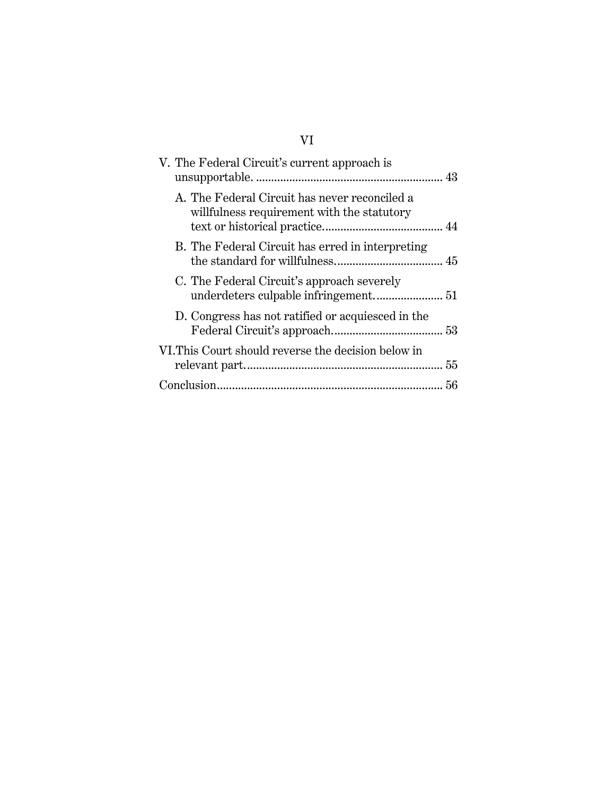# VI

| V. The Federal Circuit's current approach is                                                |  |
|---------------------------------------------------------------------------------------------|--|
| A. The Federal Circuit has never reconciled a<br>willfulness requirement with the statutory |  |
| B. The Federal Circuit has erred in interpreting                                            |  |
| C. The Federal Circuit's approach severely                                                  |  |
| D. Congress has not ratified or acquiesced in the                                           |  |
| VI. This Court should reverse the decision below in                                         |  |
|                                                                                             |  |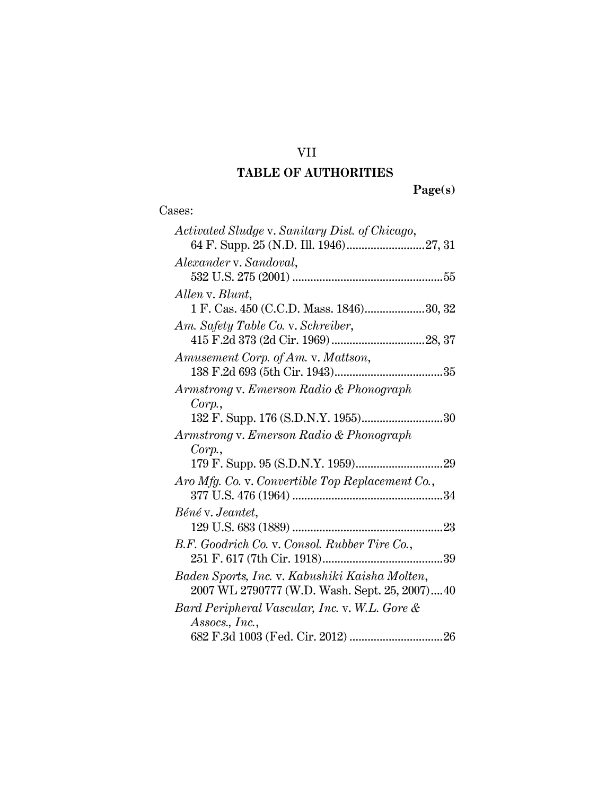# VII

# **TABLE OF AUTHORITIES**

**Page(s)**

| Activated Sludge v. Sanitary Dist. of Chicago,   |
|--------------------------------------------------|
|                                                  |
| Alexander v. Sandoval,                           |
|                                                  |
| Allen v. Blunt,                                  |
| 1 F. Cas. 450 (C.C.D. Mass. 1846)30, 32          |
| Am. Safety Table Co. v. Schreiber,               |
|                                                  |
| Amusement Corp. of Am. v. Mattson,               |
|                                                  |
| Armstrong v. Emerson Radio & Phonograph          |
| Corp.                                            |
| 132 F. Supp. 176 (S.D.N.Y. 1955)30               |
| Armstrong v. Emerson Radio & Phonograph          |
| Corp.                                            |
|                                                  |
| Aro Mfg. Co. v. Convertible Top Replacement Co., |
|                                                  |
| Béné v. Jeantet,                                 |
|                                                  |
| B.F. Goodrich Co. v. Consol. Rubber Tire Co.,    |
|                                                  |
| Baden Sports, Inc. v. Kabushiki Kaisha Molten,   |
| 2007 WL 2790777 (W.D. Wash. Sept. 25, 2007)40    |
| Bard Peripheral Vascular, Inc. v. W.L. Gore &    |
| Assocs., Inc.,                                   |
|                                                  |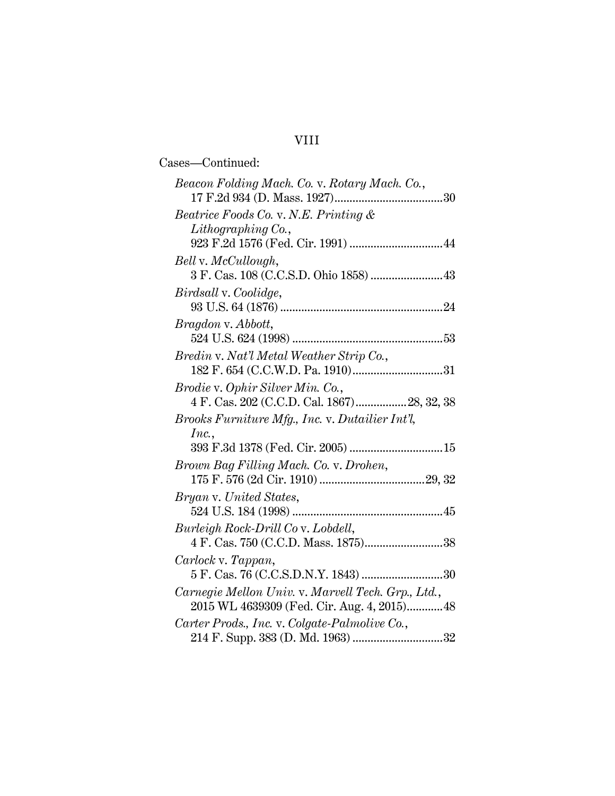# VIII

| Cases-Continued:                                                                                  |  |
|---------------------------------------------------------------------------------------------------|--|
| Beacon Folding Mach. Co. v. Rotary Mach. Co.,                                                     |  |
| Beatrice Foods Co. v. N.E. Printing &                                                             |  |
| $Lithography$ Co.,                                                                                |  |
| Bell v. McCullough,<br>3 F. Cas. 108 (C.C.S.D. Ohio 1858)  43                                     |  |
| Birdsall v. Coolidge,                                                                             |  |
| Bragdon v. Abbott,                                                                                |  |
|                                                                                                   |  |
| Bredin v. Nat'l Metal Weather Strip Co.,                                                          |  |
| Brodie v. Ophir Silver Min. Co.,<br>4 F. Cas. 202 (C.C.D. Cal. 1867)28, 32, 38                    |  |
| Brooks Furniture Mfg., Inc. v. Dutailier Int'l,                                                   |  |
| Inc.,                                                                                             |  |
| 393 F.3d 1378 (Fed. Cir. 2005)  15                                                                |  |
| Brown Bag Filling Mach. Co. v. Drohen,                                                            |  |
|                                                                                                   |  |
| Bryan v. United States,                                                                           |  |
| Burleigh Rock-Drill Co v. Lobdell,                                                                |  |
|                                                                                                   |  |
| Carlock v. Tappan,                                                                                |  |
|                                                                                                   |  |
| Carnegie Mellon Univ. v. Marvell Tech. Grp., Ltd.,<br>2015 WL 4639309 (Fed. Cir. Aug. 4, 2015) 48 |  |
| Carter Prods., Inc. v. Colgate-Palmolive Co.,<br>214 F. Supp. 383 (D. Md. 1963) 32                |  |
|                                                                                                   |  |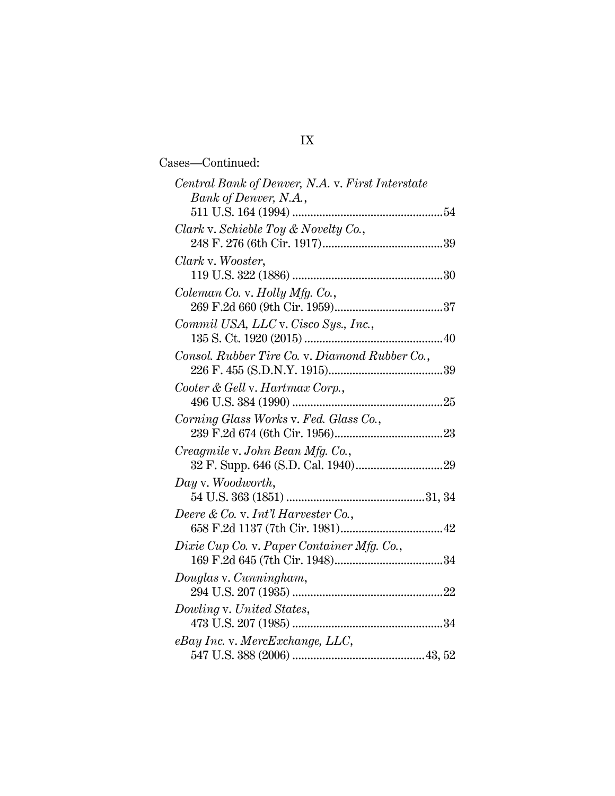| Cases—Continued:                                                                                                   |  |
|--------------------------------------------------------------------------------------------------------------------|--|
| Central Bank of Denver, N.A. v. First Interstate<br>Bank of Denver, N.A.,                                          |  |
|                                                                                                                    |  |
| Clark v. Schieble Toy & Novelty Co.,                                                                               |  |
|                                                                                                                    |  |
| Clark v. Wooster,                                                                                                  |  |
|                                                                                                                    |  |
| Coleman Co. v. Holly Mfg. Co.,                                                                                     |  |
|                                                                                                                    |  |
| Commil USA, LLC v. Cisco Sys., Inc.,                                                                               |  |
|                                                                                                                    |  |
| Consol. Rubber Tire Co. v. Diamond Rubber Co.,                                                                     |  |
|                                                                                                                    |  |
| Cooter & Gell v. Hartmax Corp.,                                                                                    |  |
|                                                                                                                    |  |
| Corning Glass Works v. Fed. Glass Co.,                                                                             |  |
|                                                                                                                    |  |
| Creagmile v. John Bean Mfg. Co.,                                                                                   |  |
|                                                                                                                    |  |
| Day v. Woodworth,                                                                                                  |  |
|                                                                                                                    |  |
| Deere & Co. v. Int'l Harvester Co.,<br>ere & Co. v. <i>Int t Harvester</i> Co.,<br>658 F.2d 1137 (7th Cir. 1981)42 |  |
|                                                                                                                    |  |
| Dixie Cup Co. v. Paper Container Mfg. Co.,                                                                         |  |
|                                                                                                                    |  |
| Douglas v. Cunningham,                                                                                             |  |
|                                                                                                                    |  |
| Dowling v. United States,                                                                                          |  |
| eBay Inc. v. MercExchange, LLC,                                                                                    |  |
|                                                                                                                    |  |
|                                                                                                                    |  |

# IX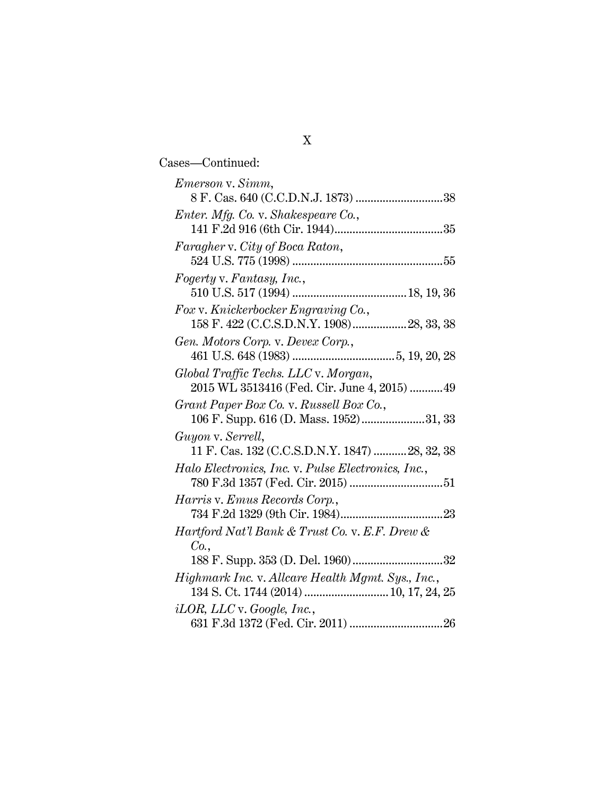Cases—Continued:

| Emerson v. Simm,                                                    |
|---------------------------------------------------------------------|
|                                                                     |
| Enter. Mfg. Co. v. Shakespeare Co.,                                 |
|                                                                     |
| Faragher v. City of Boca Raton,                                     |
|                                                                     |
| Fogerty v. Fantasy, Inc.,                                           |
|                                                                     |
| Fox v. Knickerbocker Engraving Co.,                                 |
|                                                                     |
| Gen. Motors Corp. v. Devex Corp.,                                   |
|                                                                     |
| Global Traffic Techs. LLC v. Morgan,                                |
| 2015 WL 3513416 (Fed. Cir. June 4, 2015) 49                         |
| Grant Paper Box Co. v. Russell Box Co.,                             |
| 106 F. Supp. 616 (D. Mass. 1952)31, 33                              |
| Guyon v. Serrell,<br>11 F. Cas. 132 (C.C.S.D.N.Y. 1847)  28, 32, 38 |
| Halo Electronics, Inc. v. Pulse Electronics, Inc.,                  |
|                                                                     |
| Harris v. Emus Records Corp.,                                       |
|                                                                     |
| Hartford Nat'l Bank & Trust Co. v. E.F. Drew &                      |
| Co.                                                                 |
|                                                                     |
| Highmark Inc. v. Allcare Health Mgmt. Sys., Inc.,                   |
|                                                                     |
| $iLOR$ , $LLC$ v. Google, Inc.,                                     |
|                                                                     |
|                                                                     |

| × | ۰<br>I<br>۰. |  |
|---|--------------|--|
|   |              |  |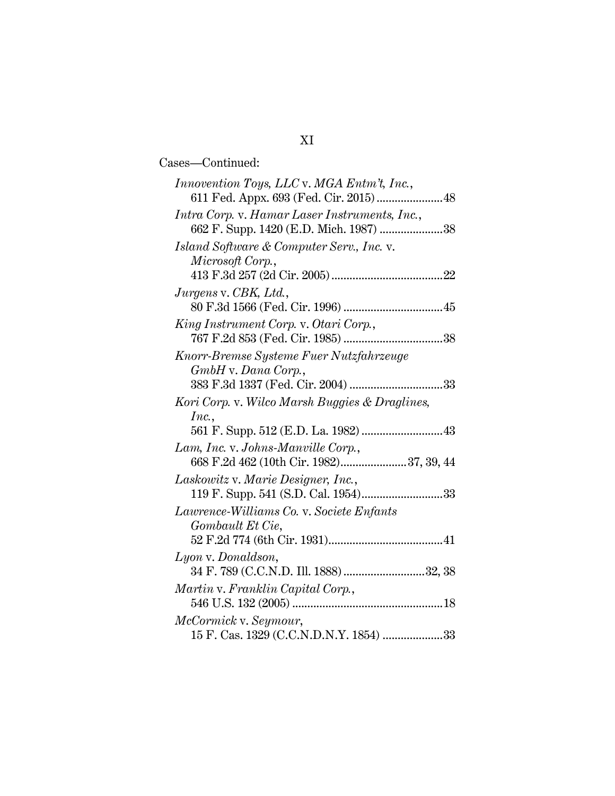Cases—Continued:

# XI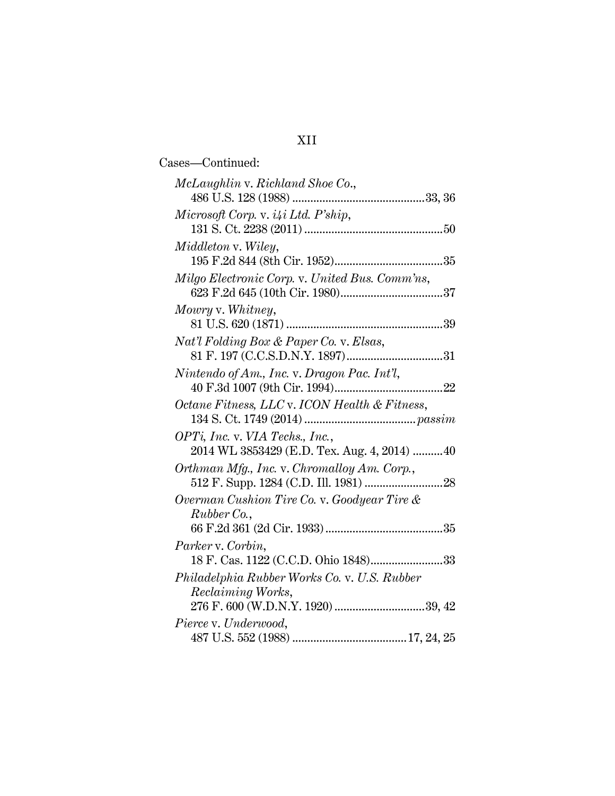# XII

| Cases—Continued:                               |
|------------------------------------------------|
| McLaughlin v. Richland Shoe Co.,               |
|                                                |
| Microsoft Corp. v. $i4i$ Ltd. P'ship,          |
|                                                |
| Middleton v. Wiley,                            |
|                                                |
| Milgo Electronic Corp. v. United Bus. Comm'ns, |
|                                                |
| Mowry v. Whitney,                              |
| Nat'l Folding Box & Paper Co. v. Elsas,        |
|                                                |
| Nintendo of Am., Inc. v. Dragon Pac. Int'l,    |
|                                                |
| Octane Fitness, LLC v. ICON Health & Fitness,  |
|                                                |
| OPTi, Inc. v. VIA Techs., Inc.,                |
| 2014 WL 3853429 (E.D. Tex. Aug. 4, 2014) 40    |
| Orthman Mfg., Inc. v. Chromalloy Am. Corp.,    |
| Overman Cushion Tire Co. v. Goodyear Tire &    |
| Rubber Co.,                                    |
|                                                |
| Parker v. Corbin,                              |
| 18 F. Cas. 1122 (C.C.D. Ohio 1848)33           |
| Philadelphia Rubber Works Co. v. U.S. Rubber   |
| Reclaiming Works,                              |
|                                                |
| Pierce v. Underwood,                           |
|                                                |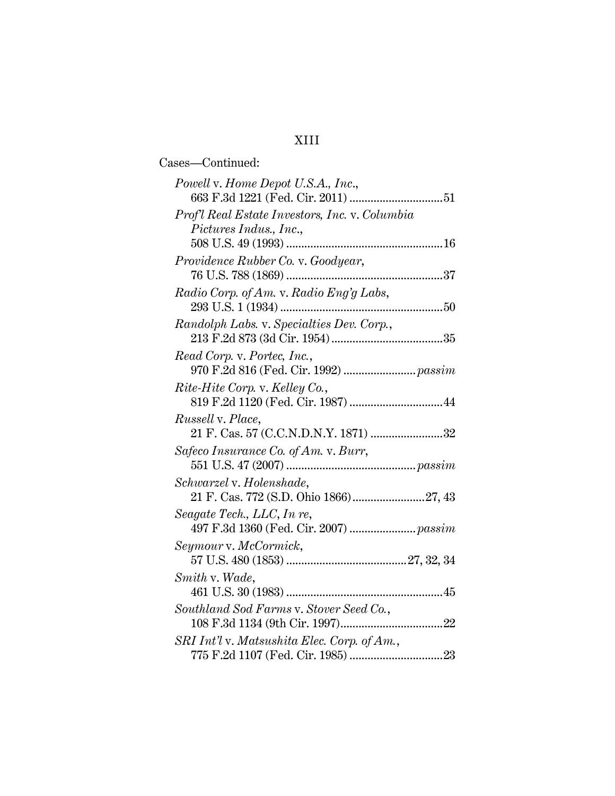# XIII

| Cases-Continued:                               |
|------------------------------------------------|
| Powell v. Home Depot U.S.A., Inc.,             |
|                                                |
| Prof'l Real Estate Investors, Inc. v. Columbia |
| Pictures Indus., Inc.,                         |
|                                                |
| Providence Rubber Co. v. Goodyear,             |
|                                                |
| Radio Corp. of Am. v. Radio Eng'g Labs,        |
|                                                |
| Randolph Labs. v. Specialties Dev. Corp.,      |
|                                                |
| Read Corp. v. Portec, Inc.,                    |
|                                                |
| Rite-Hite Corp. v. Kelley Co.,                 |
|                                                |
| Russell v. Place,                              |
| 21 F. Cas. 57 (C.C.N.D.N.Y. 1871) 32           |
| Safeco Insurance Co. of Am. v. Burr,           |
|                                                |
| Schwarzel v. Holenshade,                       |
|                                                |
| Seagate Tech., LLC, In re,                     |
|                                                |
| Seymour v. McCormick,                          |
|                                                |
| Smith v. Wade,                                 |
|                                                |
| Southland Sod Farms v. Stover Seed Co.,        |
|                                                |
| SRI Int'l v. Matsushita Elec. Corp. of Am.,    |
|                                                |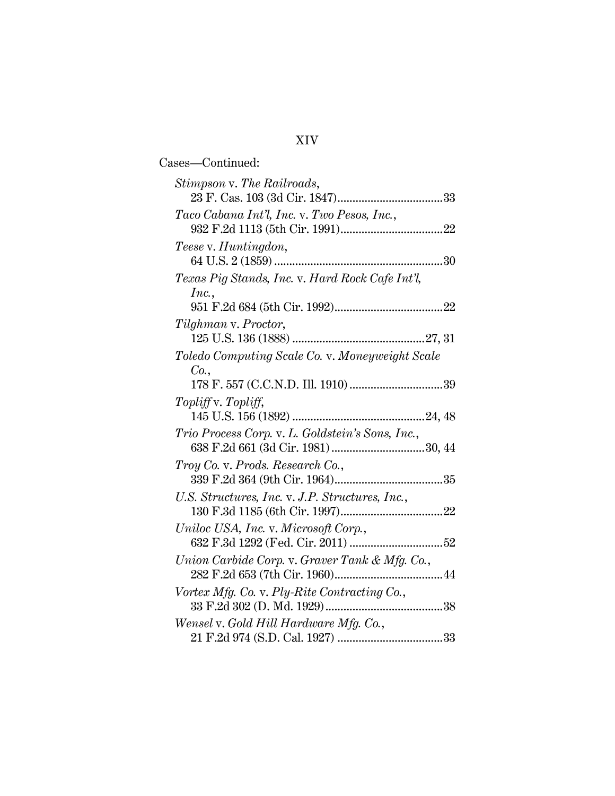# XIV

| Cases—Continued:                                         |  |
|----------------------------------------------------------|--|
| Stimpson v. The Railroads,                               |  |
| Taco Cabana Int'l, Inc. v. Two Pesos, Inc.,              |  |
| Teese v. Huntingdon,                                     |  |
| Texas Pig Stands, Inc. v. Hard Rock Cafe Int'l,<br>Inc., |  |
|                                                          |  |
| Tilghman v. Proctor,                                     |  |
| Toledo Computing Scale Co. v. Moneyweight Scale<br>Co.,  |  |
|                                                          |  |
| Topliff v. Topliff,                                      |  |
| Trio Process Corp. v. L. Goldstein's Sons, Inc.,         |  |
| Troy Co. v. Prods. Research Co.,                         |  |
| U.S. Structures, Inc. v. J.P. Structures, Inc.,          |  |
|                                                          |  |
| Union Carbide Corp. v. Graver Tank & Mfg. Co.,           |  |
| Vortex Mfg. Co. v. Ply-Rite Contracting Co.,             |  |
| Wensel v. Gold Hill Hardware Mfg. Co.,                   |  |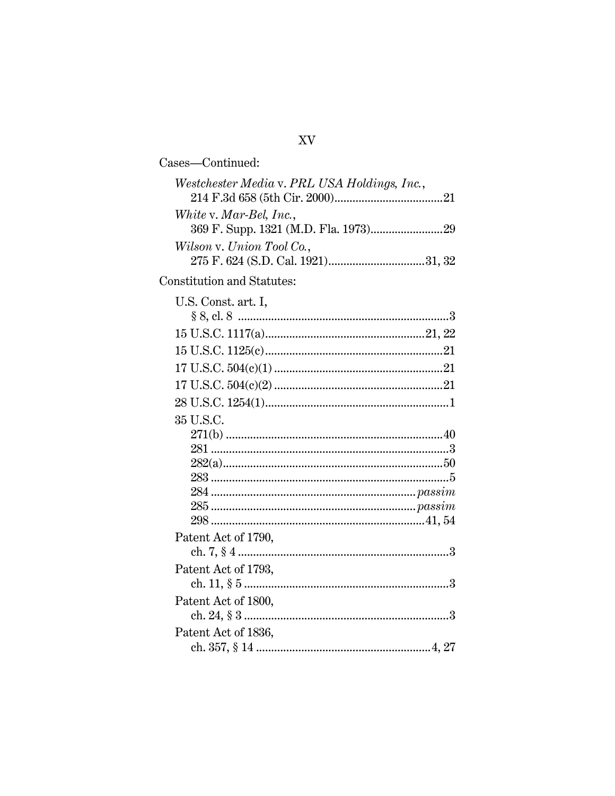| Cases-Continued:                                                        |
|-------------------------------------------------------------------------|
| Westchester Media v. PRL USA Holdings, Inc.,<br>White v. Mar-Bel, Inc., |
| Wilson v. Union Tool Co.,                                               |
| Constitution and Statutes:                                              |
| U.S. Const. art. I,                                                     |
|                                                                         |
|                                                                         |
|                                                                         |
|                                                                         |
|                                                                         |
| 35 U.S.C.                                                               |
|                                                                         |
|                                                                         |
|                                                                         |
|                                                                         |
|                                                                         |
|                                                                         |
|                                                                         |
| Patent Act of 1790,                                                     |
|                                                                         |
| Patent Act of 1793,                                                     |
|                                                                         |
| Patent Act of 1800,                                                     |
| Patent Act of 1836,                                                     |
|                                                                         |

XV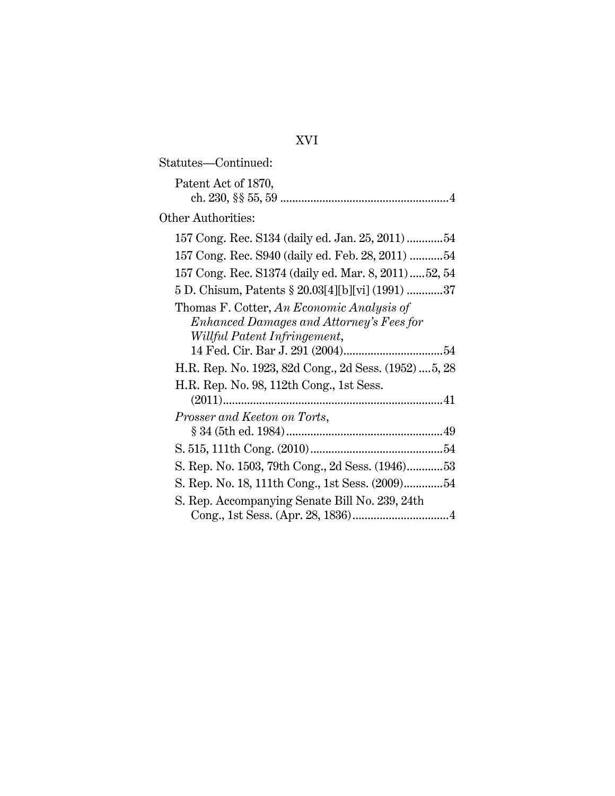| Statutes—Continued:                                                                                                   |  |
|-----------------------------------------------------------------------------------------------------------------------|--|
| Patent Act of 1870,                                                                                                   |  |
| Other Authorities:                                                                                                    |  |
| 157 Cong. Rec. S134 (daily ed. Jan. 25, 2011) 54                                                                      |  |
| 157 Cong. Rec. S940 (daily ed. Feb. 28, 2011)  54                                                                     |  |
| 157 Cong. Rec. S1374 (daily ed. Mar. 8, 2011)52, 54                                                                   |  |
| 5 D. Chisum, Patents § 20.03[4][b][vi] (1991) 37                                                                      |  |
| Thomas F. Cotter, An Economic Analysis of<br>Enhanced Damages and Attorney's Fees for<br>Willful Patent Infringement, |  |
|                                                                                                                       |  |
| H.R. Rep. No. 1923, 82d Cong., 2d Sess. (1952)  5, 28                                                                 |  |
| H.R. Rep. No. 98, 112th Cong., 1st Sess.                                                                              |  |
|                                                                                                                       |  |
| Prosser and Keeton on Torts,                                                                                          |  |
|                                                                                                                       |  |
| S. Rep. No. 1503, 79th Cong., 2d Sess. (1946)53                                                                       |  |
| S. Rep. No. 18, 111th Cong., 1st Sess. (2009)54                                                                       |  |
| S. Rep. Accompanying Senate Bill No. 239, 24th                                                                        |  |

# XVI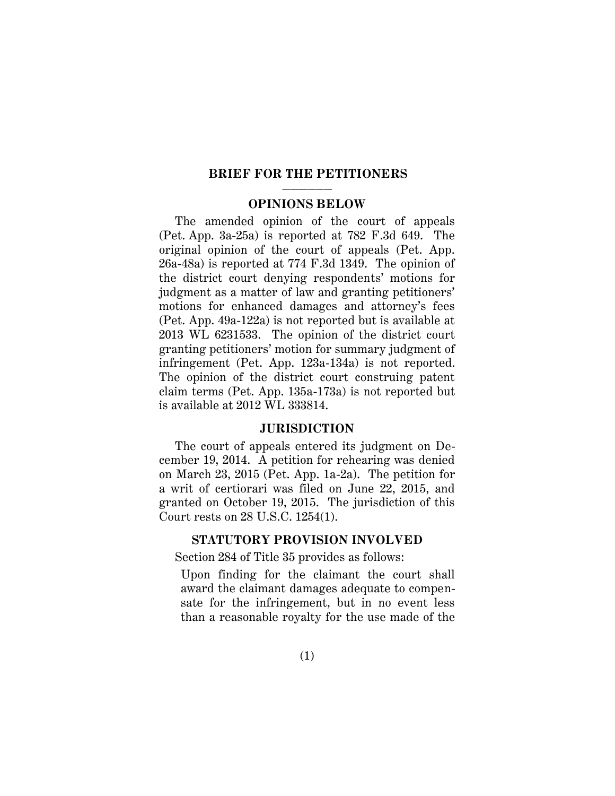### **BRIEF FOR THE PETITIONERS**

### —————— **OPINIONS BELOW**

<span id="page-18-0"></span>The amended opinion of the court of appeals (Pet. App. 3a-25a) is reported at 782 F.3d 649. The original opinion of the court of appeals (Pet. App. 26a-48a) is reported at 774 F.3d 1349. The opinion of the district court denying respondents' motions for judgment as a matter of law and granting petitioners' motions for enhanced damages and attorney's fees (Pet. App. 49a-122a) is not reported but is available at 2013 WL 6231533. The opinion of the district court granting petitioners' motion for summary judgment of infringement (Pet. App. 123a-134a) is not reported. The opinion of the district court construing patent claim terms (Pet. App. 135a-173a) is not reported but is available at 2012 WL 333814.

### **JURISDICTION**

<span id="page-18-1"></span>The court of appeals entered its judgment on December 19, 2014. A petition for rehearing was denied on March 23, 2015 (Pet. App. 1a-2a). The petition for a writ of certiorari was filed on June 22, 2015, and granted on October 19, 2015. The jurisdiction of this Court rests on 28 U.S.C. 1254(1).

#### <span id="page-18-3"></span>**STATUTORY PROVISION INVOLVED**

<span id="page-18-2"></span>Section 284 of Title 35 provides as follows:

Upon finding for the claimant the court shall award the claimant damages adequate to compensate for the infringement, but in no event less than a reasonable royalty for the use made of the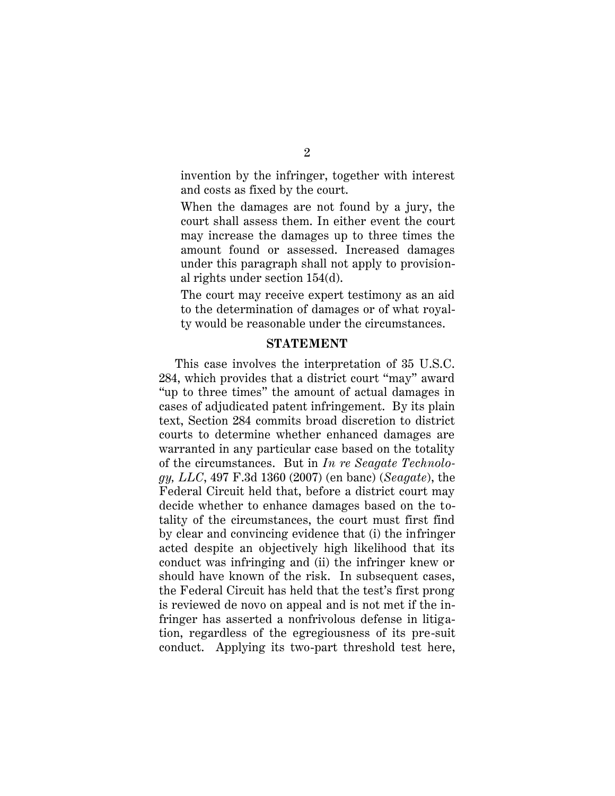invention by the infringer, together with interest and costs as fixed by the court.

When the damages are not found by a jury, the court shall assess them. In either event the court may increase the damages up to three times the amount found or assessed. Increased damages under this paragraph shall not apply to provisional rights under section 154(d).

The court may receive expert testimony as an aid to the determination of damages or of what royalty would be reasonable under the circumstances.

### <span id="page-19-2"></span><span id="page-19-1"></span>**STATEMENT**

<span id="page-19-0"></span>This case involves the interpretation of 35 U.S.C. 284, which provides that a district court "may" award "up to three times" the amount of actual damages in cases of adjudicated patent infringement. By its plain text, Section 284 commits broad discretion to district courts to determine whether enhanced damages are warranted in any particular case based on the totality of the circumstances. But in *In re Seagate Technology, LLC*, 497 F.3d 1360 (2007) (en banc) (*Seagate*), the Federal Circuit held that, before a district court may decide whether to enhance damages based on the totality of the circumstances, the court must first find by clear and convincing evidence that (i) the infringer acted despite an objectively high likelihood that its conduct was infringing and (ii) the infringer knew or should have known of the risk. In subsequent cases, the Federal Circuit has held that the test's first prong is reviewed de novo on appeal and is not met if the infringer has asserted a nonfrivolous defense in litigation, regardless of the egregiousness of its pre-suit conduct. Applying its two-part threshold test here,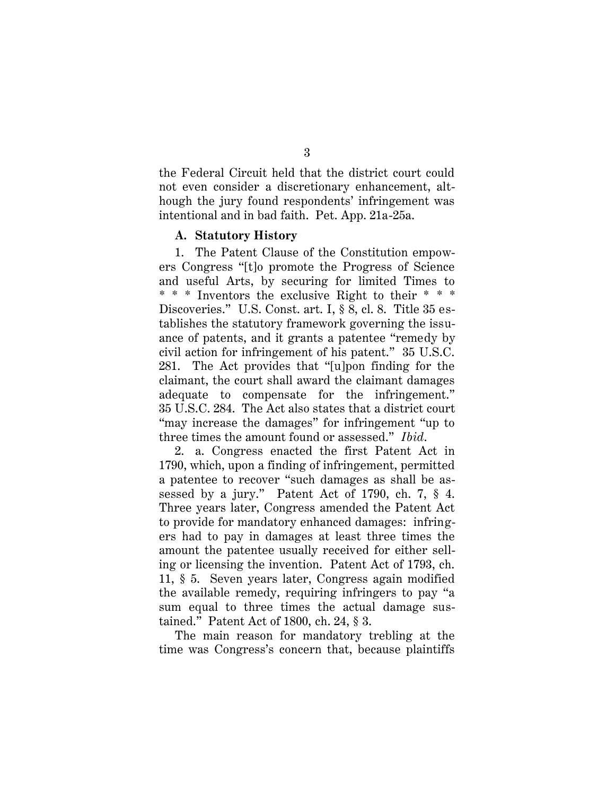the Federal Circuit held that the district court could not even consider a discretionary enhancement, although the jury found respondents' infringement was intentional and in bad faith. Pet. App. 21a-25a.

### <span id="page-20-2"></span><span id="page-20-1"></span><span id="page-20-0"></span>**A. Statutory History**

1. The Patent Clause of the Constitution empowers Congress "[t]o promote the Progress of Science and useful Arts, by securing for limited Times to \* \* \* Inventors the exclusive Right to their \* \* \* Discoveries." U.S. Const. art. I, § 8, cl. 8. Title 35 establishes the statutory framework governing the issuance of patents, and it grants a patentee "remedy by civil action for infringement of his patent." 35 U.S.C. 281. The Act provides that "[u]pon finding for the claimant, the court shall award the claimant damages adequate to compensate for the infringement." 35 U.S.C. 284. The Act also states that a district court "may increase the damages" for infringement "up to three times the amount found or assessed." *Ibid*.

<span id="page-20-3"></span>2. a. Congress enacted the first Patent Act in 1790, which, upon a finding of infringement, permitted a patentee to recover "such damages as shall be assessed by a jury." Patent Act of 1790, ch. 7, § 4. Three years later, Congress amended the Patent Act to provide for mandatory enhanced damages: infringers had to pay in damages at least three times the amount the patentee usually received for either selling or licensing the invention. Patent Act of 1793, ch. 11, § 5. Seven years later, Congress again modified the available remedy, requiring infringers to pay "a sum equal to three times the actual damage sustained." Patent Act of 1800, ch. 24, § 3.

<span id="page-20-5"></span><span id="page-20-4"></span>The main reason for mandatory trebling at the time was Congress's concern that, because plaintiffs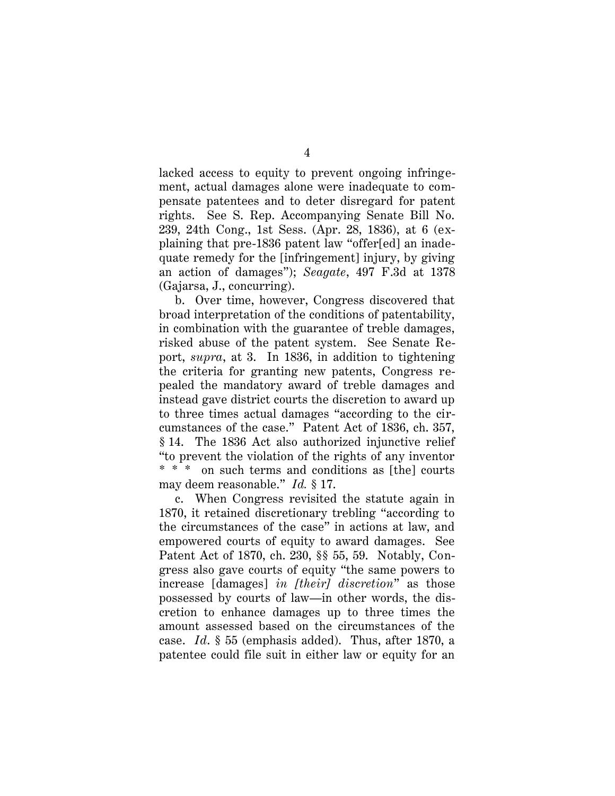lacked access to equity to prevent ongoing infringement, actual damages alone were inadequate to compensate patentees and to deter disregard for patent rights. See S. Rep. Accompanying Senate Bill No. 239, 24th Cong., 1st Sess. (Apr. 28, 1836), at 6 (explaining that pre-1836 patent law "offer[ed] an inadequate remedy for the [infringement] injury, by giving an action of damages"); *Seagate*, 497 F.3d at 1378 (Gajarsa, J., concurring).

b. Over time, however, Congress discovered that broad interpretation of the conditions of patentability, in combination with the guarantee of treble damages, risked abuse of the patent system. See Senate Report, *supra*, at 3. In 1836, in addition to tightening the criteria for granting new patents, Congress repealed the mandatory award of treble damages and instead gave district courts the discretion to award up to three times actual damages "according to the circumstances of the case." Patent Act of 1836, ch. 357, § 14. The 1836 Act also authorized injunctive relief "to prevent the violation of the rights of any inventor \* \* \* on such terms and conditions as [the] courts may deem reasonable." *Id.* § 17.

<span id="page-21-1"></span><span id="page-21-0"></span>c. When Congress revisited the statute again in 1870, it retained discretionary trebling "according to the circumstances of the case" in actions at law, and empowered courts of equity to award damages. See Patent Act of 1870, ch. 230, §§ 55, 59. Notably, Congress also gave courts of equity "the same powers to increase [damages] *in [their] discretion*" as those possessed by courts of law—in other words, the discretion to enhance damages up to three times the amount assessed based on the circumstances of the case. *Id*. § 55 (emphasis added). Thus, after 1870, a patentee could file suit in either law or equity for an

<span id="page-21-2"></span>4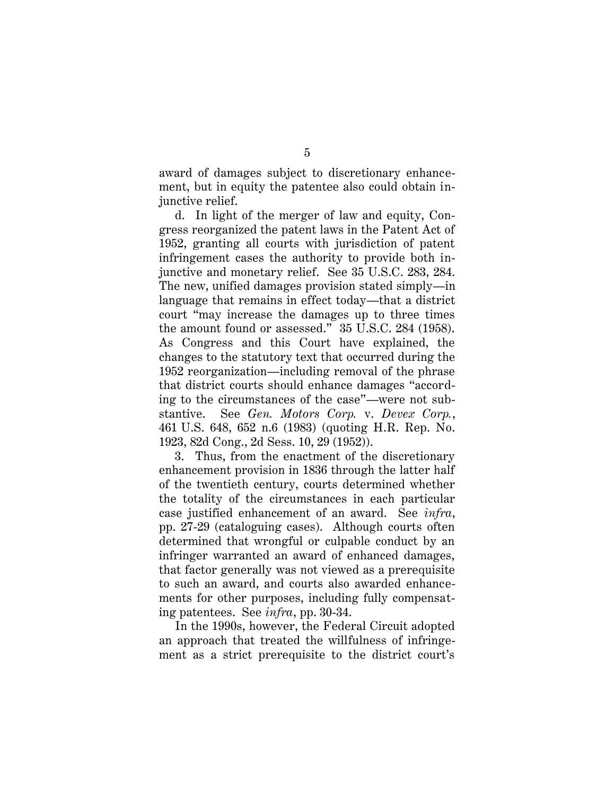award of damages subject to discretionary enhancement, but in equity the patentee also could obtain injunctive relief.

<span id="page-22-0"></span>d. In light of the merger of law and equity, Congress reorganized the patent laws in the Patent Act of 1952, granting all courts with jurisdiction of patent infringement cases the authority to provide both injunctive and monetary relief. See 35 U.S.C. 283, 284. The new, unified damages provision stated simply—in language that remains in effect today—that a district court "may increase the damages up to three times the amount found or assessed." 35 U.S.C. 284 (1958). As Congress and this Court have explained, the changes to the statutory text that occurred during the 1952 reorganization—including removal of the phrase that district courts should enhance damages "according to the circumstances of the case"—were not substantive. See *Gen. Motors Corp.* v. *Devex Corp.*, 461 U.S. 648, 652 n.6 (1983) (quoting H.R. Rep. No. 1923, 82d Cong., 2d Sess. 10, 29 (1952)).

3. Thus, from the enactment of the discretionary enhancement provision in 1836 through the latter half of the twentieth century, courts determined whether the totality of the circumstances in each particular case justified enhancement of an award. See *infra*, pp. 27-29 (cataloguing cases). Although courts often determined that wrongful or culpable conduct by an infringer warranted an award of enhanced damages, that factor generally was not viewed as a prerequisite to such an award, and courts also awarded enhancements for other purposes, including fully compensating patentees. See *infra*, pp. 30-34.

In the 1990s, however, the Federal Circuit adopted an approach that treated the willfulness of infringement as a strict prerequisite to the district court's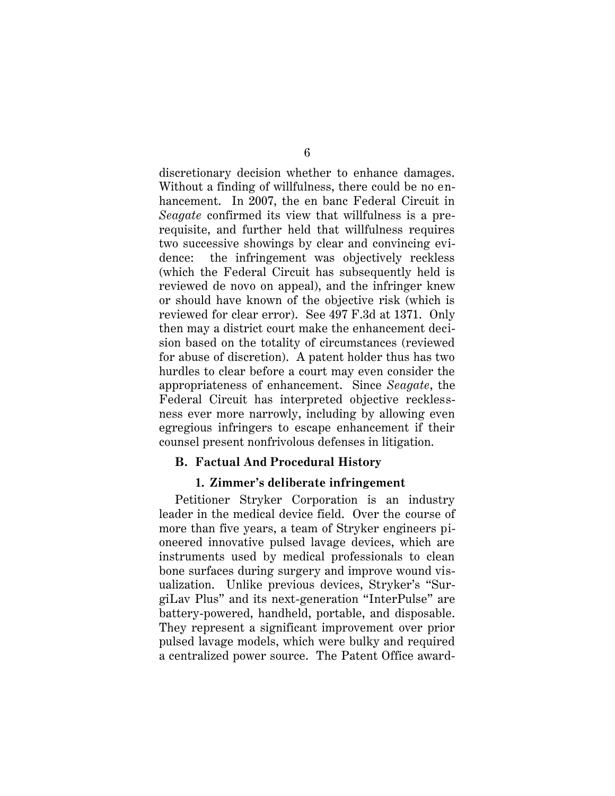discretionary decision whether to enhance damages. Without a finding of willfulness, there could be no enhancement. In 2007, the en banc Federal Circuit in *Seagate* confirmed its view that willfulness is a prerequisite, and further held that willfulness requires two successive showings by clear and convincing evidence: the infringement was objectively reckless (which the Federal Circuit has subsequently held is reviewed de novo on appeal), and the infringer knew or should have known of the objective risk (which is reviewed for clear error).See 497 F.3d at 1371. Only then may a district court make the enhancement decision based on the totality of circumstances (reviewed for abuse of discretion). A patent holder thus has two hurdles to clear before a court may even consider the appropriateness of enhancement. Since *Seagate*, the Federal Circuit has interpreted objective recklessness ever more narrowly, including by allowing even egregious infringers to escape enhancement if their counsel present nonfrivolous defenses in litigation.

### **B. Factual And Procedural History**

#### <span id="page-23-1"></span><span id="page-23-0"></span>**1. Zimmer's deliberate infringement**

Petitioner Stryker Corporation is an industry leader in the medical device field. Over the course of more than five years, a team of Stryker engineers pioneered innovative pulsed lavage devices, which are instruments used by medical professionals to clean bone surfaces during surgery and improve wound visualization. Unlike previous devices, Stryker's "SurgiLav Plus" and its next-generation "InterPulse" are battery-powered, handheld, portable, and disposable. They represent a significant improvement over prior pulsed lavage models, which were bulky and required a centralized power source. The Patent Office award-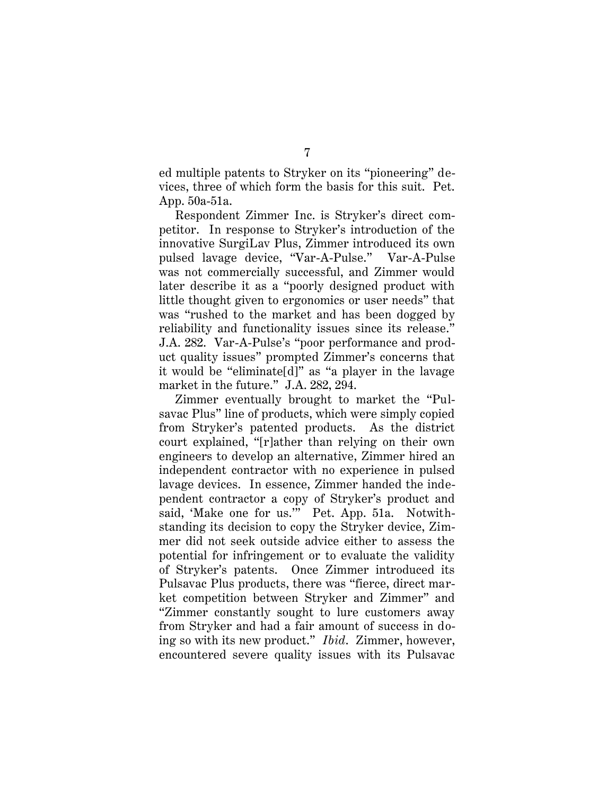ed multiple patents to Stryker on its "pioneering" devices, three of which form the basis for this suit. Pet. App. 50a-51a.

Respondent Zimmer Inc. is Stryker's direct competitor. In response to Stryker's introduction of the innovative SurgiLav Plus, Zimmer introduced its own pulsed lavage device, "Var-A-Pulse." Var-A-Pulse was not commercially successful, and Zimmer would later describe it as a "poorly designed product with little thought given to ergonomics or user needs" that was "rushed to the market and has been dogged by reliability and functionality issues since its release." J.A. 282. Var-A-Pulse's "poor performance and product quality issues" prompted Zimmer's concerns that it would be "eliminate[d]" as "a player in the lavage market in the future." J.A. 282, 294.

Zimmer eventually brought to market the "Pulsavac Plus" line of products, which were simply copied from Stryker's patented products. As the district court explained, "[r]ather than relying on their own engineers to develop an alternative, Zimmer hired an independent contractor with no experience in pulsed lavage devices. In essence, Zimmer handed the independent contractor a copy of Stryker's product and said, 'Make one for us.'" Pet. App. 51a. Notwithstanding its decision to copy the Stryker device, Zimmer did not seek outside advice either to assess the potential for infringement or to evaluate the validity of Stryker's patents. Once Zimmer introduced its Pulsavac Plus products, there was "fierce, direct market competition between Stryker and Zimmer" and "Zimmer constantly sought to lure customers away from Stryker and had a fair amount of success in doing so with its new product." *Ibid*. Zimmer, however, encountered severe quality issues with its Pulsavac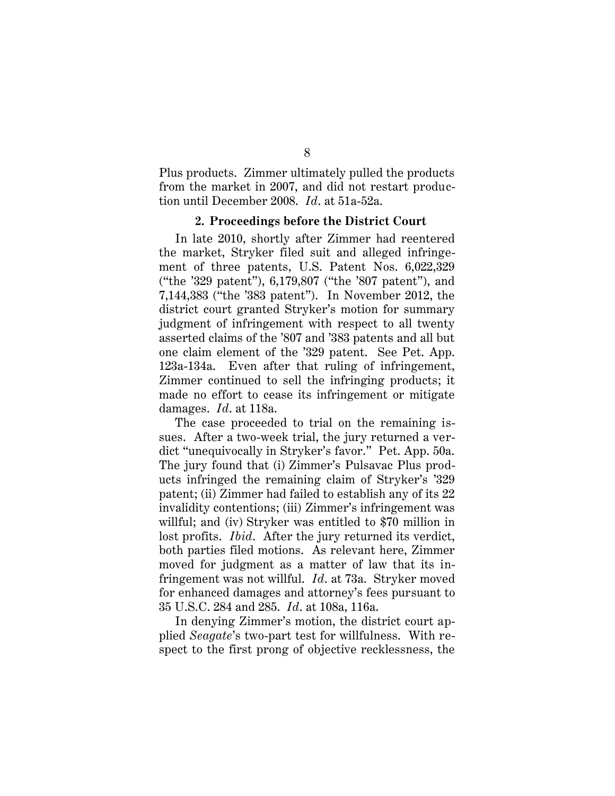Plus products. Zimmer ultimately pulled the products from the market in 2007, and did not restart production until December 2008. *Id*. at 51a-52a.

### **2. Proceedings before the District Court**

<span id="page-25-0"></span>In late 2010, shortly after Zimmer had reentered the market, Stryker filed suit and alleged infringement of three patents, U.S. Patent Nos. 6,022,329 ("the '329 patent"), 6,179,807 ("the '807 patent"), and 7,144,383 ("the '383 patent"). In November 2012, the district court granted Stryker's motion for summary judgment of infringement with respect to all twenty asserted claims of the '807 and '383 patents and all but one claim element of the '329 patent. See Pet. App. 123a-134a. Even after that ruling of infringement, Zimmer continued to sell the infringing products; it made no effort to cease its infringement or mitigate damages. *Id*. at 118a.

The case proceeded to trial on the remaining issues. After a two-week trial, the jury returned a verdict "unequivocally in Stryker's favor." Pet. App. 50a. The jury found that (i) Zimmer's Pulsavac Plus products infringed the remaining claim of Stryker's '329 patent; (ii) Zimmer had failed to establish any of its 22 invalidity contentions; (iii) Zimmer's infringement was willful; and (iv) Stryker was entitled to \$70 million in lost profits. *Ibid*. After the jury returned its verdict, both parties filed motions. As relevant here, Zimmer moved for judgment as a matter of law that its infringement was not willful. *Id*. at 73a. Stryker moved for enhanced damages and attorney's fees pursuant to 35 U.S.C. 284 and 285. *Id*. at 108a, 116a.

<span id="page-25-1"></span>In denying Zimmer's motion, the district court applied *Seagate*'s two-part test for willfulness. With respect to the first prong of objective recklessness, the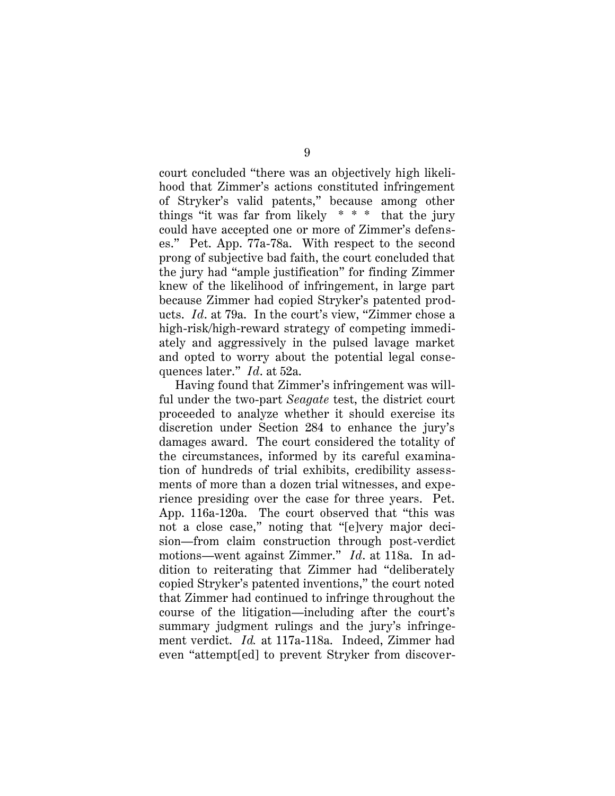court concluded "there was an objectively high likelihood that Zimmer's actions constituted infringement of Stryker's valid patents," because among other things "it was far from likely  $* * *$  that the jury could have accepted one or more of Zimmer's defenses." Pet. App. 77a-78a. With respect to the second prong of subjective bad faith, the court concluded that the jury had "ample justification" for finding Zimmer knew of the likelihood of infringement, in large part because Zimmer had copied Stryker's patented products. *Id*. at 79a. In the court's view, "Zimmer chose a high-risk/high-reward strategy of competing immediately and aggressively in the pulsed lavage market and opted to worry about the potential legal consequences later." *Id*. at 52a.

Having found that Zimmer's infringement was willful under the two-part *Seagate* test, the district court proceeded to analyze whether it should exercise its discretion under Section 284 to enhance the jury's damages award. The court considered the totality of the circumstances, informed by its careful examination of hundreds of trial exhibits, credibility assessments of more than a dozen trial witnesses, and experience presiding over the case for three years. Pet. App. 116a-120a. The court observed that "this was not a close case," noting that "[e]very major decision—from claim construction through post-verdict motions—went against Zimmer." *Id*. at 118a. In addition to reiterating that Zimmer had "deliberately copied Stryker's patented inventions," the court noted that Zimmer had continued to infringe throughout the course of the litigation—including after the court's summary judgment rulings and the jury's infringement verdict. *Id.* at 117a-118a. Indeed, Zimmer had even "attempt[ed] to prevent Stryker from discover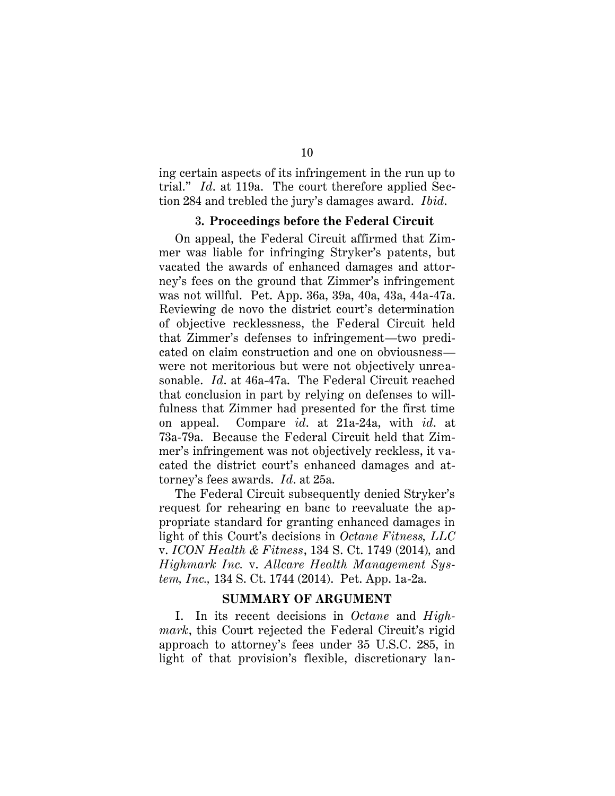ing certain aspects of its infringement in the run up to trial." *Id*. at 119a. The court therefore applied Section 284 and trebled the jury's damages award. *Ibid*.

### **3. Proceedings before the Federal Circuit**

<span id="page-27-0"></span>On appeal, the Federal Circuit affirmed that Zimmer was liable for infringing Stryker's patents, but vacated the awards of enhanced damages and attorney's fees on the ground that Zimmer's infringement was not willful. Pet. App. 36a, 39a, 40a, 43a, 44a-47a. Reviewing de novo the district court's determination of objective recklessness, the Federal Circuit held that Zimmer's defenses to infringement—two predicated on claim construction and one on obviousness were not meritorious but were not objectively unreasonable. *Id*. at 46a-47a. The Federal Circuit reached that conclusion in part by relying on defenses to willfulness that Zimmer had presented for the first time on appeal. Compare *id*. at 21a-24a, with *id*. at 73a-79a. Because the Federal Circuit held that Zimmer's infringement was not objectively reckless, it vacated the district court's enhanced damages and attorney's fees awards. *Id*. at 25a.

The Federal Circuit subsequently denied Stryker's request for rehearing en banc to reevaluate the appropriate standard for granting enhanced damages in light of this Court's decisions in *Octane Fitness, LLC* v. *ICON Health & Fitness*, 134 S. Ct. 1749 (2014)*,* and *Highmark Inc.* v. *Allcare Health Management System, Inc.,* 134 S. Ct. 1744 (2014). Pet. App. 1a-2a.

#### <span id="page-27-2"></span>**SUMMARY OF ARGUMENT**

<span id="page-27-1"></span>I. In its recent decisions in *Octane* and *Highmark*, this Court rejected the Federal Circuit's rigid approach to attorney's fees under 35 U.S.C. 285, in light of that provision's flexible, discretionary lan-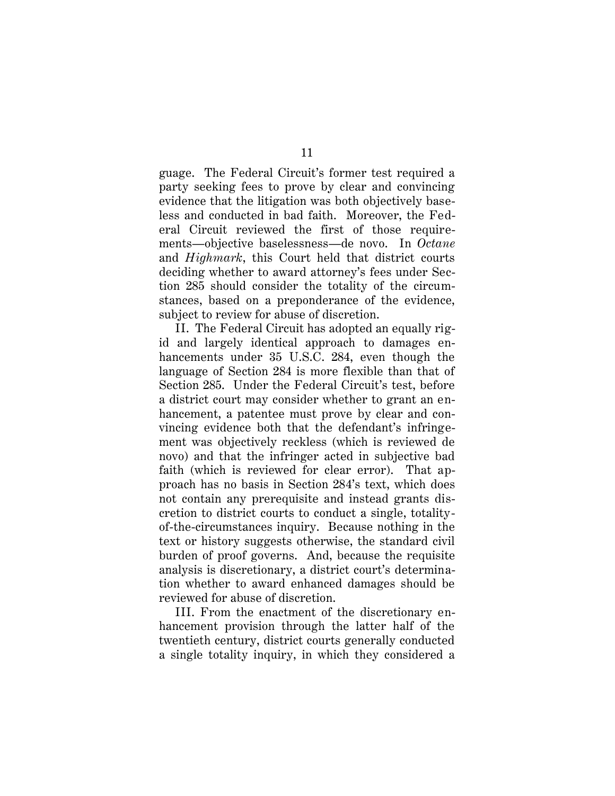guage. The Federal Circuit's former test required a party seeking fees to prove by clear and convincing evidence that the litigation was both objectively baseless and conducted in bad faith. Moreover, the Federal Circuit reviewed the first of those requirements—objective baselessness—de novo. In *Octane*  and *Highmark*, this Court held that district courts deciding whether to award attorney's fees under Section 285 should consider the totality of the circumstances, based on a preponderance of the evidence, subject to review for abuse of discretion.

II. The Federal Circuit has adopted an equally rigid and largely identical approach to damages enhancements under 35 U.S.C. 284, even though the language of Section 284 is more flexible than that of Section 285. Under the Federal Circuit's test, before a district court may consider whether to grant an enhancement, a patentee must prove by clear and convincing evidence both that the defendant's infringement was objectively reckless (which is reviewed de novo) and that the infringer acted in subjective bad faith (which is reviewed for clear error). That approach has no basis in Section 284's text, which does not contain any prerequisite and instead grants discretion to district courts to conduct a single, totalityof-the-circumstances inquiry. Because nothing in the text or history suggests otherwise, the standard civil burden of proof governs. And, because the requisite analysis is discretionary, a district court's determination whether to award enhanced damages should be reviewed for abuse of discretion.

III. From the enactment of the discretionary enhancement provision through the latter half of the twentieth century, district courts generally conducted a single totality inquiry, in which they considered a

11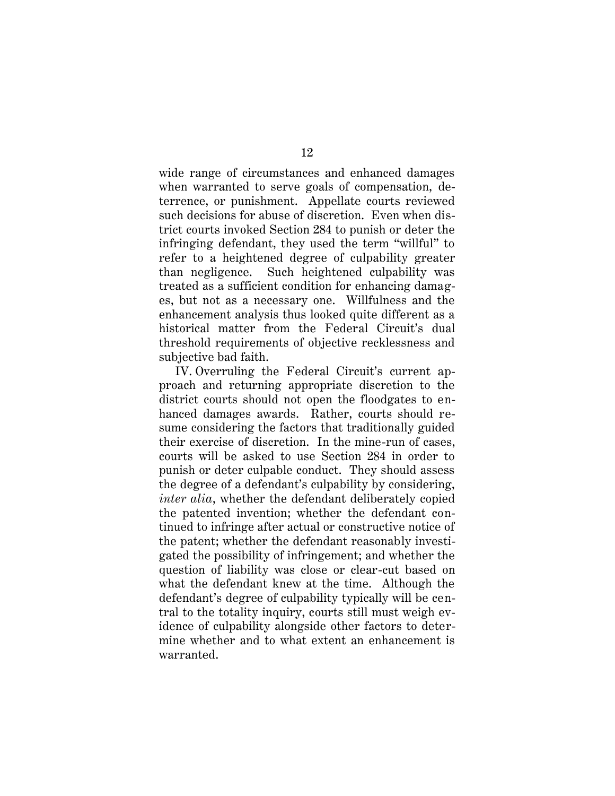wide range of circumstances and enhanced damages when warranted to serve goals of compensation, deterrence, or punishment. Appellate courts reviewed such decisions for abuse of discretion. Even when district courts invoked Section 284 to punish or deter the infringing defendant, they used the term "willful" to refer to a heightened degree of culpability greater than negligence. Such heightened culpability was treated as a sufficient condition for enhancing damages, but not as a necessary one. Willfulness and the enhancement analysis thus looked quite different as a historical matter from the Federal Circuit's dual threshold requirements of objective recklessness and subjective bad faith.

IV. Overruling the Federal Circuit's current approach and returning appropriate discretion to the district courts should not open the floodgates to enhanced damages awards. Rather, courts should resume considering the factors that traditionally guided their exercise of discretion. In the mine-run of cases, courts will be asked to use Section 284 in order to punish or deter culpable conduct. They should assess the degree of a defendant's culpability by considering, *inter alia*, whether the defendant deliberately copied the patented invention; whether the defendant continued to infringe after actual or constructive notice of the patent; whether the defendant reasonably investigated the possibility of infringement; and whether the question of liability was close or clear-cut based on what the defendant knew at the time. Although the defendant's degree of culpability typically will be central to the totality inquiry, courts still must weigh evidence of culpability alongside other factors to determine whether and to what extent an enhancement is warranted.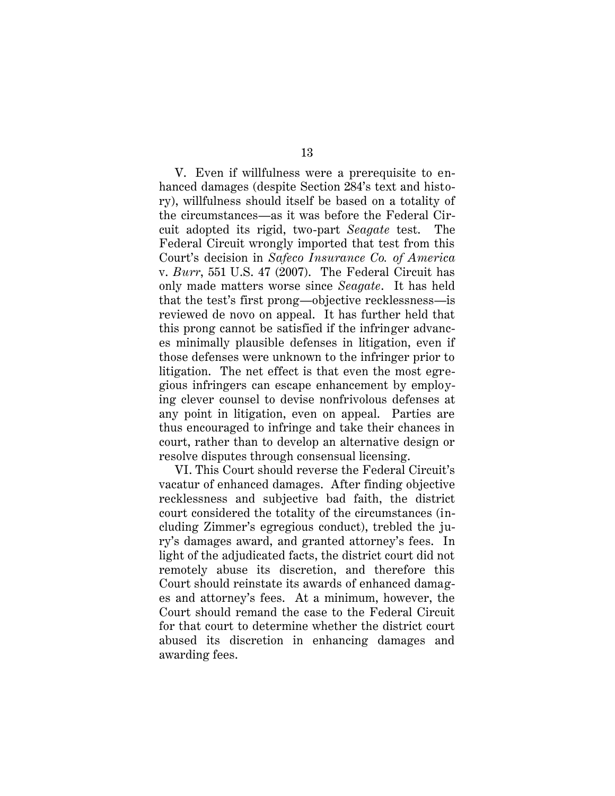<span id="page-30-0"></span>V. Even if willfulness were a prerequisite to enhanced damages (despite Section 284's text and history), willfulness should itself be based on a totality of the circumstances—as it was before the Federal Circuit adopted its rigid, two-part *Seagate* test. The Federal Circuit wrongly imported that test from this Court's decision in *Safeco Insurance Co. of America*  v. *Burr*, 551 U.S. 47 (2007). The Federal Circuit has only made matters worse since *Seagate*. It has held that the test's first prong—objective recklessness—is reviewed de novo on appeal. It has further held that this prong cannot be satisfied if the infringer advances minimally plausible defenses in litigation, even if those defenses were unknown to the infringer prior to litigation. The net effect is that even the most egregious infringers can escape enhancement by employing clever counsel to devise nonfrivolous defenses at any point in litigation, even on appeal. Parties are thus encouraged to infringe and take their chances in court, rather than to develop an alternative design or resolve disputes through consensual licensing.

VI. This Court should reverse the Federal Circuit's vacatur of enhanced damages. After finding objective recklessness and subjective bad faith, the district court considered the totality of the circumstances (including Zimmer's egregious conduct), trebled the jury's damages award, and granted attorney's fees. In light of the adjudicated facts, the district court did not remotely abuse its discretion, and therefore this Court should reinstate its awards of enhanced damages and attorney's fees. At a minimum, however, the Court should remand the case to the Federal Circuit for that court to determine whether the district court abused its discretion in enhancing damages and awarding fees.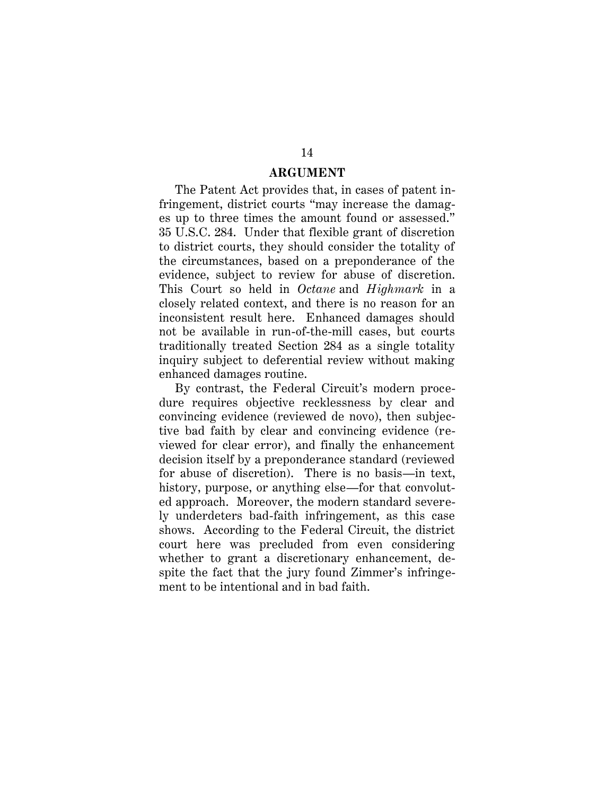### **ARGUMENT**

<span id="page-31-0"></span>The Patent Act provides that, in cases of patent infringement, district courts "may increase the damages up to three times the amount found or assessed." 35 U.S.C. 284. Under that flexible grant of discretion to district courts, they should consider the totality of the circumstances, based on a preponderance of the evidence, subject to review for abuse of discretion. This Court so held in *Octane* and *Highmark* in a closely related context, and there is no reason for an inconsistent result here. Enhanced damages should not be available in run-of-the-mill cases, but courts traditionally treated Section 284 as a single totality inquiry subject to deferential review without making enhanced damages routine.

By contrast, the Federal Circuit's modern procedure requires objective recklessness by clear and convincing evidence (reviewed de novo), then subjective bad faith by clear and convincing evidence (reviewed for clear error), and finally the enhancement decision itself by a preponderance standard (reviewed for abuse of discretion). There is no basis—in text, history, purpose, or anything else—for that convoluted approach. Moreover, the modern standard severely underdeters bad-faith infringement, as this case shows. According to the Federal Circuit, the district court here was precluded from even considering whether to grant a discretionary enhancement, despite the fact that the jury found Zimmer's infringement to be intentional and in bad faith.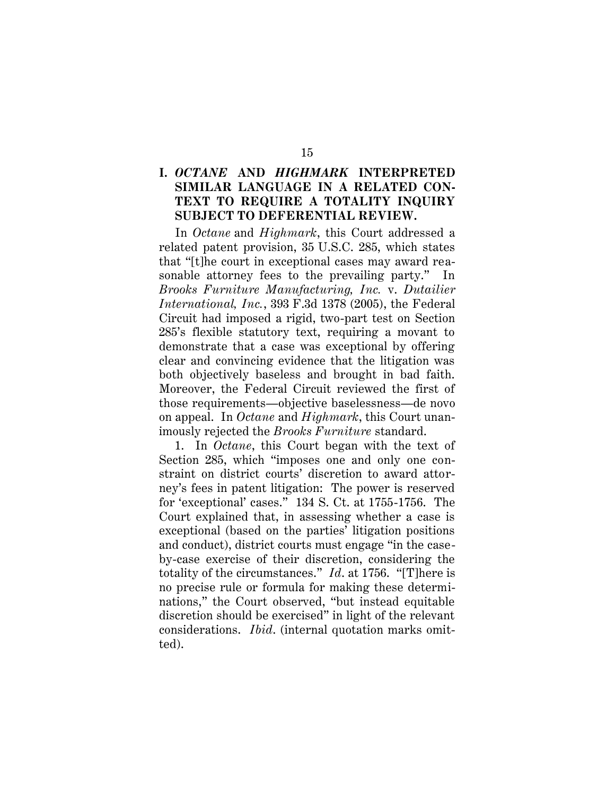## <span id="page-32-0"></span>**I.** *OCTANE* **AND** *HIGHMARK* **INTERPRETED SIMILAR LANGUAGE IN A RELATED CON-TEXT TO REQUIRE A TOTALITY INQUIRY SUBJECT TO DEFERENTIAL REVIEW.**

<span id="page-32-1"></span>In *Octane* and *Highmark*, this Court addressed a related patent provision, 35 U.S.C. 285, which states that "[t]he court in exceptional cases may award reasonable attorney fees to the prevailing party." In *Brooks Furniture Manufacturing, Inc.* v. *Dutailier International, Inc.*, 393 F.3d 1378 (2005), the Federal Circuit had imposed a rigid, two-part test on Section 285's flexible statutory text, requiring a movant to demonstrate that a case was exceptional by offering clear and convincing evidence that the litigation was both objectively baseless and brought in bad faith. Moreover, the Federal Circuit reviewed the first of those requirements—objective baselessness—de novo on appeal. In *Octane* and *Highmark*, this Court unanimously rejected the *Brooks Furniture* standard.

1. In *Octane*, this Court began with the text of Section 285, which "imposes one and only one constraint on district courts' discretion to award attorney's fees in patent litigation: The power is reserved for 'exceptional' cases." 134 S. Ct. at 1755-1756. The Court explained that, in assessing whether a case is exceptional (based on the parties' litigation positions and conduct), district courts must engage "in the caseby-case exercise of their discretion, considering the totality of the circumstances." *Id*. at 1756. "[T]here is no precise rule or formula for making these determinations," the Court observed, "but instead equitable discretion should be exercised" in light of the relevant considerations. *Ibid*. (internal quotation marks omitted).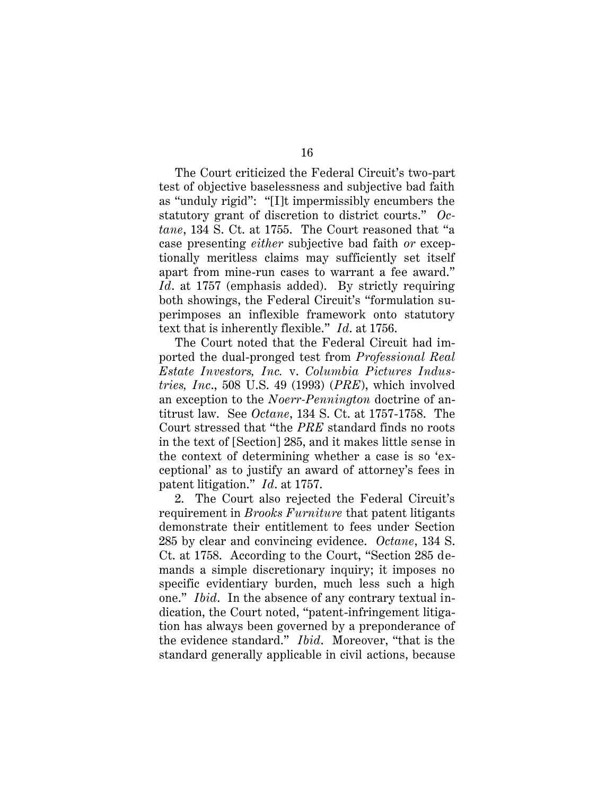The Court criticized the Federal Circuit's two-part test of objective baselessness and subjective bad faith as "unduly rigid": "[I]t impermissibly encumbers the statutory grant of discretion to district courts." *Octane*, 134 S. Ct. at 1755. The Court reasoned that "a case presenting *either* subjective bad faith *or* exceptionally meritless claims may sufficiently set itself apart from mine-run cases to warrant a fee award." *Id*. at 1757 (emphasis added). By strictly requiring both showings, the Federal Circuit's "formulation superimposes an inflexible framework onto statutory text that is inherently flexible." *Id*. at 1756.

<span id="page-33-0"></span>The Court noted that the Federal Circuit had imported the dual-pronged test from *Professional Real Estate Investors, Inc.* v. *Columbia Pictures Industries, Inc*., 508 U.S. 49 (1993) (*PRE*), which involved an exception to the *Noerr-Pennington* doctrine of antitrust law. See *Octane*, 134 S. Ct. at 1757-1758. The Court stressed that "the *PRE* standard finds no roots in the text of [Section] 285, and it makes little sense in the context of determining whether a case is so 'exceptional' as to justify an award of attorney's fees in patent litigation." *Id*. at 1757.

2. The Court also rejected the Federal Circuit's requirement in *Brooks Furniture* that patent litigants demonstrate their entitlement to fees under Section 285 by clear and convincing evidence. *Octane*, 134 S. Ct. at 1758. According to the Court, "Section 285 demands a simple discretionary inquiry; it imposes no specific evidentiary burden, much less such a high one." *Ibid*. In the absence of any contrary textual indication, the Court noted, "patent-infringement litigation has always been governed by a preponderance of the evidence standard." *Ibid*. Moreover, "that is the standard generally applicable in civil actions, because

16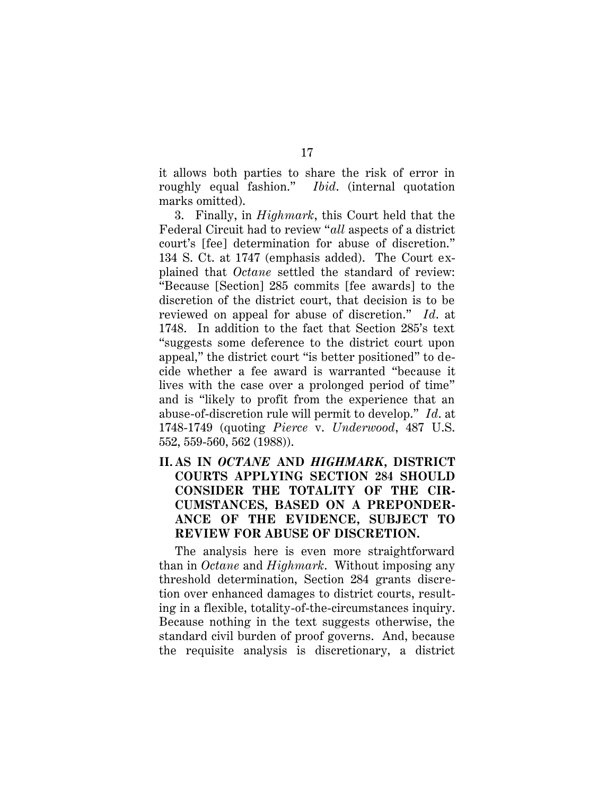it allows both parties to share the risk of error in roughly equal fashion." *Ibid*. (internal quotation marks omitted).

3. Finally, in *Highmark*, this Court held that the Federal Circuit had to review "*all* aspects of a district court's [fee] determination for abuse of discretion." 134 S. Ct. at 1747 (emphasis added). The Court explained that *Octane* settled the standard of review: "Because [Section] 285 commits [fee awards] to the discretion of the district court, that decision is to be reviewed on appeal for abuse of discretion." *Id*. at 1748. In addition to the fact that Section 285's text "suggests some deference to the district court upon appeal," the district court "is better positioned" to decide whether a fee award is warranted "because it lives with the case over a prolonged period of time" and is "likely to profit from the experience that an abuse-of-discretion rule will permit to develop." *Id*. at 1748-1749 (quoting *Pierce* v. *Underwood*, 487 U.S. 552, 559-560, 562 (1988)).

<span id="page-34-0"></span>**II. AS IN** *OCTANE* **AND** *HIGHMARK***, DISTRICT COURTS APPLYING SECTION 284 SHOULD CONSIDER THE TOTALITY OF THE CIR-CUMSTANCES, BASED ON A PREPONDER-ANCE OF THE EVIDENCE, SUBJECT TO REVIEW FOR ABUSE OF DISCRETION.**

The analysis here is even more straightforward than in *Octane* and *Highmark*. Without imposing any threshold determination, Section 284 grants discretion over enhanced damages to district courts, resulting in a flexible, totality-of-the-circumstances inquiry. Because nothing in the text suggests otherwise, the standard civil burden of proof governs. And, because the requisite analysis is discretionary, a district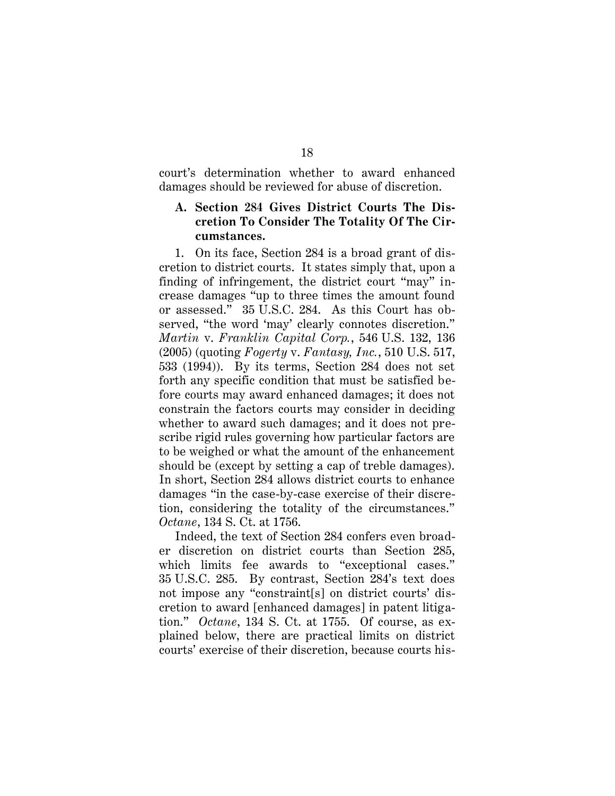court's determination whether to award enhanced damages should be reviewed for abuse of discretion.

## <span id="page-35-0"></span>**A. Section 284 Gives District Courts The Discretion To Consider The Totality Of The Circumstances.**

<span id="page-35-1"></span>1. On its face, Section 284 is a broad grant of discretion to district courts. It states simply that, upon a finding of infringement, the district court "may" increase damages "up to three times the amount found or assessed." 35 U.S.C. 284. As this Court has observed, "the word 'may' clearly connotes discretion." *Martin* v. *Franklin Capital Corp.*, 546 U.S. 132, 136 (2005) (quoting *Fogerty* v. *Fantasy, Inc.*, 510 U.S. 517, 533 (1994)). By its terms, Section 284 does not set forth any specific condition that must be satisfied before courts may award enhanced damages; it does not constrain the factors courts may consider in deciding whether to award such damages; and it does not prescribe rigid rules governing how particular factors are to be weighed or what the amount of the enhancement should be (except by setting a cap of treble damages). In short, Section 284 allows district courts to enhance damages "in the case-by-case exercise of their discretion, considering the totality of the circumstances." *Octane*, 134 S. Ct. at 1756.

Indeed, the text of Section 284 confers even broader discretion on district courts than Section 285, which limits fee awards to "exceptional cases." 35 U.S.C. 285. By contrast, Section 284's text does not impose any "constraint[s] on district courts' discretion to award [enhanced damages] in patent litigation." *Octane*, 134 S. Ct. at 1755. Of course, as explained below, there are practical limits on district courts' exercise of their discretion, because courts his-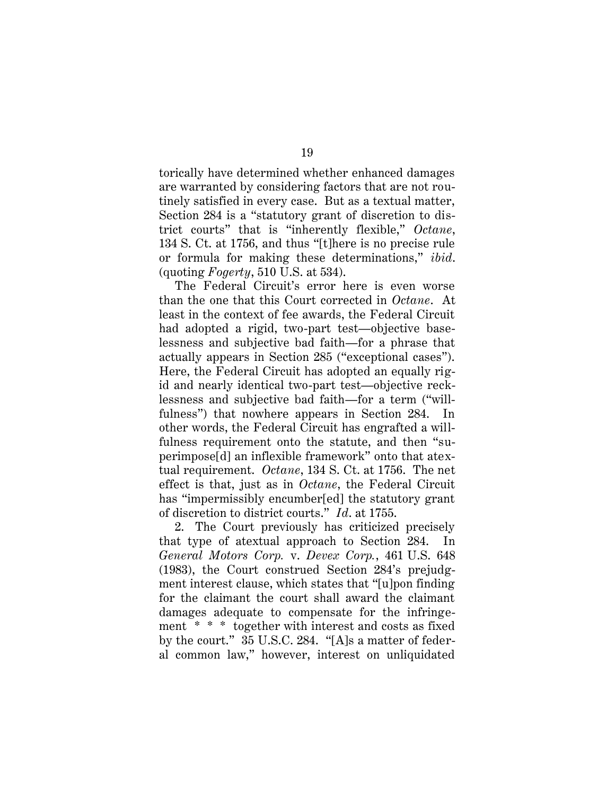torically have determined whether enhanced damages are warranted by considering factors that are not routinely satisfied in every case. But as a textual matter, Section 284 is a "statutory grant of discretion to district courts" that is "inherently flexible," *Octane*, 134 S. Ct. at 1756, and thus "[t]here is no precise rule or formula for making these determinations," *ibid*. (quoting *Fogerty*, 510 U.S. at 534).

The Federal Circuit's error here is even worse than the one that this Court corrected in *Octane*. At least in the context of fee awards, the Federal Circuit had adopted a rigid, two-part test—objective baselessness and subjective bad faith—for a phrase that actually appears in Section 285 ("exceptional cases"). Here, the Federal Circuit has adopted an equally rigid and nearly identical two-part test—objective recklessness and subjective bad faith—for a term ("willfulness") that nowhere appears in Section 284. In other words, the Federal Circuit has engrafted a willfulness requirement onto the statute, and then "superimpose[d] an inflexible framework" onto that atextual requirement. *Octane*, 134 S. Ct. at 1756. The net effect is that, just as in *Octane*, the Federal Circuit has "impermissibly encumber[ed] the statutory grant of discretion to district courts." *Id*. at 1755.

2. The Court previously has criticized precisely that type of atextual approach to Section 284. In *General Motors Corp.* v. *Devex Corp.*, 461 U.S. 648 (1983), the Court construed Section 284's prejudgment interest clause, which states that "[u]pon finding for the claimant the court shall award the claimant damages adequate to compensate for the infringement \* \* \* together with interest and costs as fixed by the court." 35 U.S.C. 284. "[A]s a matter of federal common law," however, interest on unliquidated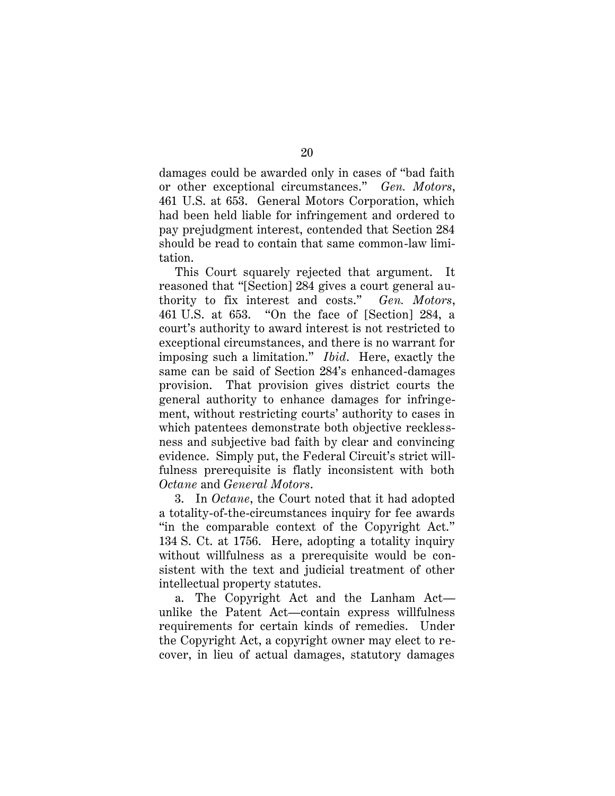damages could be awarded only in cases of "bad faith or other exceptional circumstances." *Gen. Motors*, 461 U.S. at 653. General Motors Corporation, which had been held liable for infringement and ordered to pay prejudgment interest, contended that Section 284 should be read to contain that same common-law limitation.

This Court squarely rejected that argument. It reasoned that "[Section] 284 gives a court general authority to fix interest and costs." *Gen. Motors*, 461 U.S. at 653. "On the face of [Section] 284, a court's authority to award interest is not restricted to exceptional circumstances, and there is no warrant for imposing such a limitation." *Ibid*. Here, exactly the same can be said of Section 284's enhanced-damages provision. That provision gives district courts the general authority to enhance damages for infringement, without restricting courts' authority to cases in which patentees demonstrate both objective recklessness and subjective bad faith by clear and convincing evidence. Simply put, the Federal Circuit's strict willfulness prerequisite is flatly inconsistent with both *Octane* and *General Motors*.

3. In *Octane*, the Court noted that it had adopted a totality-of-the-circumstances inquiry for fee awards "in the comparable context of the Copyright Act." 134 S. Ct. at 1756. Here, adopting a totality inquiry without willfulness as a prerequisite would be consistent with the text and judicial treatment of other intellectual property statutes.

a. The Copyright Act and the Lanham Act unlike the Patent Act—contain express willfulness requirements for certain kinds of remedies. Under the Copyright Act, a copyright owner may elect to recover, in lieu of actual damages, statutory damages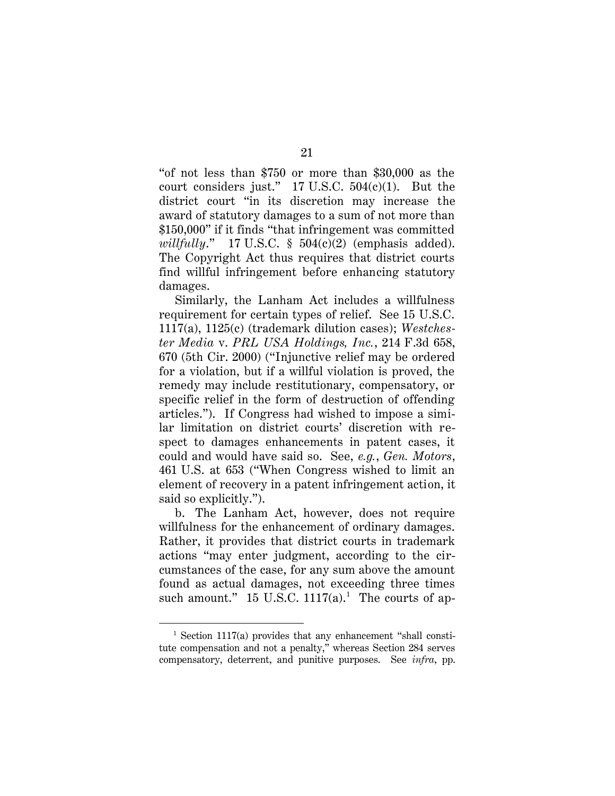"of not less than \$750 or more than \$30,000 as the court considers just."  $17 \text{ U.S.C. } 504(c)(1)$ . But the district court "in its discretion may increase the award of statutory damages to a sum of not more than \$150,000" if it finds "that infringement was committed *willfully*." 17 U.S.C. § 504(c)(2) (emphasis added). The Copyright Act thus requires that district courts find willful infringement before enhancing statutory damages.

Similarly, the Lanham Act includes a willfulness requirement for certain types of relief. See 15 U.S.C. 1117(a), 1125(c) (trademark dilution cases); *Westchester Media* v. *PRL USA Holdings, Inc.*, 214 F.3d 658, 670 (5th Cir. 2000) ("Injunctive relief may be ordered for a violation, but if a willful violation is proved, the remedy may include restitutionary, compensatory, or specific relief in the form of destruction of offending articles."). If Congress had wished to impose a similar limitation on district courts' discretion with respect to damages enhancements in patent cases, it could and would have said so. See, *e.g.*, *Gen. Motors*, 461 U.S. at 653 ("When Congress wished to limit an element of recovery in a patent infringement action, it said so explicitly.").

b. The Lanham Act, however, does not require willfulness for the enhancement of ordinary damages. Rather, it provides that district courts in trademark actions "may enter judgment, according to the circumstances of the case, for any sum above the amount found as actual damages, not exceeding three times such amount."  $15$  U.S.C.  $1117(a)$ .<sup>1</sup> The courts of ap-

 $1$  Section 1117(a) provides that any enhancement "shall constitute compensation and not a penalty," whereas Section 284 serves compensatory, deterrent, and punitive purposes. See *infra*, pp.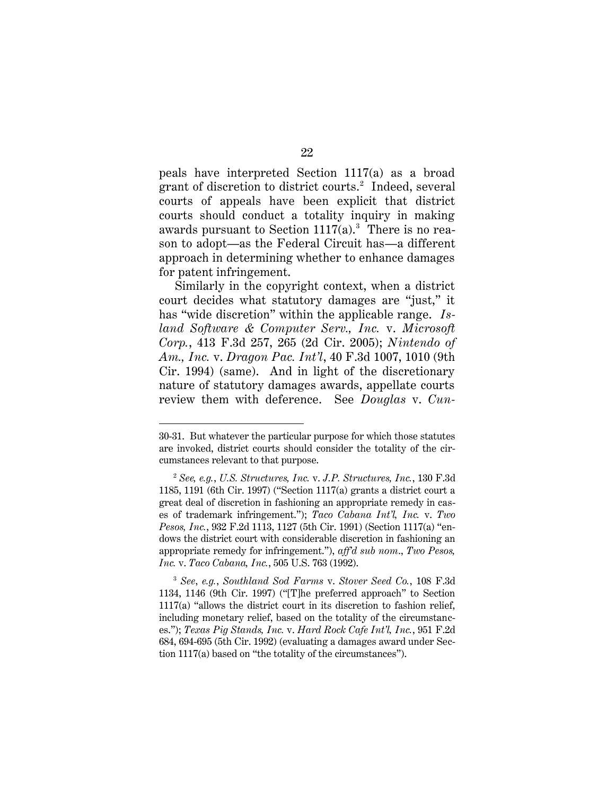peals have interpreted Section 1117(a) as a broad grant of discretion to district courts.<sup>2</sup> Indeed, several courts of appeals have been explicit that district courts should conduct a totality inquiry in making awards pursuant to Section  $1117(a)$ .<sup>3</sup> There is no reason to adopt—as the Federal Circuit has—a different approach in determining whether to enhance damages for patent infringement.

Similarly in the copyright context, when a district court decides what statutory damages are "just," it has "wide discretion" within the applicable range. *Island Software & Computer Serv., Inc.* v. *Microsoft Corp.*, 413 F.3d 257, 265 (2d Cir. 2005); *Nintendo of Am., Inc.* v. *Dragon Pac. Int'l*, 40 F.3d 1007, 1010 (9th Cir. 1994) (same). And in light of the discretionary nature of statutory damages awards, appellate courts review them with deference. See *Douglas* v. *Cun-*

<sup>30-31.</sup> But whatever the particular purpose for which those statutes are invoked, district courts should consider the totality of the circumstances relevant to that purpose.

<sup>2</sup> *See, e.g.*, *U.S. Structures, Inc.* v. *J.P. Structures, Inc.*, 130 F.3d 1185, 1191 (6th Cir. 1997) ("Section 1117(a) grants a district court a great deal of discretion in fashioning an appropriate remedy in cases of trademark infringement."); *Taco Cabana Int'l, Inc.* v. *Two Pesos, Inc.*, 932 F.2d 1113, 1127 (5th Cir. 1991) (Section 1117(a) "endows the district court with considerable discretion in fashioning an appropriate remedy for infringement."), *aff'd sub nom*., *Two Pesos, Inc.* v. *Taco Cabana, Inc.*, 505 U.S. 763 (1992).

<sup>3</sup> *See*, *e.g.*, *Southland Sod Farms* v. *Stover Seed Co.*, 108 F.3d 1134, 1146 (9th Cir. 1997) ("[T]he preferred approach" to Section 1117(a) "allows the district court in its discretion to fashion relief, including monetary relief, based on the totality of the circumstances."); *Texas Pig Stands, Inc.* v. *Hard Rock Cafe Int'l, Inc.*, 951 F.2d 684, 694-695 (5th Cir. 1992) (evaluating a damages award under Section 1117(a) based on "the totality of the circumstances").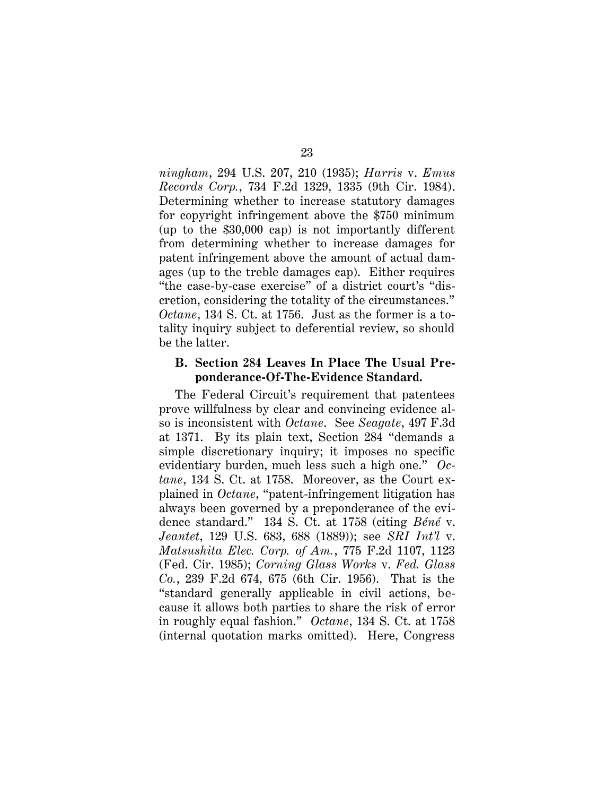*ningham*, 294 U.S. 207, 210 (1935); *Harris* v. *Emus Records Corp.*, 734 F.2d 1329, 1335 (9th Cir. 1984). Determining whether to increase statutory damages for copyright infringement above the \$750 minimum (up to the \$30,000 cap) is not importantly different from determining whether to increase damages for patent infringement above the amount of actual damages (up to the treble damages cap). Either requires "the case-by-case exercise" of a district court's "discretion, considering the totality of the circumstances." *Octane*, 134 S. Ct. at 1756. Just as the former is a totality inquiry subject to deferential review, so should be the latter.

#### **B. Section 284 Leaves In Place The Usual Preponderance-Of-The-Evidence Standard.**

The Federal Circuit's requirement that patentees prove willfulness by clear and convincing evidence also is inconsistent with *Octane*. See *Seagate*, 497 F.3d at 1371. By its plain text, Section 284 "demands a simple discretionary inquiry; it imposes no specific evidentiary burden, much less such a high one." *Octane*, 134 S. Ct. at 1758. Moreover, as the Court explained in *Octane*, "patent-infringement litigation has always been governed by a preponderance of the evidence standard." 134 S. Ct. at 1758 (citing *Béné* v. *Jeantet*, 129 U.S. 683, 688 (1889)); see *SRI Int'l* v. *Matsushita Elec. Corp. of Am.*, 775 F.2d 1107, 1123 (Fed. Cir. 1985); *Corning Glass Works* v. *Fed. Glass Co.*, 239 F.2d 674, 675 (6th Cir. 1956). That is the "standard generally applicable in civil actions, because it allows both parties to share the risk of error in roughly equal fashion." *Octane*, 134 S. Ct. at 1758 (internal quotation marks omitted). Here, Congress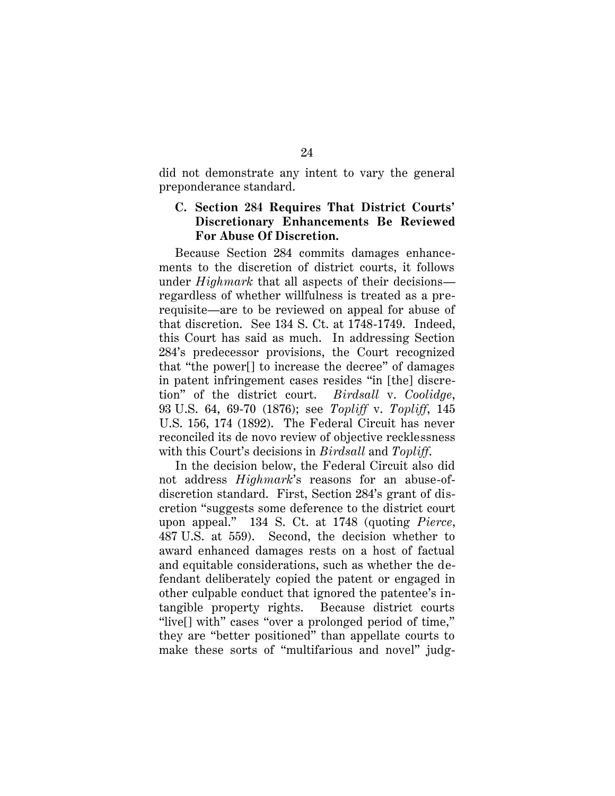did not demonstrate any intent to vary the general preponderance standard.

## **C. Section 284 Requires That District Courts' Discretionary Enhancements Be Reviewed For Abuse Of Discretion.**

Because Section 284 commits damages enhancements to the discretion of district courts, it follows under *Highmark* that all aspects of their decisions regardless of whether willfulness is treated as a prerequisite—are to be reviewed on appeal for abuse of that discretion. See 134 S. Ct. at 1748-1749. Indeed, this Court has said as much. In addressing Section 284's predecessor provisions, the Court recognized that "the power[] to increase the decree" of damages in patent infringement cases resides "in [the] discretion" of the district court. *Birdsall* v. *Coolidge*, 93 U.S. 64, 69-70 (1876); see *Topliff* v. *Topliff*, 145 U.S. 156, 174 (1892). The Federal Circuit has never reconciled its de novo review of objective recklessness with this Court's decisions in *Birdsall* and *Topliff*.

In the decision below, the Federal Circuit also did not address *Highmark*'s reasons for an abuse-ofdiscretion standard. First, Section 284's grant of discretion "suggests some deference to the district court upon appeal." 134 S. Ct. at 1748 (quoting *Pierce*, 487 U.S. at 559). Second, the decision whether to award enhanced damages rests on a host of factual and equitable considerations, such as whether the defendant deliberately copied the patent or engaged in other culpable conduct that ignored the patentee's intangible property rights. Because district courts "live[] with" cases "over a prolonged period of time," they are "better positioned" than appellate courts to make these sorts of "multifarious and novel" judg-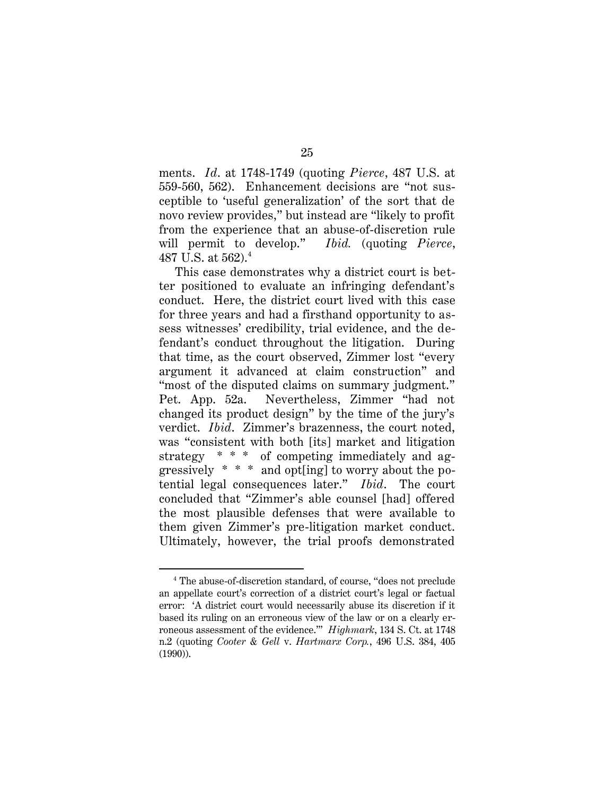ments. *Id*. at 1748-1749 (quoting *Pierce*, 487 U.S. at 559-560, 562). Enhancement decisions are "not susceptible to 'useful generalization' of the sort that de novo review provides," but instead are "likely to profit from the experience that an abuse-of-discretion rule will permit to develop." *Ibid.* (quoting *Pierce*, 487 U.S. at  $562$ ).<sup>4</sup>

This case demonstrates why a district court is better positioned to evaluate an infringing defendant's conduct. Here, the district court lived with this case for three years and had a firsthand opportunity to assess witnesses' credibility, trial evidence, and the defendant's conduct throughout the litigation. During that time, as the court observed, Zimmer lost "every argument it advanced at claim construction" and "most of the disputed claims on summary judgment." Pet. App. 52a. Nevertheless, Zimmer "had not changed its product design" by the time of the jury's verdict. *Ibid*. Zimmer's brazenness, the court noted, was "consistent with both [its] market and litigation strategy  $* * *$  of competing immediately and aggressively \* \* \* and opt[ing] to worry about the potential legal consequences later." *Ibid*. The court concluded that "Zimmer's able counsel [had] offered the most plausible defenses that were available to them given Zimmer's pre-litigation market conduct. Ultimately, however, the trial proofs demonstrated

 $\overline{a}$ 

25

<sup>4</sup> The abuse-of-discretion standard, of course, "does not preclude an appellate court's correction of a district court's legal or factual error: 'A district court would necessarily abuse its discretion if it based its ruling on an erroneous view of the law or on a clearly erroneous assessment of the evidence.'" *Highmark*, 134 S. Ct. at 1748 n.2 (quoting *Cooter* & *Gell* v. *Hartmarx Corp.*, 496 U.S. 384, 405 (1990)).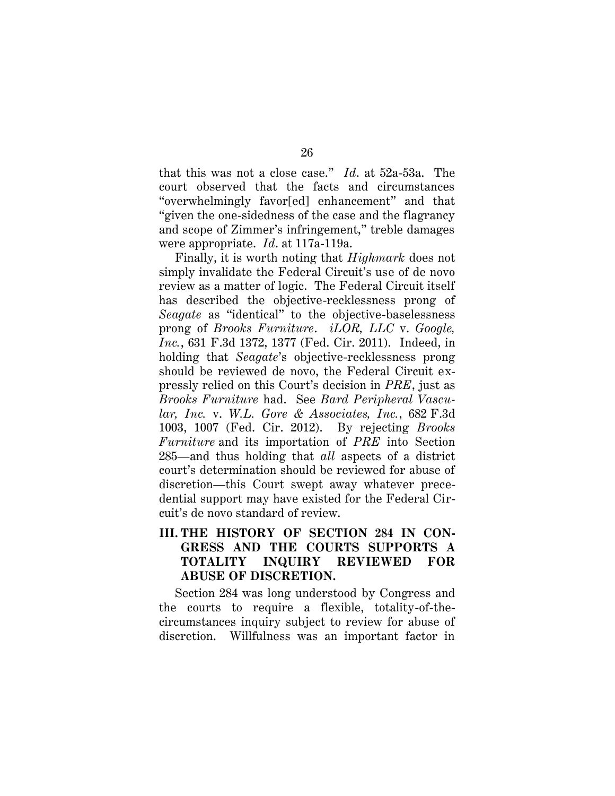that this was not a close case." *Id*. at 52a-53a. The court observed that the facts and circumstances "overwhelmingly favor[ed] enhancement" and that "given the one-sidedness of the case and the flagrancy and scope of Zimmer's infringement," treble damages were appropriate. *Id*. at 117a-119a.

Finally, it is worth noting that *Highmark* does not simply invalidate the Federal Circuit's use of de novo review as a matter of logic. The Federal Circuit itself has described the objective-recklessness prong of *Seagate* as "identical" to the objective-baselessness prong of *Brooks Furniture*. *iLOR, LLC* v. *Google, Inc.*, 631 F.3d 1372, 1377 (Fed. Cir. 2011). Indeed, in holding that *Seagate*'s objective-recklessness prong should be reviewed de novo, the Federal Circuit expressly relied on this Court's decision in *PRE*, just as *Brooks Furniture* had. See *Bard Peripheral Vascular, Inc.* v. *W.L. Gore & Associates, Inc.*, 682 F.3d 1003, 1007 (Fed. Cir. 2012). By rejecting *Brooks Furniture* and its importation of *PRE* into Section 285—and thus holding that *all* aspects of a district court's determination should be reviewed for abuse of discretion—this Court swept away whatever precedential support may have existed for the Federal Circuit's de novo standard of review.

## **III. THE HISTORY OF SECTION 284 IN CON-GRESS AND THE COURTS SUPPORTS A TOTALITY INQUIRY REVIEWED FOR ABUSE OF DISCRETION.**

Section 284 was long understood by Congress and the courts to require a flexible, totality-of-thecircumstances inquiry subject to review for abuse of discretion. Willfulness was an important factor in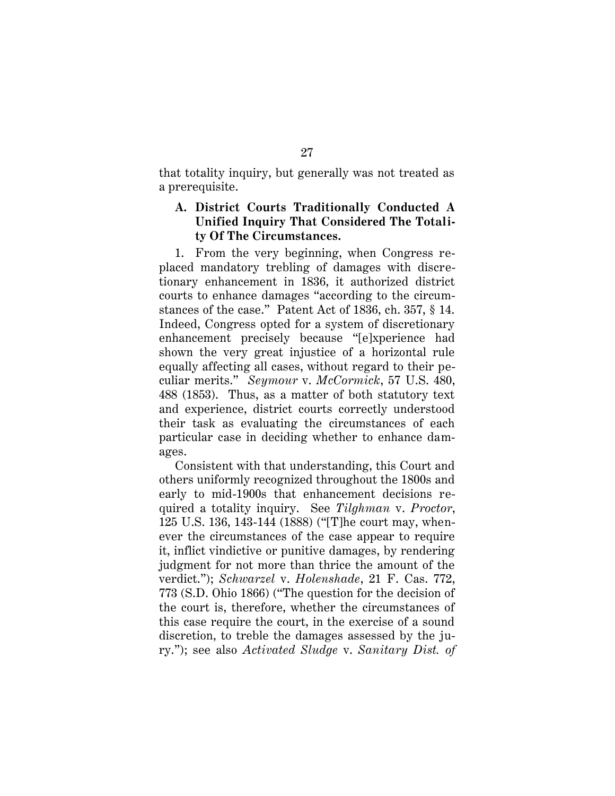that totality inquiry, but generally was not treated as a prerequisite.

## **A. District Courts Traditionally Conducted A Unified Inquiry That Considered The Totality Of The Circumstances.**

1. From the very beginning, when Congress replaced mandatory trebling of damages with discretionary enhancement in 1836, it authorized district courts to enhance damages "according to the circumstances of the case." Patent Act of 1836, ch. 357, § 14. Indeed, Congress opted for a system of discretionary enhancement precisely because "[e]xperience had shown the very great injustice of a horizontal rule equally affecting all cases, without regard to their peculiar merits." *Seymour* v. *McCormick*, 57 U.S. 480, 488 (1853). Thus, as a matter of both statutory text and experience, district courts correctly understood their task as evaluating the circumstances of each particular case in deciding whether to enhance damages.

Consistent with that understanding, this Court and others uniformly recognized throughout the 1800s and early to mid-1900s that enhancement decisions required a totality inquiry.See *Tilghman* v. *Proctor*, 125 U.S. 136, 143-144 (1888) ("[T]he court may, whenever the circumstances of the case appear to require it, inflict vindictive or punitive damages, by rendering judgment for not more than thrice the amount of the verdict."); *Schwarzel* v. *Holenshade*, 21 F. Cas. 772, 773 (S.D. Ohio 1866) ("The question for the decision of the court is, therefore, whether the circumstances of this case require the court, in the exercise of a sound discretion, to treble the damages assessed by the jury."); see also *Activated Sludge* v. *Sanitary Dist. of*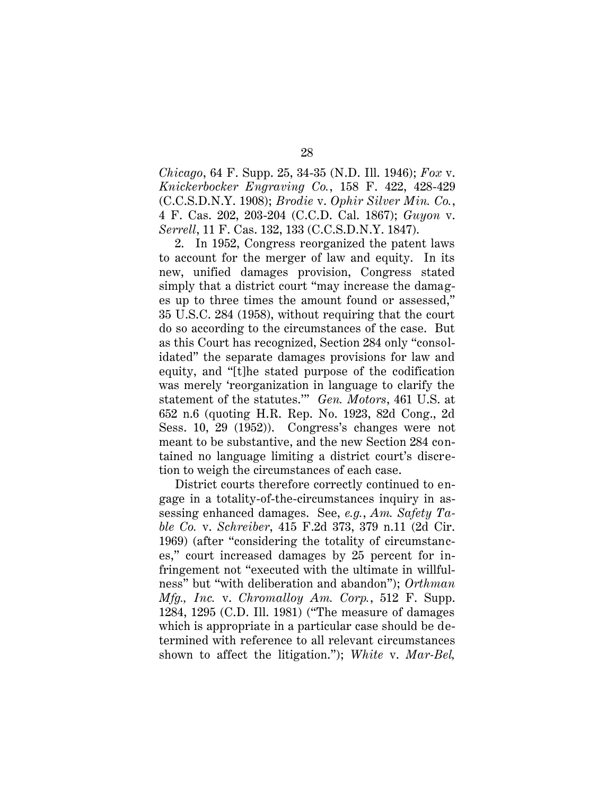*Chicago*, 64 F. Supp. 25, 34-35 (N.D. Ill. 1946); *Fox* v. *Knickerbocker Engraving Co.*, 158 F. 422, 428-429 (C.C.S.D.N.Y. 1908); *Brodie* v. *Ophir Silver Min. Co.*, 4 F. Cas. 202, 203-204 (C.C.D. Cal. 1867); *Guyon* v. *Serrell*, 11 F. Cas. 132, 133 (C.C.S.D.N.Y. 1847).

2. In 1952, Congress reorganized the patent laws to account for the merger of law and equity. In its new, unified damages provision, Congress stated simply that a district court "may increase the damages up to three times the amount found or assessed," 35 U.S.C. 284 (1958), without requiring that the court do so according to the circumstances of the case. But as this Court has recognized, Section 284 only "consolidated" the separate damages provisions for law and equity, and "[t]he stated purpose of the codification was merely 'reorganization in language to clarify the statement of the statutes.'" *Gen. Motors*, 461 U.S. at 652 n.6 (quoting H.R. Rep. No. 1923, 82d Cong., 2d Sess. 10, 29 (1952)). Congress's changes were not meant to be substantive, and the new Section 284 contained no language limiting a district court's discretion to weigh the circumstances of each case.

District courts therefore correctly continued to engage in a totality-of-the-circumstances inquiry in assessing enhanced damages. See, *e.g.*, *Am. Safety Table Co.* v. *Schreiber*, 415 F.2d 373, 379 n.11 (2d Cir. 1969) (after "considering the totality of circumstances," court increased damages by 25 percent for infringement not "executed with the ultimate in willfulness" but "with deliberation and abandon"); *Orthman Mfg., Inc.* v. *Chromalloy Am. Corp.*, 512 F. Supp. 1284, 1295 (C.D. Ill. 1981) ("The measure of damages which is appropriate in a particular case should be determined with reference to all relevant circumstances shown to affect the litigation."); *White* v. *Mar-Bel,*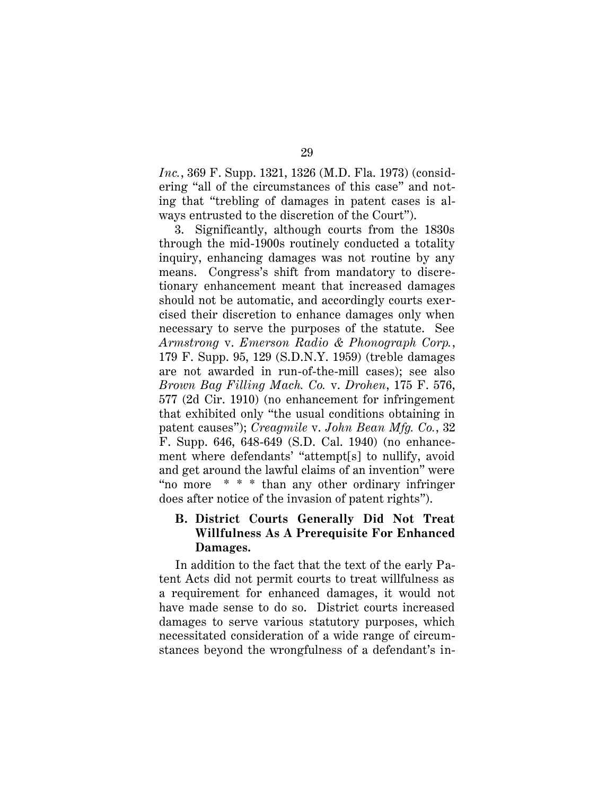*Inc.*, 369 F. Supp. 1321, 1326 (M.D. Fla. 1973) (considering "all of the circumstances of this case" and noting that "trebling of damages in patent cases is always entrusted to the discretion of the Court").

3. Significantly, although courts from the 1830s through the mid-1900s routinely conducted a totality inquiry, enhancing damages was not routine by any means. Congress's shift from mandatory to discretionary enhancement meant that increased damages should not be automatic, and accordingly courts exercised their discretion to enhance damages only when necessary to serve the purposes of the statute. See *Armstrong* v. *Emerson Radio & Phonograph Corp.*, 179 F. Supp. 95, 129 (S.D.N.Y. 1959) (treble damages are not awarded in run-of-the-mill cases); see also *Brown Bag Filling Mach. Co.* v. *Drohen*, 175 F. 576, 577 (2d Cir. 1910) (no enhancement for infringement that exhibited only "the usual conditions obtaining in patent causes"); *Creagmile* v. *John Bean Mfg. Co.*, 32 F. Supp. 646, 648-649 (S.D. Cal. 1940) (no enhancement where defendants' "attempt[s] to nullify, avoid and get around the lawful claims of an invention" were "no more \* \* \* than any other ordinary infringer does after notice of the invasion of patent rights").

# **B. District Courts Generally Did Not Treat Willfulness As A Prerequisite For Enhanced Damages.**

In addition to the fact that the text of the early Patent Acts did not permit courts to treat willfulness as a requirement for enhanced damages, it would not have made sense to do so. District courts increased damages to serve various statutory purposes, which necessitated consideration of a wide range of circumstances beyond the wrongfulness of a defendant's in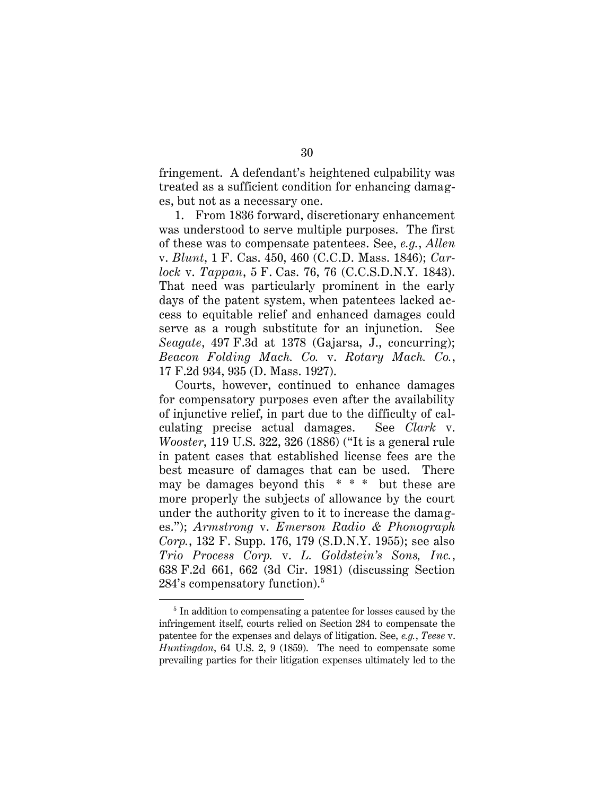fringement. A defendant's heightened culpability was treated as a sufficient condition for enhancing damages, but not as a necessary one.

1. From 1836 forward, discretionary enhancement was understood to serve multiple purposes. The first of these was to compensate patentees. See, *e.g.*, *Allen*  v. *Blunt*, 1 F. Cas. 450, 460 (C.C.D. Mass. 1846); *Carlock* v. *Tappan*, 5 F. Cas. 76, 76 (C.C.S.D.N.Y. 1843). That need was particularly prominent in the early days of the patent system, when patentees lacked access to equitable relief and enhanced damages could serve as a rough substitute for an injunction. See *Seagate*, 497 F.3d at 1378 (Gajarsa, J., concurring); *Beacon Folding Mach. Co.* v. *Rotary Mach. Co.*, 17 F.2d 934, 935 (D. Mass. 1927).

Courts, however, continued to enhance damages for compensatory purposes even after the availability of injunctive relief, in part due to the difficulty of calculating precise actual damages. See *Clark* v. *Wooster*, 119 U.S. 322, 326 (1886) ("It is a general rule in patent cases that established license fees are the best measure of damages that can be used. There may be damages beyond this  $* * *$  but these are more properly the subjects of allowance by the court under the authority given to it to increase the damages."); *Armstrong* v. *Emerson Radio & Phonograph Corp.*, 132 F. Supp. 176, 179 (S.D.N.Y. 1955); see also *Trio Process Corp.* v. *L. Goldstein's Sons, Inc.*, 638 F.2d 661, 662 (3d Cir. 1981) (discussing Section 284's compensatory function). $5$ 

<sup>&</sup>lt;sup>5</sup> In addition to compensating a patentee for losses caused by the infringement itself, courts relied on Section 284 to compensate the patentee for the expenses and delays of litigation. See, *e.g.*, *Teese* v. *Huntingdon*, 64 U.S. 2, 9 (1859). The need to compensate some prevailing parties for their litigation expenses ultimately led to the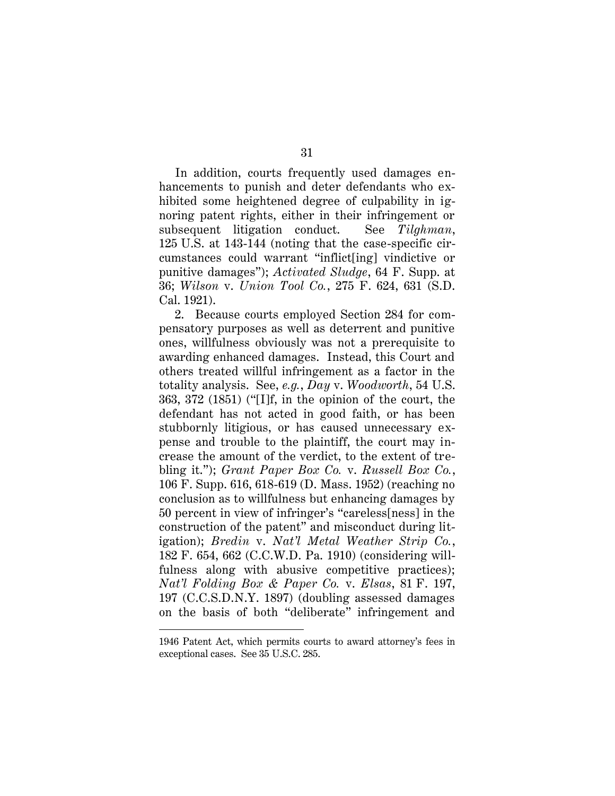In addition, courts frequently used damages enhancements to punish and deter defendants who exhibited some heightened degree of culpability in ignoring patent rights, either in their infringement or subsequent litigation conduct. See *Tilghman*, 125 U.S. at 143-144 (noting that the case-specific circumstances could warrant "inflict[ing] vindictive or punitive damages"); *Activated Sludge*, 64 F. Supp. at 36; *Wilson* v. *Union Tool Co.*, 275 F. 624, 631 (S.D. Cal. 1921).

2. Because courts employed Section 284 for compensatory purposes as well as deterrent and punitive ones, willfulness obviously was not a prerequisite to awarding enhanced damages. Instead, this Court and others treated willful infringement as a factor in the totality analysis. See, *e.g.*, *Day* v. *Woodworth*, 54 U.S. 363, 372 (1851) ("[I]f, in the opinion of the court, the defendant has not acted in good faith, or has been stubbornly litigious, or has caused unnecessary expense and trouble to the plaintiff, the court may increase the amount of the verdict, to the extent of trebling it."); *Grant Paper Box Co.* v. *Russell Box Co.*, 106 F. Supp. 616, 618-619 (D. Mass. 1952) (reaching no conclusion as to willfulness but enhancing damages by 50 percent in view of infringer's "careless[ness] in the construction of the patent" and misconduct during litigation); *Bredin* v. *Nat'l Metal Weather Strip Co.*, 182 F. 654, 662 (C.C.W.D. Pa. 1910) (considering willfulness along with abusive competitive practices); *Nat'l Folding Box & Paper Co.* v. *Elsas*, 81 F. 197, 197 (C.C.S.D.N.Y. 1897) (doubling assessed damages on the basis of both "deliberate" infringement and

<sup>1946</sup> Patent Act, which permits courts to award attorney's fees in exceptional cases. See 35 U.S.C. 285.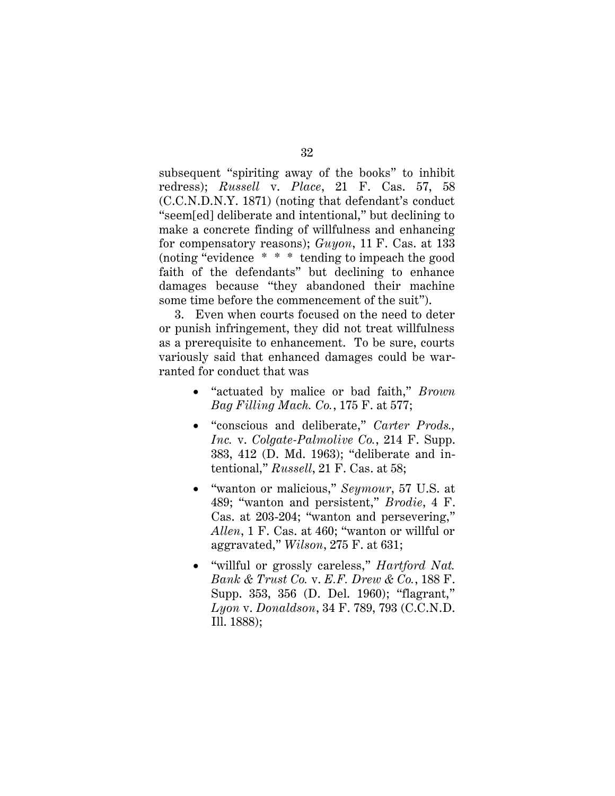subsequent "spiriting away of the books" to inhibit redress); *Russell* v. *Place*, 21 F. Cas. 57, 58 (C.C.N.D.N.Y. 1871) (noting that defendant's conduct "seem[ed] deliberate and intentional," but declining to make a concrete finding of willfulness and enhancing for compensatory reasons); *Guyon*, 11 F. Cas. at 133 (noting "evidence \* \* \* tending to impeach the good faith of the defendants" but declining to enhance damages because "they abandoned their machine some time before the commencement of the suit").

3. Even when courts focused on the need to deter or punish infringement, they did not treat willfulness as a prerequisite to enhancement. To be sure, courts variously said that enhanced damages could be warranted for conduct that was

- "actuated by malice or bad faith," *Brown Bag Filling Mach. Co.*, 175 F. at 577;
- "conscious and deliberate," *Carter Prods., Inc.* v. *Colgate-Palmolive Co.*, 214 F. Supp. 383, 412 (D. Md. 1963); "deliberate and intentional," *Russell*, 21 F. Cas. at 58;
- "wanton or malicious," *Seymour*, 57 U.S. at 489; "wanton and persistent," *Brodie*, 4 F. Cas. at 203-204; "wanton and persevering," *Allen*, 1 F. Cas. at 460; "wanton or willful or aggravated," *Wilson*, 275 F. at 631;
- "willful or grossly careless," *Hartford Nat. Bank & Trust Co.* v. *E.F. Drew & Co.*, 188 F. Supp. 353, 356 (D. Del. 1960); "flagrant," *Lyon* v. *Donaldson*, 34 F. 789, 793 (C.C.N.D. Ill. 1888);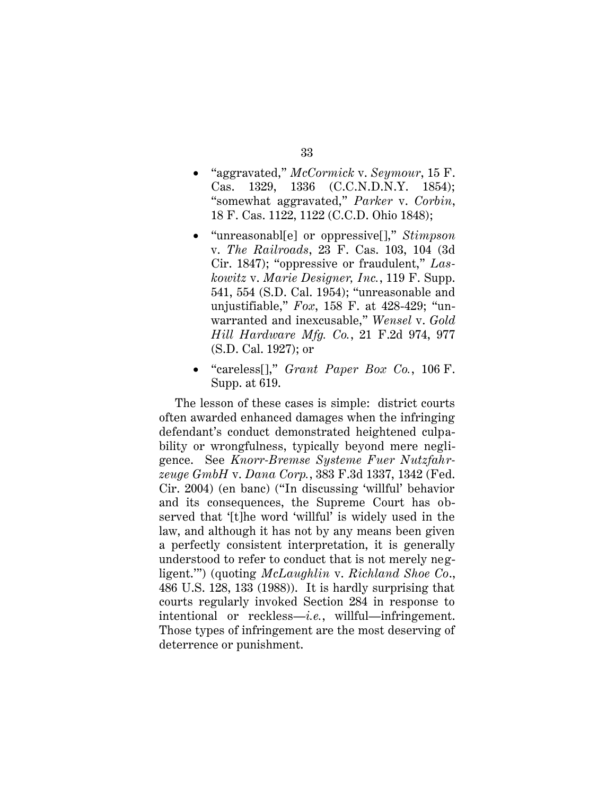- "aggravated," *McCormick* v. *Seymour*, 15 F. Cas. 1329, 1336 (C.C.N.D.N.Y. 1854); "somewhat aggravated," *Parker* v. *Corbin*, 18 F. Cas. 1122, 1122 (C.C.D. Ohio 1848);
- "unreasonabl[e] or oppressive[]," *Stimpson*  v. *The Railroads*, 23 F. Cas. 103, 104 (3d Cir. 1847); "oppressive or fraudulent," *Laskowitz* v. *Marie Designer, Inc.*, 119 F. Supp. 541, 554 (S.D. Cal. 1954); "unreasonable and unjustifiable," *Fox*, 158 F. at 428-429; "unwarranted and inexcusable," *Wensel* v. *Gold Hill Hardware Mfg. Co.*, 21 F.2d 974, 977 (S.D. Cal. 1927); or
- "careless[]," *Grant Paper Box Co.*, 106 F. Supp. at 619.

The lesson of these cases is simple: district courts often awarded enhanced damages when the infringing defendant's conduct demonstrated heightened culpability or wrongfulness, typically beyond mere negligence. See *Knorr-Bremse Systeme Fuer Nutzfahrzeuge GmbH* v. *Dana Corp.*, 383 F.3d 1337, 1342 (Fed. Cir. 2004) (en banc) ("In discussing 'willful' behavior and its consequences, the Supreme Court has observed that '[t]he word 'willful' is widely used in the law, and although it has not by any means been given a perfectly consistent interpretation, it is generally understood to refer to conduct that is not merely negligent.'") (quoting *McLaughlin* v. *Richland Shoe Co*., 486 U.S. 128, 133 (1988)). It is hardly surprising that courts regularly invoked Section 284 in response to intentional or reckless—*i.e.*, willful—infringement. Those types of infringement are the most deserving of deterrence or punishment.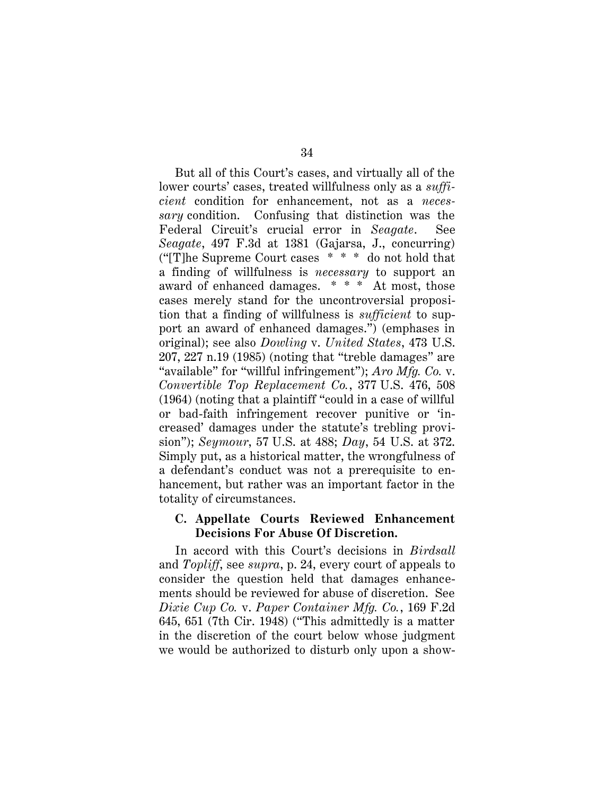But all of this Court's cases, and virtually all of the lower courts' cases, treated willfulness only as a *sufficient* condition for enhancement, not as a *necessary* condition. Confusing that distinction was the Federal Circuit's crucial error in *Seagate*. See *Seagate*, 497 F.3d at 1381 (Gajarsa, J., concurring) ("[T]he Supreme Court cases \* \* \* do not hold that a finding of willfulness is *necessary* to support an award of enhanced damages. \* \* \* At most, those cases merely stand for the uncontroversial proposition that a finding of willfulness is *sufficient* to support an award of enhanced damages.") (emphases in original); see also *Dowling* v. *United States*, 473 U.S. 207, 227 n.19 (1985) (noting that "treble damages" are "available" for "willful infringement"); *Aro Mfg. Co.* v. *Convertible Top Replacement Co.*, 377 U.S. 476, 508 (1964) (noting that a plaintiff "could in a case of willful or bad-faith infringement recover punitive or 'increased' damages under the statute's trebling provision"); *Seymour*, 57 U.S. at 488; *Day*, 54 U.S. at 372. Simply put, as a historical matter, the wrongfulness of a defendant's conduct was not a prerequisite to enhancement, but rather was an important factor in the totality of circumstances.

#### **C. Appellate Courts Reviewed Enhancement Decisions For Abuse Of Discretion.**

In accord with this Court's decisions in *Birdsall* and *Topliff*, see *supra*, p. 24, every court of appeals to consider the question held that damages enhancements should be reviewed for abuse of discretion. See *Dixie Cup Co.* v. *Paper Container Mfg. Co.*, 169 F.2d 645, 651 (7th Cir. 1948) ("This admittedly is a matter in the discretion of the court below whose judgment we would be authorized to disturb only upon a show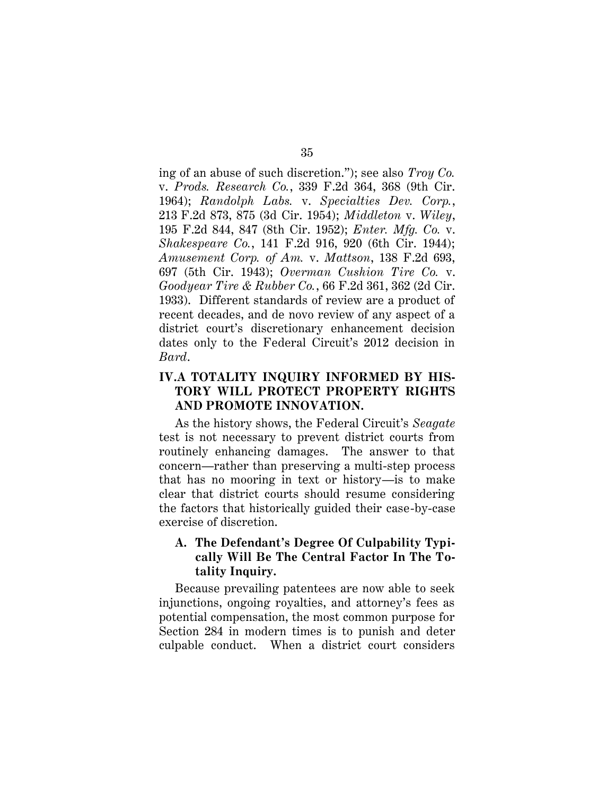ing of an abuse of such discretion."); see also *Troy Co.*  v. *Prods. Research Co.*, 339 F.2d 364, 368 (9th Cir. 1964); *Randolph Labs.* v. *Specialties Dev. Corp.*, 213 F.2d 873, 875 (3d Cir. 1954); *Middleton* v. *Wiley*, 195 F.2d 844, 847 (8th Cir. 1952); *Enter. Mfg. Co.* v. *Shakespeare Co.*, 141 F.2d 916, 920 (6th Cir. 1944); *Amusement Corp. of Am.* v. *Mattson*, 138 F.2d 693, 697 (5th Cir. 1943); *Overman Cushion Tire Co.* v. *Goodyear Tire & Rubber Co.*, 66 F.2d 361, 362 (2d Cir. 1933). Different standards of review are a product of recent decades, and de novo review of any aspect of a district court's discretionary enhancement decision dates only to the Federal Circuit's 2012 decision in *Bard*.

# **IV.A TOTALITY INQUIRY INFORMED BY HIS-TORY WILL PROTECT PROPERTY RIGHTS AND PROMOTE INNOVATION.**

As the history shows, the Federal Circuit's *Seagate* test is not necessary to prevent district courts from routinely enhancing damages. The answer to that concern—rather than preserving a multi-step process that has no mooring in text or history—is to make clear that district courts should resume considering the factors that historically guided their case-by-case exercise of discretion.

# **A. The Defendant's Degree Of Culpability Typically Will Be The Central Factor In The Totality Inquiry.**

Because prevailing patentees are now able to seek injunctions, ongoing royalties, and attorney's fees as potential compensation, the most common purpose for Section 284 in modern times is to punish and deter culpable conduct. When a district court considers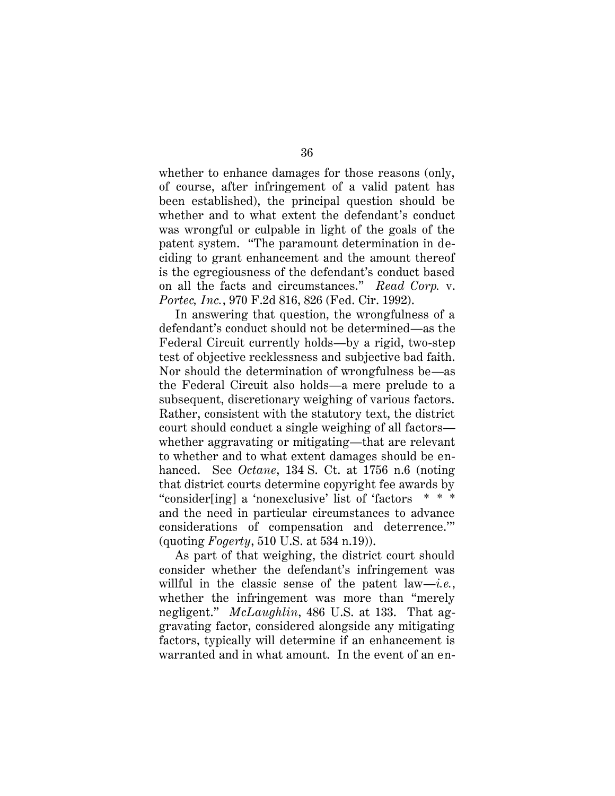whether to enhance damages for those reasons (only, of course, after infringement of a valid patent has been established), the principal question should be whether and to what extent the defendant's conduct was wrongful or culpable in light of the goals of the patent system. "The paramount determination in deciding to grant enhancement and the amount thereof is the egregiousness of the defendant's conduct based on all the facts and circumstances." *Read Corp.* v. *Portec, Inc.*, 970 F.2d 816, 826 (Fed. Cir. 1992).

In answering that question, the wrongfulness of a defendant's conduct should not be determined—as the Federal Circuit currently holds—by a rigid, two-step test of objective recklessness and subjective bad faith. Nor should the determination of wrongfulness be—as the Federal Circuit also holds—a mere prelude to a subsequent, discretionary weighing of various factors. Rather, consistent with the statutory text, the district court should conduct a single weighing of all factors whether aggravating or mitigating—that are relevant to whether and to what extent damages should be enhanced. See *Octane*, 134 S. Ct. at 1756 n.6 (noting that district courts determine copyright fee awards by "consider[ing] a 'nonexclusive' list of 'factors \* \* \* and the need in particular circumstances to advance considerations of compensation and deterrence.'" (quoting *Fogerty*, 510 U.S. at 534 n.19)).

As part of that weighing, the district court should consider whether the defendant's infringement was willful in the classic sense of the patent law—*i.e.*, whether the infringement was more than "merely negligent." *McLaughlin*, 486 U.S. at 133. That aggravating factor, considered alongside any mitigating factors, typically will determine if an enhancement is warranted and in what amount. In the event of an en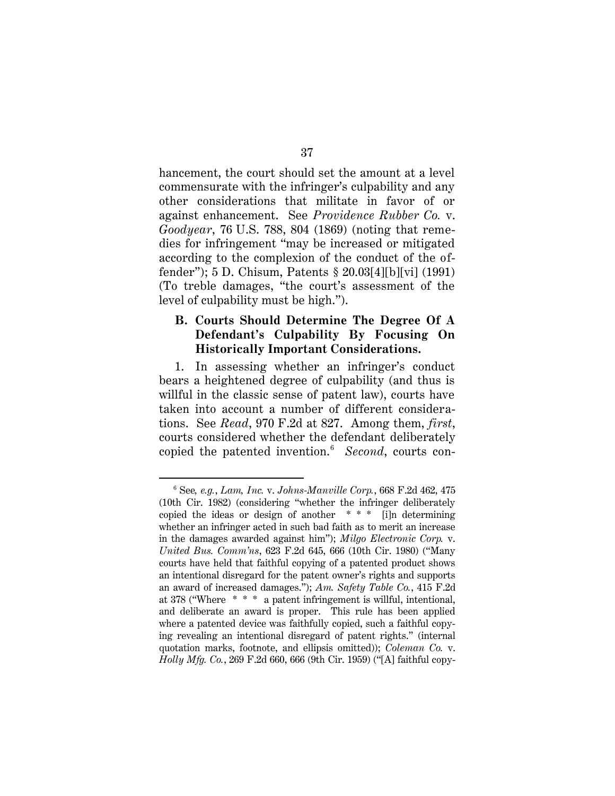hancement, the court should set the amount at a level commensurate with the infringer's culpability and any other considerations that militate in favor of or against enhancement. See *Providence Rubber Co.* v. *Goodyear*, 76 U.S. 788, 804 (1869) (noting that remedies for infringement "may be increased or mitigated according to the complexion of the conduct of the offender"); 5 D. Chisum, Patents § 20.03[4][b][vi] (1991) (To treble damages, "the court's assessment of the level of culpability must be high.").

## **B. Courts Should Determine The Degree Of A Defendant's Culpability By Focusing On Historically Important Considerations.**

1. In assessing whether an infringer's conduct bears a heightened degree of culpability (and thus is willful in the classic sense of patent law), courts have taken into account a number of different considerations. See *Read*, 970 F.2d at 827. Among them, *first*, courts considered whether the defendant deliberately copied the patented invention.<sup>6</sup> *Second*, courts con-

<sup>6</sup> See*, e.g.*, *Lam, Inc.* v. *Johns-Manville Corp.*, 668 F.2d 462, 475 (10th Cir. 1982) (considering "whether the infringer deliberately copied the ideas or design of another  $***$  [i]n determining whether an infringer acted in such bad faith as to merit an increase in the damages awarded against him"); *Milgo Electronic Corp.* v. *United Bus. Comm'ns*, 623 F.2d 645, 666 (10th Cir. 1980) ("Many courts have held that faithful copying of a patented product shows an intentional disregard for the patent owner's rights and supports an award of increased damages."); *Am. Safety Table Co.*, 415 F.2d at 378 ("Where \* \* \* a patent infringement is willful, intentional, and deliberate an award is proper. This rule has been applied where a patented device was faithfully copied, such a faithful copying revealing an intentional disregard of patent rights." (internal quotation marks, footnote, and ellipsis omitted)); *Coleman Co.* v. *Holly Mfg. Co.*, 269 F.2d 660, 666 (9th Cir. 1959) ("[A] faithful copy-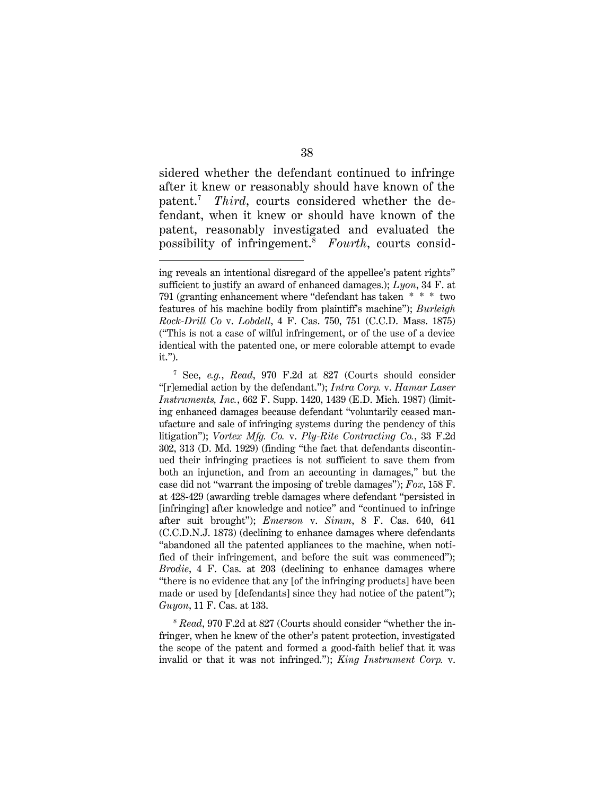sidered whether the defendant continued to infringe after it knew or reasonably should have known of the patent.<sup>7</sup> *Third*, courts considered whether the defendant, when it knew or should have known of the patent, reasonably investigated and evaluated the possibility of infringement.<sup>8</sup> *Fourth*, courts consid-

ing reveals an intentional disregard of the appellee's patent rights" sufficient to justify an award of enhanced damages.); *Lyon*, 34 F. at 791 (granting enhancement where "defendant has taken \* \* \* two features of his machine bodily from plaintiff's machine"); *Burleigh Rock-Drill Co* v. *Lobdell*, 4 F. Cas. 750, 751 (C.C.D. Mass. 1875) ("This is not a case of wilful infringement, or of the use of a device identical with the patented one, or mere colorable attempt to evade it.").

<sup>7</sup> See, *e.g.*, *Read*, 970 F.2d at 827 (Courts should consider "[r]emedial action by the defendant."); *Intra Corp.* v. *Hamar Laser Instruments, Inc.*, 662 F. Supp. 1420, 1439 (E.D. Mich. 1987) (limiting enhanced damages because defendant "voluntarily ceased manufacture and sale of infringing systems during the pendency of this litigation"); *Vortex Mfg. Co.* v. *Ply-Rite Contracting Co.*, 33 F.2d 302, 313 (D. Md. 1929) (finding "the fact that defendants discontinued their infringing practices is not sufficient to save them from both an injunction, and from an accounting in damages," but the case did not "warrant the imposing of treble damages"); *Fox*, 158 F. at 428-429 (awarding treble damages where defendant "persisted in [infringing] after knowledge and notice" and "continued to infringe after suit brought"); *Emerson* v. *Simm*, 8 F. Cas. 640, 641 (C.C.D.N.J. 1873) (declining to enhance damages where defendants "abandoned all the patented appliances to the machine, when notified of their infringement, and before the suit was commenced"); *Brodie*, 4 F. Cas. at 203 (declining to enhance damages where "there is no evidence that any [of the infringing products] have been made or used by [defendants] since they had notice of the patent"); *Guyon*, 11 F. Cas. at 133.

<sup>8</sup> *Read*, 970 F.2d at 827 (Courts should consider "whether the infringer, when he knew of the other's patent protection, investigated the scope of the patent and formed a good-faith belief that it was invalid or that it was not infringed."); *King Instrument Corp.* v.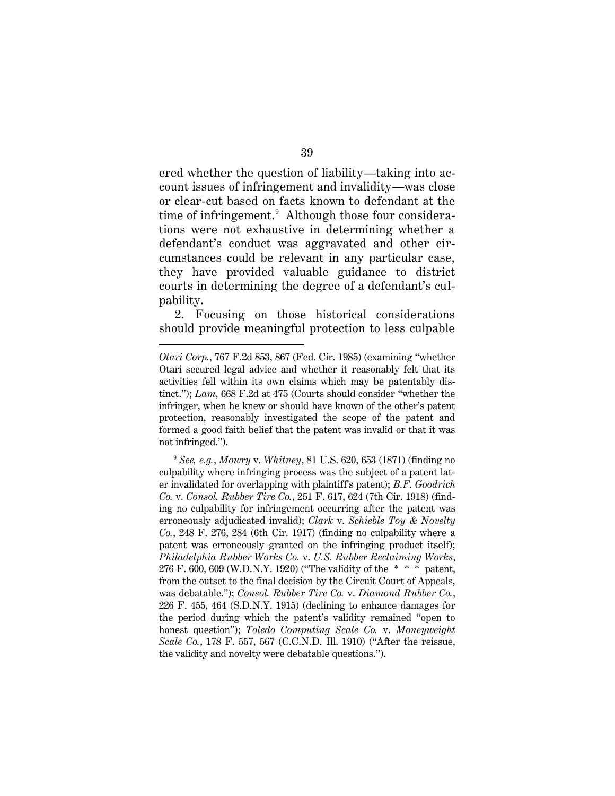ered whether the question of liability—taking into account issues of infringement and invalidity—was close or clear-cut based on facts known to defendant at the time of infringement.<sup>9</sup> Although those four considerations were not exhaustive in determining whether a defendant's conduct was aggravated and other circumstances could be relevant in any particular case, they have provided valuable guidance to district courts in determining the degree of a defendant's culpability.

2. Focusing on those historical considerations should provide meaningful protection to less culpable

*Otari Corp.*, 767 F.2d 853, 867 (Fed. Cir. 1985) (examining "whether Otari secured legal advice and whether it reasonably felt that its activities fell within its own claims which may be patentably distinct."); *Lam*, 668 F.2d at 475 (Courts should consider "whether the infringer, when he knew or should have known of the other's patent protection, reasonably investigated the scope of the patent and formed a good faith belief that the patent was invalid or that it was not infringed.").

<sup>9</sup> *See, e.g.*, *Mowry* v. *Whitney*, 81 U.S. 620, 653 (1871) (finding no culpability where infringing process was the subject of a patent later invalidated for overlapping with plaintiff's patent); *B.F. Goodrich Co.* v. *Consol. Rubber Tire Co.*, 251 F. 617, 624 (7th Cir. 1918) (finding no culpability for infringement occurring after the patent was erroneously adjudicated invalid); *Clark* v. *Schieble Toy & Novelty Co.*, 248 F. 276, 284 (6th Cir. 1917) (finding no culpability where a patent was erroneously granted on the infringing product itself); *Philadelphia Rubber Works Co.* v. *U.S. Rubber Reclaiming Works*, 276 F. 600, 609 (W.D.N.Y. 1920) ("The validity of the \* \* \* patent, from the outset to the final decision by the Circuit Court of Appeals, was debatable."); *Consol. Rubber Tire Co.* v. *Diamond Rubber Co.*, 226 F. 455, 464 (S.D.N.Y. 1915) (declining to enhance damages for the period during which the patent's validity remained "open to honest question"); *Toledo Computing Scale Co.* v. *Moneyweight Scale Co.*, 178 F. 557, 567 (C.C.N.D. Ill. 1910) ("After the reissue, the validity and novelty were debatable questions.").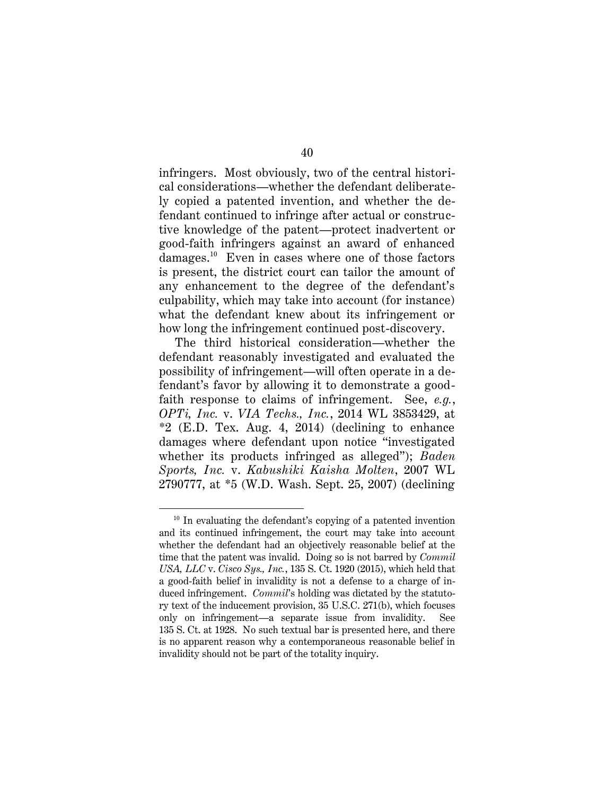infringers. Most obviously, two of the central historical considerations—whether the defendant deliberately copied a patented invention, and whether the defendant continued to infringe after actual or constructive knowledge of the patent—protect inadvertent or good-faith infringers against an award of enhanced damages.<sup>10</sup> Even in cases where one of those factors is present, the district court can tailor the amount of any enhancement to the degree of the defendant's culpability, which may take into account (for instance) what the defendant knew about its infringement or how long the infringement continued post-discovery.

The third historical consideration—whether the defendant reasonably investigated and evaluated the possibility of infringement—will often operate in a defendant's favor by allowing it to demonstrate a goodfaith response to claims of infringement. See, *e.g.*, *OPTi, Inc.* v. *VIA Techs., Inc.*, 2014 WL 3853429, at  $*2$  (E.D. Tex. Aug. 4, 2014) (declining to enhance damages where defendant upon notice "investigated whether its products infringed as alleged"); *Baden Sports, Inc.* v. *Kabushiki Kaisha Molten*, 2007 WL 2790777, at \*5 (W.D. Wash. Sept. 25, 2007) (declining

 $10$  In evaluating the defendant's copying of a patented invention and its continued infringement, the court may take into account whether the defendant had an objectively reasonable belief at the time that the patent was invalid. Doing so is not barred by *Commil USA, LLC* v. *Cisco Sys., Inc.*, 135 S. Ct. 1920 (2015), which held that a good-faith belief in invalidity is not a defense to a charge of induced infringement. *Commil*'s holding was dictated by the statutory text of the inducement provision, 35 U.S.C. 271(b), which focuses only on infringement—a separate issue from invalidity. See 135 S. Ct. at 1928. No such textual bar is presented here, and there is no apparent reason why a contemporaneous reasonable belief in invalidity should not be part of the totality inquiry.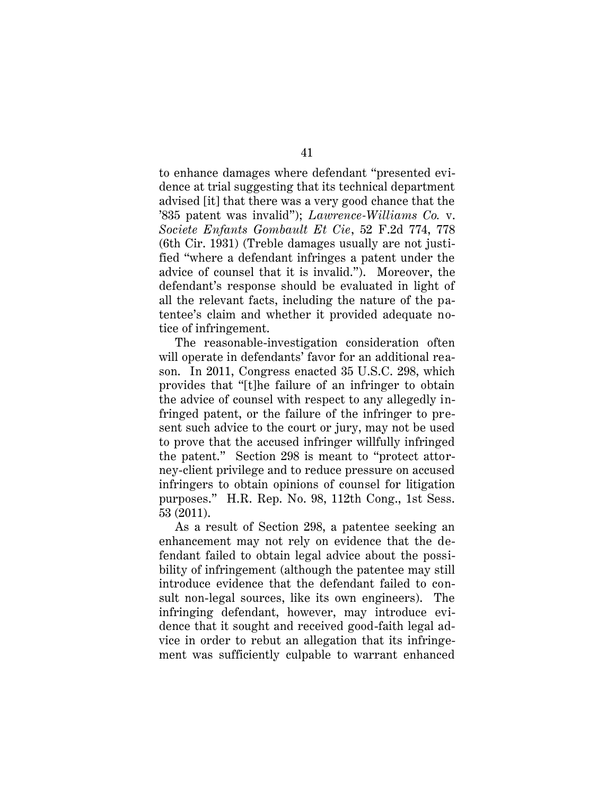to enhance damages where defendant "presented evidence at trial suggesting that its technical department advised [it] that there was a very good chance that the '835 patent was invalid"); *Lawrence-Williams Co.* v. *Societe Enfants Gombault Et Cie*, 52 F.2d 774, 778 (6th Cir. 1931) (Treble damages usually are not justified "where a defendant infringes a patent under the advice of counsel that it is invalid."). Moreover, the defendant's response should be evaluated in light of all the relevant facts, including the nature of the patentee's claim and whether it provided adequate notice of infringement.

The reasonable-investigation consideration often will operate in defendants' favor for an additional reason. In 2011, Congress enacted 35 U.S.C. 298, which provides that "[t]he failure of an infringer to obtain the advice of counsel with respect to any allegedly infringed patent, or the failure of the infringer to present such advice to the court or jury, may not be used to prove that the accused infringer willfully infringed the patent." Section 298 is meant to "protect attorney-client privilege and to reduce pressure on accused infringers to obtain opinions of counsel for litigation purposes." H.R. Rep. No. 98, 112th Cong., 1st Sess. 53 (2011).

As a result of Section 298, a patentee seeking an enhancement may not rely on evidence that the defendant failed to obtain legal advice about the possibility of infringement (although the patentee may still introduce evidence that the defendant failed to consult non-legal sources, like its own engineers). The infringing defendant, however, may introduce evidence that it sought and received good-faith legal advice in order to rebut an allegation that its infringement was sufficiently culpable to warrant enhanced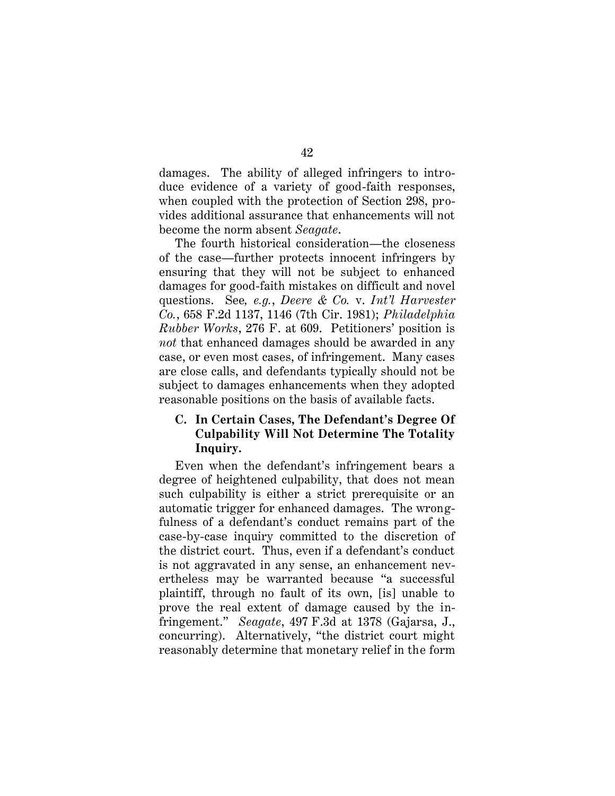damages. The ability of alleged infringers to introduce evidence of a variety of good-faith responses, when coupled with the protection of Section 298, provides additional assurance that enhancements will not become the norm absent *Seagate*.

The fourth historical consideration—the closeness of the case—further protects innocent infringers by ensuring that they will not be subject to enhanced damages for good-faith mistakes on difficult and novel questions. See*, e.g.*, *Deere & Co.* v. *Int'l Harvester Co.*, 658 F.2d 1137, 1146 (7th Cir. 1981); *Philadelphia Rubber Works*, 276 F. at 609. Petitioners' position is *not* that enhanced damages should be awarded in any case, or even most cases, of infringement. Many cases are close calls, and defendants typically should not be subject to damages enhancements when they adopted reasonable positions on the basis of available facts.

# **C. In Certain Cases, The Defendant's Degree Of Culpability Will Not Determine The Totality Inquiry.**

Even when the defendant's infringement bears a degree of heightened culpability, that does not mean such culpability is either a strict prerequisite or an automatic trigger for enhanced damages. The wrongfulness of a defendant's conduct remains part of the case-by-case inquiry committed to the discretion of the district court. Thus, even if a defendant's conduct is not aggravated in any sense, an enhancement nevertheless may be warranted because "a successful plaintiff, through no fault of its own, [is] unable to prove the real extent of damage caused by the infringement." *Seagate*, 497 F.3d at 1378 (Gajarsa, J., concurring). Alternatively, "the district court might reasonably determine that monetary relief in the form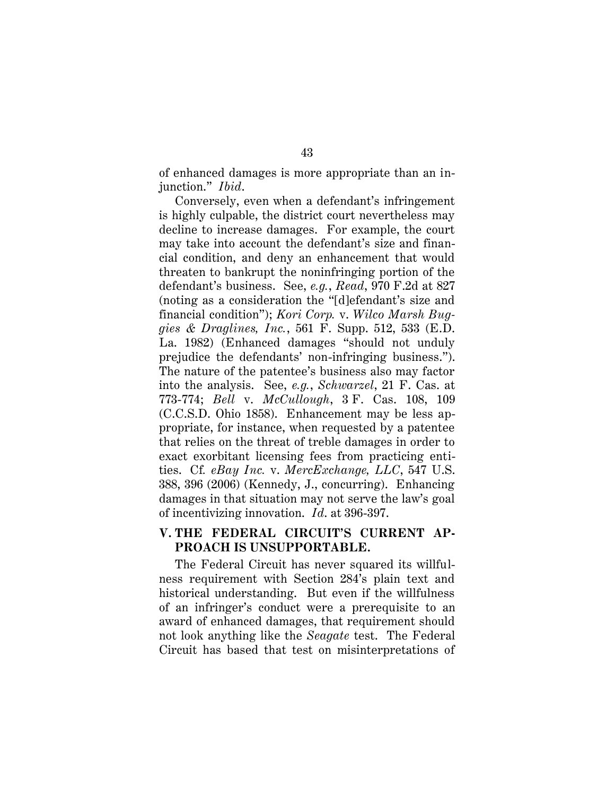of enhanced damages is more appropriate than an injunction." *Ibid*.

Conversely, even when a defendant's infringement is highly culpable, the district court nevertheless may decline to increase damages. For example, the court may take into account the defendant's size and financial condition, and deny an enhancement that would threaten to bankrupt the noninfringing portion of the defendant's business. See, *e.g.*, *Read*, 970 F.2d at 827 (noting as a consideration the "[d]efendant's size and financial condition"); *Kori Corp.* v. *Wilco Marsh Buggies & Draglines, Inc.*, 561 F. Supp. 512, 533 (E.D. La. 1982) (Enhanced damages "should not unduly prejudice the defendants' non-infringing business."). The nature of the patentee's business also may factor into the analysis. See, *e.g.*, *Schwarzel*, 21 F. Cas. at 773-774; *Bell* v. *McCullough*, 3 F. Cas. 108, 109 (C.C.S.D. Ohio 1858). Enhancement may be less appropriate, for instance, when requested by a patentee that relies on the threat of treble damages in order to exact exorbitant licensing fees from practicing entities. Cf*. eBay Inc.* v. *MercExchange, LLC*, 547 U.S. 388, 396 (2006) (Kennedy, J., concurring). Enhancing damages in that situation may not serve the law's goal of incentivizing innovation. *Id*. at 396-397.

## **V. THE FEDERAL CIRCUIT'S CURRENT AP-PROACH IS UNSUPPORTABLE.**

The Federal Circuit has never squared its willfulness requirement with Section 284's plain text and historical understanding. But even if the willfulness of an infringer's conduct were a prerequisite to an award of enhanced damages, that requirement should not look anything like the *Seagate* test. The Federal Circuit has based that test on misinterpretations of

43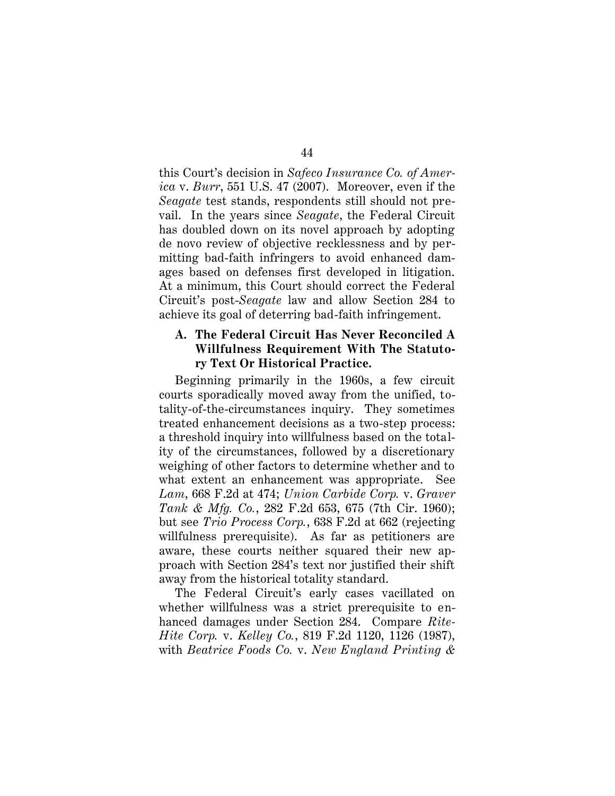this Court's decision in *Safeco Insurance Co. of America* v. *Burr*, 551 U.S. 47 (2007). Moreover, even if the *Seagate* test stands, respondents still should not prevail. In the years since *Seagate*, the Federal Circuit has doubled down on its novel approach by adopting de novo review of objective recklessness and by permitting bad-faith infringers to avoid enhanced damages based on defenses first developed in litigation. At a minimum, this Court should correct the Federal Circuit's post-*Seagate* law and allow Section 284 to achieve its goal of deterring bad-faith infringement.

### **A. The Federal Circuit Has Never Reconciled A Willfulness Requirement With The Statutory Text Or Historical Practice.**

Beginning primarily in the 1960s, a few circuit courts sporadically moved away from the unified, totality-of-the-circumstances inquiry. They sometimes treated enhancement decisions as a two-step process: a threshold inquiry into willfulness based on the totality of the circumstances, followed by a discretionary weighing of other factors to determine whether and to what extent an enhancement was appropriate. See *Lam*, 668 F.2d at 474; *Union Carbide Corp.* v. *Graver Tank & Mfg. Co.*, 282 F.2d 653, 675 (7th Cir. 1960); but see *Trio Process Corp.*, 638 F.2d at 662 (rejecting willfulness prerequisite). As far as petitioners are aware, these courts neither squared their new approach with Section 284's text nor justified their shift away from the historical totality standard.

The Federal Circuit's early cases vacillated on whether willfulness was a strict prerequisite to enhanced damages under Section 284. Compare *Rite-Hite Corp.* v. *Kelley Co.*, 819 F.2d 1120, 1126 (1987), with *Beatrice Foods Co.* v. *New England Printing &*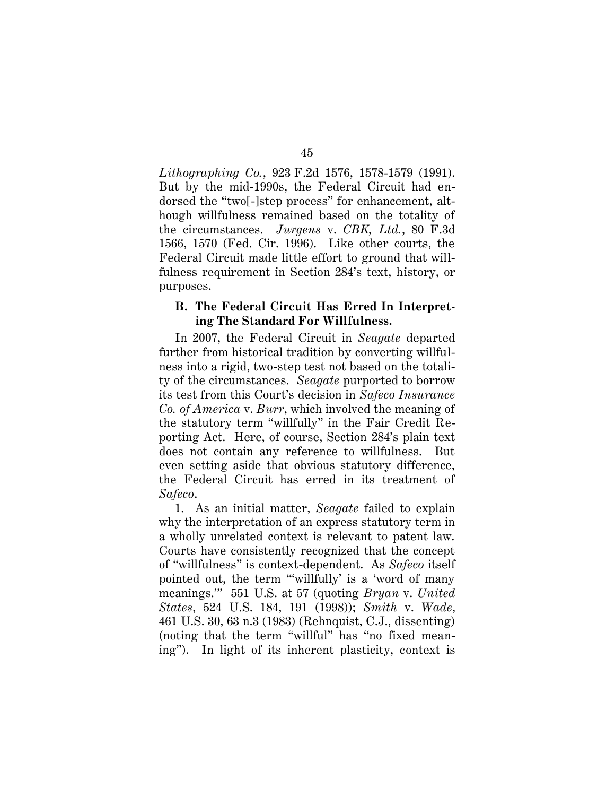*Lithographing Co.*, 923 F.2d 1576, 1578-1579 (1991). But by the mid-1990s, the Federal Circuit had endorsed the "two[-]step process" for enhancement, although willfulness remained based on the totality of the circumstances. *Jurgens* v. *CBK, Ltd.*, 80 F.3d 1566, 1570 (Fed. Cir. 1996). Like other courts, the Federal Circuit made little effort to ground that willfulness requirement in Section 284's text, history, or purposes.

#### **B. The Federal Circuit Has Erred In Interpreting The Standard For Willfulness.**

In 2007, the Federal Circuit in *Seagate* departed further from historical tradition by converting willfulness into a rigid, two-step test not based on the totality of the circumstances. *Seagate* purported to borrow its test from this Court's decision in *Safeco Insurance Co. of America* v. *Burr*, which involved the meaning of the statutory term "willfully" in the Fair Credit Reporting Act. Here, of course, Section 284's plain text does not contain any reference to willfulness. But even setting aside that obvious statutory difference, the Federal Circuit has erred in its treatment of *Safeco*.

1. As an initial matter, *Seagate* failed to explain why the interpretation of an express statutory term in a wholly unrelated context is relevant to patent law. Courts have consistently recognized that the concept of "willfulness" is context-dependent. As *Safeco* itself pointed out, the term "'willfully' is a 'word of many meanings.'" 551 U.S. at 57 (quoting *Bryan* v. *United States*, 524 U.S. 184, 191 (1998)); *Smith* v. *Wade*, 461 U.S. 30, 63 n.3 (1983) (Rehnquist, C.J., dissenting) (noting that the term "willful" has "no fixed meaning"). In light of its inherent plasticity, context is

45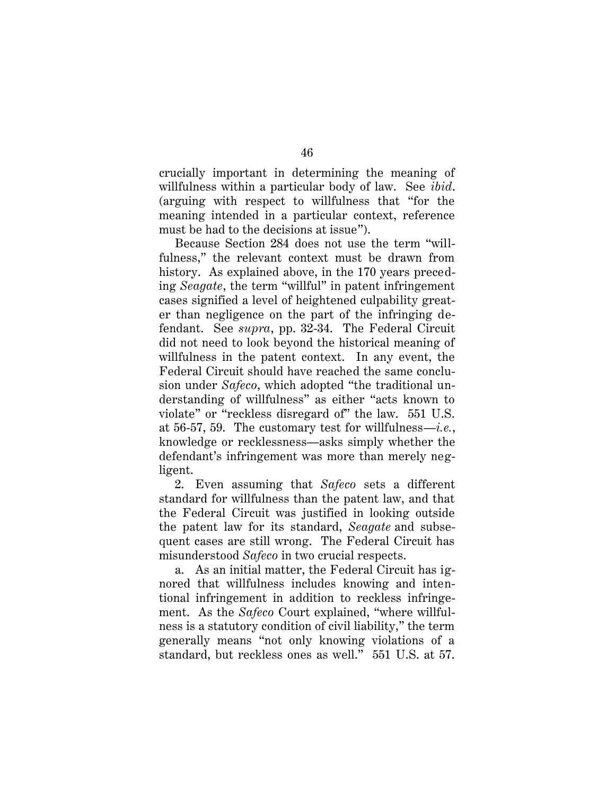crucially important in determining the meaning of willfulness within a particular body of law. See *ibid*. (arguing with respect to willfulness that "for the meaning intended in a particular context, reference must be had to the decisions at issue").

Because Section 284 does not use the term "willfulness," the relevant context must be drawn from history. As explained above, in the 170 years preceding *Seagate*, the term "willful" in patent infringement cases signified a level of heightened culpability greater than negligence on the part of the infringing defendant. See *supra*, pp. 32-34. The Federal Circuit did not need to look beyond the historical meaning of willfulness in the patent context. In any event, the Federal Circuit should have reached the same conclusion under *Safeco*, which adopted "the traditional understanding of willfulness" as either "acts known to violate" or "reckless disregard of" the law. 551 U.S. at 56-57, 59. The customary test for willfulness—*i.e.*, knowledge or recklessness—asks simply whether the defendant's infringement was more than merely negligent.

2. Even assuming that *Safeco* sets a different standard for willfulness than the patent law, and that the Federal Circuit was justified in looking outside the patent law for its standard, *Seagate* and subsequent cases are still wrong. The Federal Circuit has misunderstood *Safeco* in two crucial respects.

a. As an initial matter, the Federal Circuit has ignored that willfulness includes knowing and intentional infringement in addition to reckless infringement. As the *Safeco* Court explained, "where willfulness is a statutory condition of civil liability," the term generally means "not only knowing violations of a standard, but reckless ones as well." 551 U.S. at 57.

46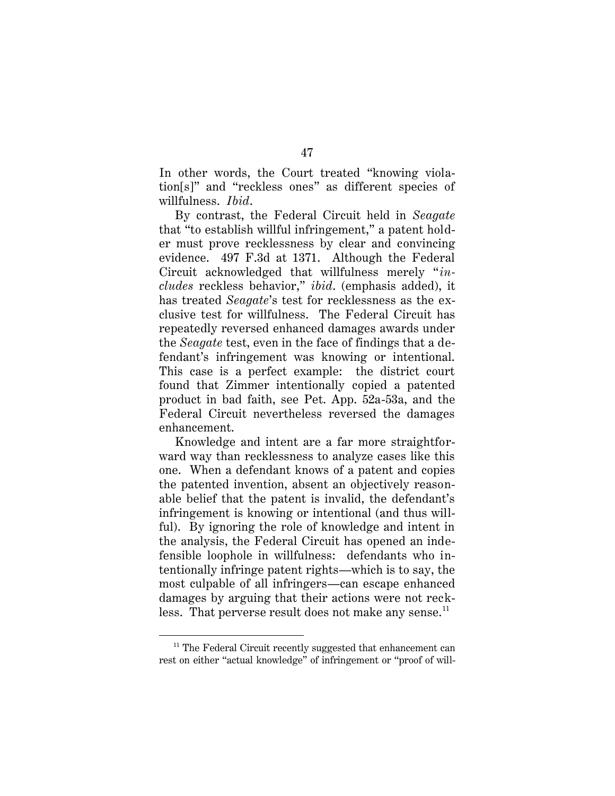In other words, the Court treated "knowing violation[s]" and "reckless ones" as different species of willfulness. *Ibid*.

By contrast, the Federal Circuit held in *Seagate* that "to establish willful infringement," a patent holder must prove recklessness by clear and convincing evidence. 497 F.3d at 1371. Although the Federal Circuit acknowledged that willfulness merely "*includes* reckless behavior," *ibid*. (emphasis added), it has treated *Seagate*'s test for recklessness as the exclusive test for willfulness. The Federal Circuit has repeatedly reversed enhanced damages awards under the *Seagate* test, even in the face of findings that a defendant's infringement was knowing or intentional. This case is a perfect example: the district court found that Zimmer intentionally copied a patented product in bad faith, see Pet. App. 52a-53a, and the Federal Circuit nevertheless reversed the damages enhancement.

Knowledge and intent are a far more straightforward way than recklessness to analyze cases like this one. When a defendant knows of a patent and copies the patented invention, absent an objectively reasonable belief that the patent is invalid, the defendant's infringement is knowing or intentional (and thus willful). By ignoring the role of knowledge and intent in the analysis, the Federal Circuit has opened an indefensible loophole in willfulness: defendants who intentionally infringe patent rights—which is to say, the most culpable of all infringers—can escape enhanced damages by arguing that their actions were not reckless. That perverse result does not make any sense. $^{11}$ 

<sup>&</sup>lt;sup>11</sup> The Federal Circuit recently suggested that enhancement can rest on either "actual knowledge" of infringement or "proof of will-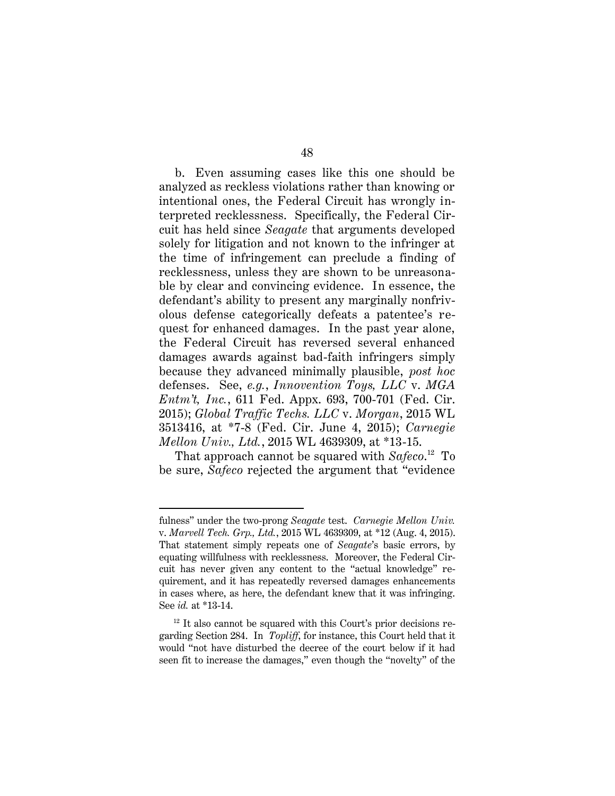b. Even assuming cases like this one should be analyzed as reckless violations rather than knowing or intentional ones, the Federal Circuit has wrongly interpreted recklessness. Specifically, the Federal Circuit has held since *Seagate* that arguments developed solely for litigation and not known to the infringer at the time of infringement can preclude a finding of recklessness, unless they are shown to be unreasonable by clear and convincing evidence. In essence, the defendant's ability to present any marginally nonfrivolous defense categorically defeats a patentee's request for enhanced damages. In the past year alone, the Federal Circuit has reversed several enhanced damages awards against bad-faith infringers simply because they advanced minimally plausible, *post hoc* defenses. See, *e.g.*, *Innovention Toys, LLC* v. *MGA Entm't, Inc.*, 611 Fed. Appx. 693, 700-701 (Fed. Cir. 2015); *Global Traffic Techs. LLC* v. *Morgan*, 2015 WL 3513416, at \*7-8 (Fed. Cir. June 4, 2015); *Carnegie Mellon Univ., Ltd.*, 2015 WL 4639309, at \*13-15.

That approach cannot be squared with Safeco.<sup>12</sup> To be sure, *Safeco* rejected the argument that "evidence

fulness" under the two-prong *Seagate* test. *Carnegie Mellon Univ.*  v. *Marvell Tech. Grp., Ltd.*, 2015 WL 4639309, at \*12 (Aug. 4, 2015). That statement simply repeats one of *Seagate*'s basic errors, by equating willfulness with recklessness. Moreover, the Federal Circuit has never given any content to the "actual knowledge" requirement, and it has repeatedly reversed damages enhancements in cases where, as here, the defendant knew that it was infringing. See *id.* at \*13-14.

 $12$  It also cannot be squared with this Court's prior decisions regarding Section 284. In *Topliff*, for instance, this Court held that it would "not have disturbed the decree of the court below if it had seen fit to increase the damages," even though the "novelty" of the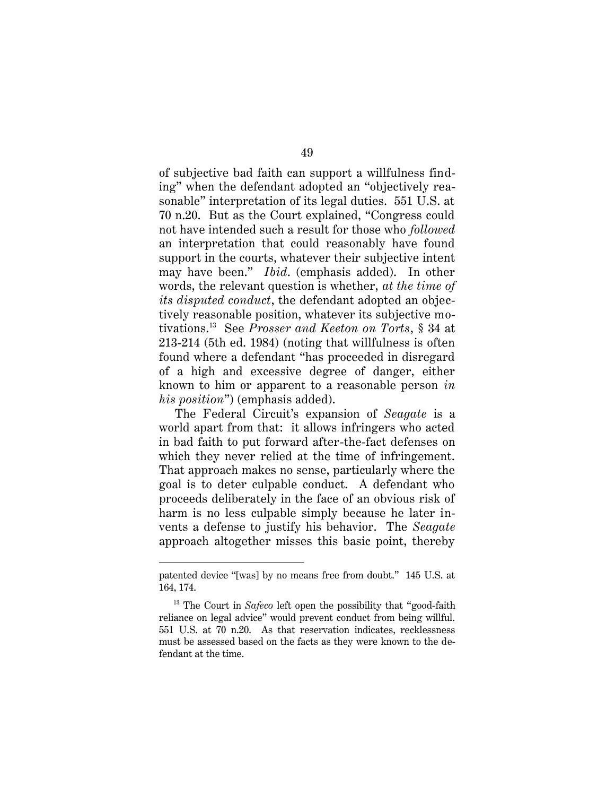of subjective bad faith can support a willfulness finding" when the defendant adopted an "objectively reasonable" interpretation of its legal duties. 551 U.S. at 70 n.20. But as the Court explained, "Congress could not have intended such a result for those who *followed* an interpretation that could reasonably have found support in the courts, whatever their subjective intent may have been." *Ibid*. (emphasis added). In other words, the relevant question is whether, *at the time of its disputed conduct*, the defendant adopted an objectively reasonable position, whatever its subjective motivations.<sup>13</sup> See *Prosser and Keeton on Torts*, § 34 at 213-214 (5th ed. 1984) (noting that willfulness is often found where a defendant "has proceeded in disregard of a high and excessive degree of danger, either known to him or apparent to a reasonable person *in his position*") (emphasis added).

The Federal Circuit's expansion of *Seagate* is a world apart from that: it allows infringers who acted in bad faith to put forward after-the-fact defenses on which they never relied at the time of infringement. That approach makes no sense, particularly where the goal is to deter culpable conduct. A defendant who proceeds deliberately in the face of an obvious risk of harm is no less culpable simply because he later invents a defense to justify his behavior. The *Seagate*  approach altogether misses this basic point, thereby

patented device "[was] by no means free from doubt." 145 U.S. at 164, 174.

<sup>&</sup>lt;sup>13</sup> The Court in *Safeco* left open the possibility that "good-faith" reliance on legal advice" would prevent conduct from being willful. 551 U.S. at 70 n.20. As that reservation indicates, recklessness must be assessed based on the facts as they were known to the defendant at the time.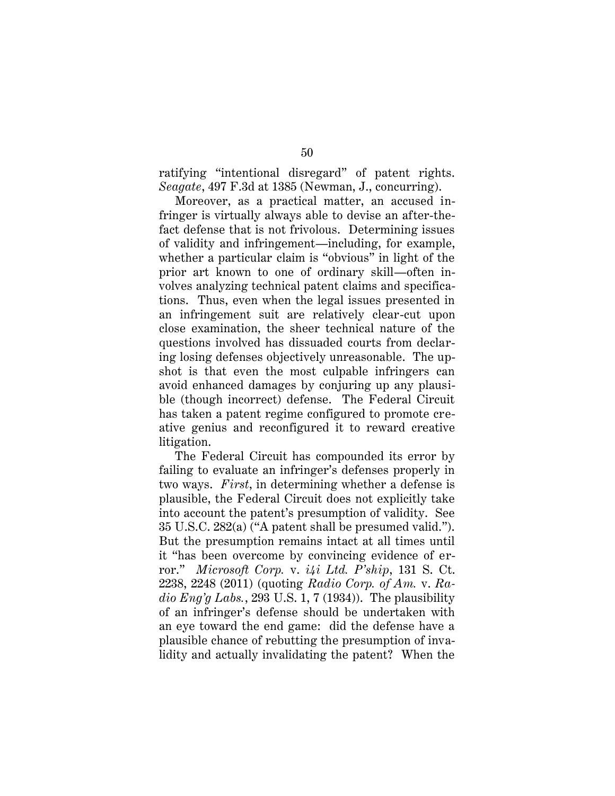ratifying "intentional disregard" of patent rights. *Seagate*, 497 F.3d at 1385 (Newman, J., concurring).

Moreover, as a practical matter, an accused infringer is virtually always able to devise an after-thefact defense that is not frivolous. Determining issues of validity and infringement—including, for example, whether a particular claim is "obvious" in light of the prior art known to one of ordinary skill—often involves analyzing technical patent claims and specifications. Thus, even when the legal issues presented in an infringement suit are relatively clear-cut upon close examination, the sheer technical nature of the questions involved has dissuaded courts from declaring losing defenses objectively unreasonable. The upshot is that even the most culpable infringers can avoid enhanced damages by conjuring up any plausible (though incorrect) defense. The Federal Circuit has taken a patent regime configured to promote creative genius and reconfigured it to reward creative litigation.

The Federal Circuit has compounded its error by failing to evaluate an infringer's defenses properly in two ways. *First*, in determining whether a defense is plausible, the Federal Circuit does not explicitly take into account the patent's presumption of validity. See 35 U.S.C. 282(a) ("A patent shall be presumed valid."). But the presumption remains intact at all times until it "has been overcome by convincing evidence of error." *Microsoft Corp.* v. *i4i Ltd. P'ship*, 131 S. Ct. 2238, 2248 (2011) (quoting *Radio Corp. of Am.* v. *Ra* $di\sigma$  *Eng'g Labs.*, 293 U.S. 1, 7 (1934)). The plausibility of an infringer's defense should be undertaken with an eye toward the end game: did the defense have a plausible chance of rebutting the presumption of invalidity and actually invalidating the patent? When the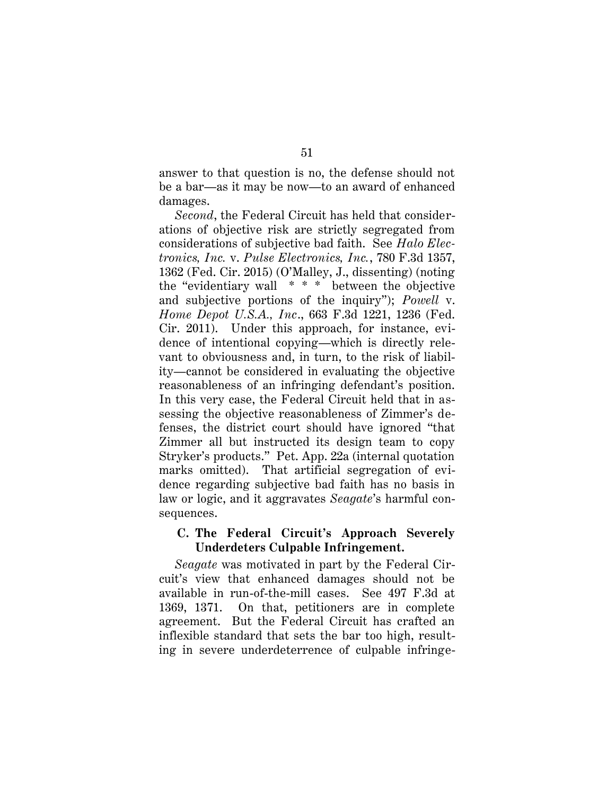answer to that question is no, the defense should not be a bar—as it may be now—to an award of enhanced damages.

*Second*, the Federal Circuit has held that considerations of objective risk are strictly segregated from considerations of subjective bad faith. See *Halo Electronics, Inc.* v. *Pulse Electronics, Inc.*, 780 F.3d 1357, 1362 (Fed. Cir. 2015) (O'Malley, J., dissenting) (noting the "evidentiary wall \* \* \* between the objective and subjective portions of the inquiry"); *Powell* v. *Home Depot U.S.A., Inc*., 663 F.3d 1221, 1236 (Fed. Cir. 2011). Under this approach, for instance, evidence of intentional copying—which is directly relevant to obviousness and, in turn, to the risk of liability—cannot be considered in evaluating the objective reasonableness of an infringing defendant's position. In this very case, the Federal Circuit held that in assessing the objective reasonableness of Zimmer's defenses, the district court should have ignored "that Zimmer all but instructed its design team to copy Stryker's products." Pet. App. 22a (internal quotation marks omitted). That artificial segregation of evidence regarding subjective bad faith has no basis in law or logic, and it aggravates *Seagate*'s harmful consequences.

#### **C. The Federal Circuit's Approach Severely Underdeters Culpable Infringement.**

*Seagate* was motivated in part by the Federal Circuit's view that enhanced damages should not be available in run-of-the-mill cases. See 497 F.3d at 1369, 1371. On that, petitioners are in complete agreement. But the Federal Circuit has crafted an inflexible standard that sets the bar too high, resulting in severe underdeterrence of culpable infringe-

#### 51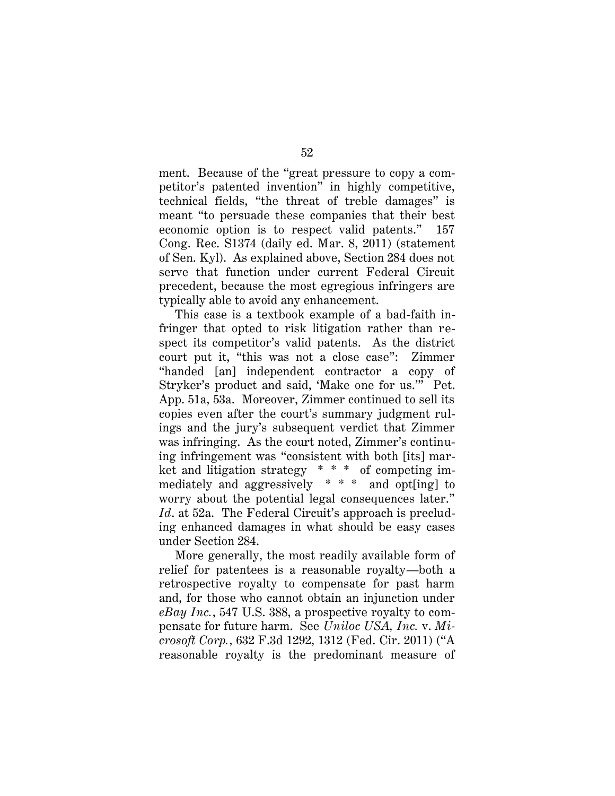ment. Because of the "great pressure to copy a competitor's patented invention" in highly competitive, technical fields, "the threat of treble damages" is meant "to persuade these companies that their best economic option is to respect valid patents." 157 Cong. Rec. S1374 (daily ed. Mar. 8, 2011) (statement of Sen. Kyl). As explained above, Section 284 does not serve that function under current Federal Circuit precedent, because the most egregious infringers are typically able to avoid any enhancement.

This case is a textbook example of a bad-faith infringer that opted to risk litigation rather than respect its competitor's valid patents. As the district court put it, "this was not a close case": Zimmer "handed [an] independent contractor a copy of Stryker's product and said, 'Make one for us.'" Pet. App. 51a, 53a. Moreover, Zimmer continued to sell its copies even after the court's summary judgment rulings and the jury's subsequent verdict that Zimmer was infringing. As the court noted, Zimmer's continuing infringement was "consistent with both [its] market and litigation strategy  $* * *$  of competing immediately and aggressively \* \* \* and opt[ing] to worry about the potential legal consequences later." *Id*. at 52a. The Federal Circuit's approach is precluding enhanced damages in what should be easy cases under Section 284.

More generally, the most readily available form of relief for patentees is a reasonable royalty—both a retrospective royalty to compensate for past harm and, for those who cannot obtain an injunction under *eBay Inc.*, 547 U.S. 388, a prospective royalty to compensate for future harm. See *Uniloc USA, Inc.* v. *Microsoft Corp.*, 632 F.3d 1292, 1312 (Fed. Cir. 2011) ("A reasonable royalty is the predominant measure of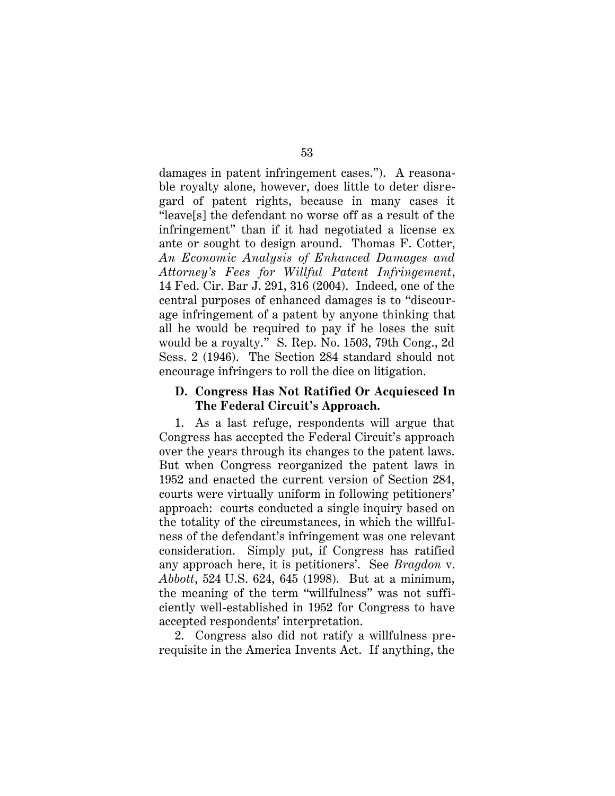damages in patent infringement cases."). A reasonable royalty alone, however, does little to deter disregard of patent rights, because in many cases it "leave[s] the defendant no worse off as a result of the infringement" than if it had negotiated a license ex ante or sought to design around. Thomas F. Cotter, *An Economic Analysis of Enhanced Damages and Attorney's Fees for Willful Patent Infringement*, 14 Fed. Cir. Bar J. 291, 316 (2004). Indeed, one of the central purposes of enhanced damages is to "discourage infringement of a patent by anyone thinking that all he would be required to pay if he loses the suit would be a royalty." S. Rep. No. 1503, 79th Cong., 2d Sess. 2 (1946). The Section 284 standard should not encourage infringers to roll the dice on litigation.

#### **D. Congress Has Not Ratified Or Acquiesced In The Federal Circuit's Approach.**

1. As a last refuge, respondents will argue that Congress has accepted the Federal Circuit's approach over the years through its changes to the patent laws. But when Congress reorganized the patent laws in 1952 and enacted the current version of Section 284, courts were virtually uniform in following petitioners' approach: courts conducted a single inquiry based on the totality of the circumstances, in which the willfulness of the defendant's infringement was one relevant consideration. Simply put, if Congress has ratified any approach here, it is petitioners'. See *Bragdon* v. *Abbott*, 524 U.S. 624, 645 (1998). But at a minimum, the meaning of the term "willfulness" was not sufficiently well-established in 1952 for Congress to have accepted respondents' interpretation.

2. Congress also did not ratify a willfulness prerequisite in the America Invents Act. If anything, the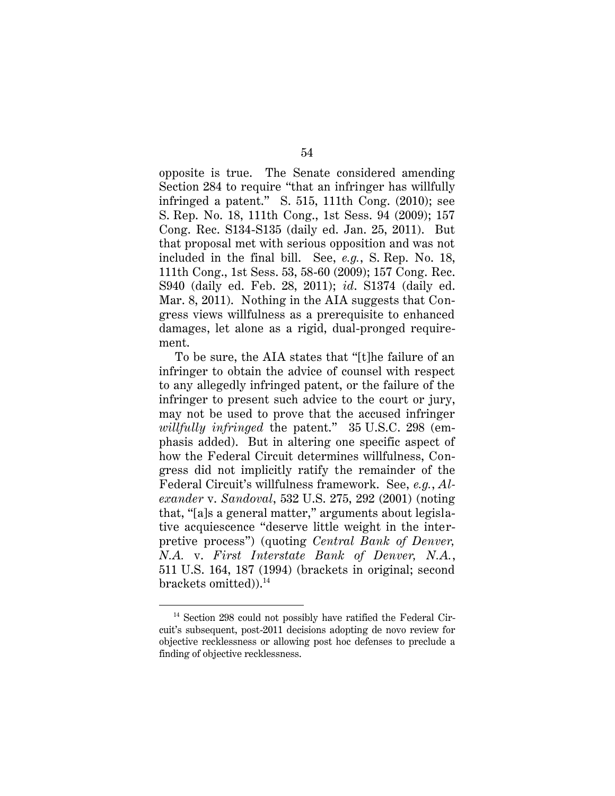opposite is true. The Senate considered amending Section 284 to require "that an infringer has willfully infringed a patent." S. 515, 111th Cong. (2010); see S. Rep. No. 18, 111th Cong., 1st Sess. 94 (2009); 157 Cong. Rec. S134-S135 (daily ed. Jan. 25, 2011). But that proposal met with serious opposition and was not included in the final bill. See, *e.g.*, S. Rep. No. 18, 111th Cong., 1st Sess. 53, 58-60 (2009); 157 Cong. Rec. S940 (daily ed. Feb. 28, 2011); *id*. S1374 (daily ed. Mar. 8, 2011). Nothing in the AIA suggests that Congress views willfulness as a prerequisite to enhanced damages, let alone as a rigid, dual-pronged requirement.

To be sure, the AIA states that "[t]he failure of an infringer to obtain the advice of counsel with respect to any allegedly infringed patent, or the failure of the infringer to present such advice to the court or jury, may not be used to prove that the accused infringer *willfully infringed* the patent." 35 U.S.C. 298 (emphasis added). But in altering one specific aspect of how the Federal Circuit determines willfulness, Congress did not implicitly ratify the remainder of the Federal Circuit's willfulness framework. See, *e.g.*, *Alexander* v. *Sandoval*, 532 U.S. 275, 292 (2001) (noting that, "[a]s a general matter," arguments about legislative acquiescence "deserve little weight in the interpretive process") (quoting *Central Bank of Denver, N.A.* v. *First Interstate Bank of Denver, N.A.*, 511 U.S. 164, 187 (1994) (brackets in original; second brackets omitted)).<sup>14</sup>

<sup>&</sup>lt;sup>14</sup> Section 298 could not possibly have ratified the Federal Circuit's subsequent, post-2011 decisions adopting de novo review for objective recklessness or allowing post hoc defenses to preclude a finding of objective recklessness.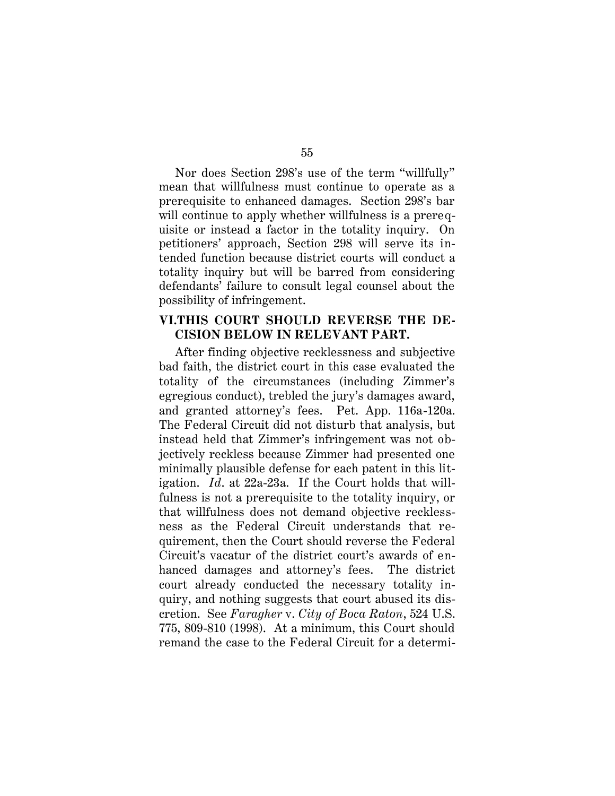Nor does Section 298's use of the term "willfully" mean that willfulness must continue to operate as a prerequisite to enhanced damages. Section 298's bar will continue to apply whether willfulness is a prerequisite or instead a factor in the totality inquiry. On petitioners' approach, Section 298 will serve its intended function because district courts will conduct a totality inquiry but will be barred from considering defendants' failure to consult legal counsel about the possibility of infringement.

## **VI.THIS COURT SHOULD REVERSE THE DE-CISION BELOW IN RELEVANT PART.**

After finding objective recklessness and subjective bad faith, the district court in this case evaluated the totality of the circumstances (including Zimmer's egregious conduct), trebled the jury's damages award, and granted attorney's fees. Pet. App. 116a-120a. The Federal Circuit did not disturb that analysis, but instead held that Zimmer's infringement was not objectively reckless because Zimmer had presented one minimally plausible defense for each patent in this litigation. *Id*. at 22a-23a. If the Court holds that willfulness is not a prerequisite to the totality inquiry, or that willfulness does not demand objective recklessness as the Federal Circuit understands that requirement, then the Court should reverse the Federal Circuit's vacatur of the district court's awards of enhanced damages and attorney's fees. The district court already conducted the necessary totality inquiry, and nothing suggests that court abused its discretion. See *Faragher* v. *City of Boca Raton*, 524 U.S. 775, 809-810 (1998). At a minimum, this Court should remand the case to the Federal Circuit for a determi-